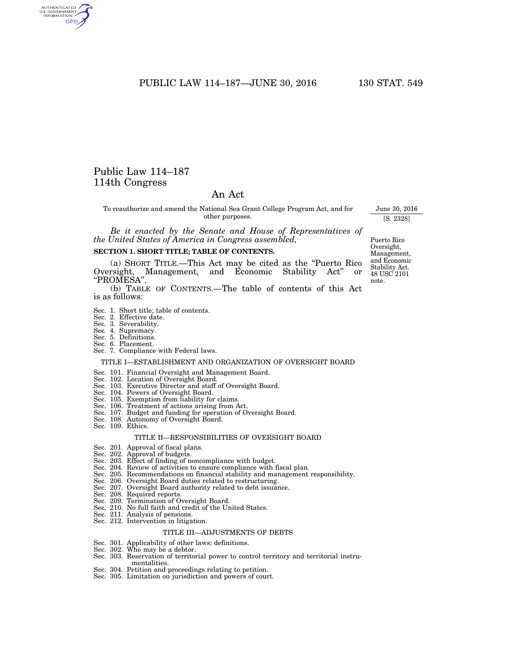# PUBLIC LAW 114-187-JUNE 30, 2016 130 STAT. 549

# Public Law 114–187 114th Congress

AUTHENTICATED GPO

# An Act

To reauthorize and amend the National Sea Grant College Program Act, and for other purposes.

*Be it enacted by the Senate and House of Representatives of the United States of America in Congress assembled,* 

#### **SECTION 1. SHORT TITLE; TABLE OF CONTENTS.**

(a) SHORT TITLE.—This Act may be cited as the ''Puerto Rico Oversight, Management, and Economic Stability Act'' or ''PROMESA''.

(b) TABLE OF CONTENTS.—The table of contents of this Act is as follows:

- Sec. 1. Short title; table of contents.
- 
- Sec. 2. Effective date. Sec. 3. Severability.
- Sec. 4. Supremacy. Sec. 5. Definitions.
- 
- 
- Sec. 6. Placement. Sec. 7. Compliance with Federal laws.

#### TITLE I—ESTABLISHMENT AND ORGANIZATION OF OVERSIGHT BOARD

- 
- Sec. 101. Financial Oversight and Management Board. Sec. 102. Location of Oversight Board. Sec. 103. Executive Director and staff of Oversight Board.
- Sec. 104. Powers of Oversight Board.
- 
- Sec. 105. Exemption from liability for claims. Sec. 106. Treatment of actions arising from Act.
- Sec. 107. Budget and funding for operation of Oversight Board.
- Sec. 108. Autonomy of Oversight Board.
- Sec. 109. Ethics.

#### TITLE II—RESPONSIBILITIES OF OVERSIGHT BOARD

- Sec. 201. Approval of fiscal plans.
- 
- Sec. 202. Approval of budgets. Sec. 203. Effect of finding of noncompliance with budget.
- Sec. 204. Review of activities to ensure compliance with fiscal plan.
- Sec. 205. Recommendations on financial stability and management responsibility.
- Sec. 206. Oversight Board duties related to restructuring.
- Sec. 207. Oversight Board authority related to debt issuance.
- Sec. 208. Required reports.
- Sec. 209. Termination of Oversight Board.
- Sec. 210. No full faith and credit of the United States.
- Sec. 211. Analysis of pensions.
- Sec. 212. Intervention in litigation.

#### TITLE III—ADJUSTMENTS OF DEBTS

- Sec. 301. Applicability of other laws; definitions. Sec. 302. Who may be a debtor.
- 
- Sec. 303. Reservation of territorial power to control territory and territorial instrumentalities.
- Sec. 304. Petition and proceedings relating to petition. Sec. 305. Limitation on jurisdiction and powers of court.
- 

Puerto Rico Oversight, Management, and Economic Stability Act. 48 USC 2101 note.

June 30, 2016 [S. 2328]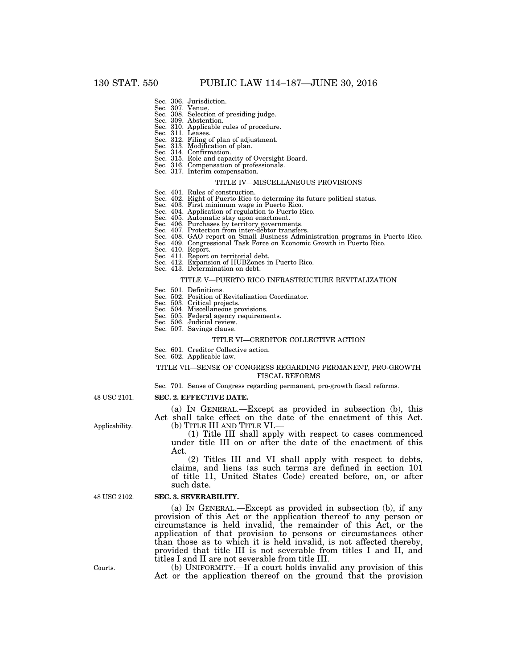- 
- 
- Sec. 306. Jurisdiction. Sec. 307. Venue. Sec. 308. Selection of presiding judge. Sec. 309. Abstention.
- Sec. 310. Applicable rules of procedure.
- Sec. 311. Leases.
- Sec. 312. Filing of plan of adjustment. Sec. 313. Modification of plan.
- 
- 
- Sec. 314. Confirmation. Sec. 315. Role and capacity of Oversight Board. Sec. 316. Compensation of professionals.
- 
- Sec. 317. Interim compensation.

#### TITLE IV—MISCELLANEOUS PROVISIONS

- 
- Sec. 401. Rules of construction. Sec. 402. Right of Puerto Rico to determine its future political status.
- Sec. 403. First minimum wage in Puerto Rico. Sec. 404. Application of regulation to Puerto Rico.
- 
- 
- 
- 
- Sec. 405. Automatic stay upon enactment.<br>Sec. 406. Purchases by territory governments.<br>Sec. 407. Protection from inter-debtor transfers.<br>Sec. 408. GAO report on Small Business Administration programs in Puerto Rico.<br>Sec. 4
- 
- Sec. 410. Report.
- Sec. 411. Report on territorial debt.
- Sec. 412. Expansion of HUBZones in Puerto Rico.
- Sec. 413. Determination on debt.

#### TITLE V—PUERTO RICO INFRASTRUCTURE REVITALIZATION

- 
- Sec. 501. Definitions. Sec. 502. Position of Revitalization Coordinator.
- Sec. 503. Critical projects.
- Sec. 504. Miscellaneous provisions.
- Sec. 505. Federal agency requirements.
- Sec. 506. Judicial review. Sec. 507. Savings clause.
- 

### TITLE VI—CREDITOR COLLECTIVE ACTION

- Sec. 601. Creditor Collective action.
- Sec. 602. Applicable law.

#### TITLE VII—SENSE OF CONGRESS REGARDING PERMANENT, PRO-GROWTH FISCAL REFORMS

Sec. 701. Sense of Congress regarding permanent, pro-growth fiscal reforms.

48 USC 2101.

#### **SEC. 2. EFFECTIVE DATE.**

(a) IN GENERAL.—Except as provided in subsection (b), this Act shall take effect on the date of the enactment of this Act. (b) TITLE III AND TITLE VI.—

(1) Title III shall apply with respect to cases commenced under title III on or after the date of the enactment of this Act.

(2) Titles III and VI shall apply with respect to debts, claims, and liens (as such terms are defined in section 101 of title 11, United States Code) created before, on, or after such date.

48 USC 2102.

#### **SEC. 3. SEVERABILITY.**

(a) IN GENERAL.—Except as provided in subsection (b), if any provision of this Act or the application thereof to any person or circumstance is held invalid, the remainder of this Act, or the application of that provision to persons or circumstances other than those as to which it is held invalid, is not affected thereby, provided that title III is not severable from titles I and II, and titles I and II are not severable from title III.

(b) UNIFORMITY.—If a court holds invalid any provision of this Act or the application thereof on the ground that the provision

Applicability.

Courts.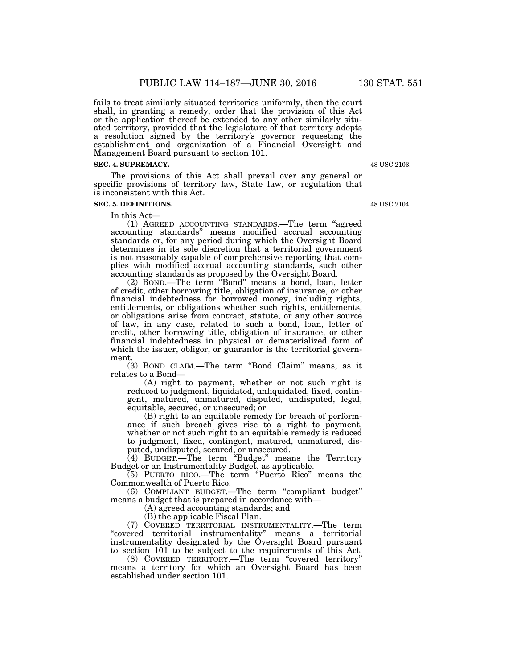fails to treat similarly situated territories uniformly, then the court shall, in granting a remedy, order that the provision of this Act or the application thereof be extended to any other similarly situated territory, provided that the legislature of that territory adopts a resolution signed by the territory's governor requesting the establishment and organization of a Financial Oversight and Management Board pursuant to section 101.

### **SEC. 4. SUPREMACY.**

The provisions of this Act shall prevail over any general or specific provisions of territory law, State law, or regulation that is inconsistent with this Act.

### **SEC. 5. DEFINITIONS.**

In this Act—

(1) AGREED ACCOUNTING STANDARDS.—The term ''agreed accounting standards'' means modified accrual accounting standards or, for any period during which the Oversight Board determines in its sole discretion that a territorial government is not reasonably capable of comprehensive reporting that complies with modified accrual accounting standards, such other accounting standards as proposed by the Oversight Board.

(2) BOND.—The term ''Bond'' means a bond, loan, letter of credit, other borrowing title, obligation of insurance, or other financial indebtedness for borrowed money, including rights, entitlements, or obligations whether such rights, entitlements, or obligations arise from contract, statute, or any other source of law, in any case, related to such a bond, loan, letter of credit, other borrowing title, obligation of insurance, or other financial indebtedness in physical or dematerialized form of which the issuer, obligor, or guarantor is the territorial government.

(3) BOND CLAIM.—The term ''Bond Claim'' means, as it relates to a Bond—

(A) right to payment, whether or not such right is reduced to judgment, liquidated, unliquidated, fixed, contingent, matured, unmatured, disputed, undisputed, legal, equitable, secured, or unsecured; or

(B) right to an equitable remedy for breach of performance if such breach gives rise to a right to payment, whether or not such right to an equitable remedy is reduced to judgment, fixed, contingent, matured, unmatured, disputed, undisputed, secured, or unsecured.

(4) BUDGET.—The term ''Budget'' means the Territory Budget or an Instrumentality Budget, as applicable.

(5) PUERTO RICO.—The term ''Puerto Rico'' means the Commonwealth of Puerto Rico.

(6) COMPLIANT BUDGET.—The term ''compliant budget'' means a budget that is prepared in accordance with—

(A) agreed accounting standards; and

(B) the applicable Fiscal Plan.

(7) COVERED TERRITORIAL INSTRUMENTALITY.—The term ''covered territorial instrumentality'' means a territorial instrumentality designated by the Oversight Board pursuant to section 101 to be subject to the requirements of this Act.

(8) COVERED TERRITORY.—The term ''covered territory'' means a territory for which an Oversight Board has been established under section 101.

48 USC 2103.

48 USC 2104.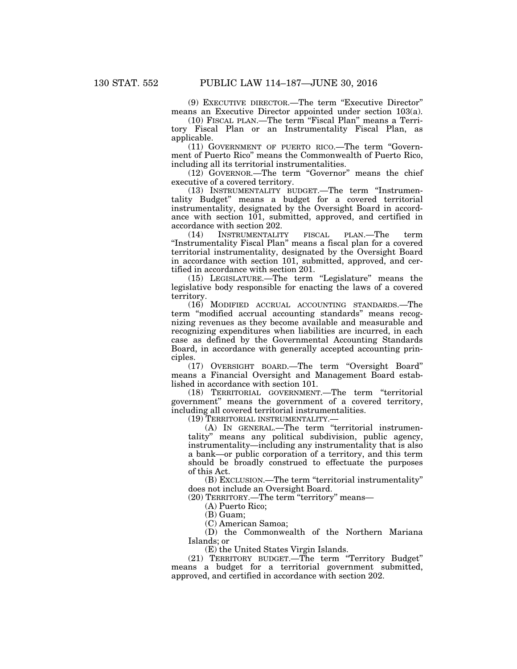(9) EXECUTIVE DIRECTOR.—The term ''Executive Director'' means an Executive Director appointed under section 103(a).

(10) FISCAL PLAN.—The term ''Fiscal Plan'' means a Territory Fiscal Plan or an Instrumentality Fiscal Plan, as applicable.

(11) GOVERNMENT OF PUERTO RICO.—The term ''Government of Puerto Rico'' means the Commonwealth of Puerto Rico, including all its territorial instrumentalities.

(12) GOVERNOR.—The term "Governor" means the chief executive of a covered territory.

(13) INSTRUMENTALITY BUDGET.—The term ''Instrumentality Budget'' means a budget for a covered territorial instrumentality, designated by the Oversight Board in accordance with section 101, submitted, approved, and certified in accordance with section 202.

(14) INSTRUMENTALITY FISCAL PLAN.—The term ''Instrumentality Fiscal Plan'' means a fiscal plan for a covered territorial instrumentality, designated by the Oversight Board in accordance with section 101, submitted, approved, and certified in accordance with section 201.

(15) LEGISLATURE.—The term ''Legislature'' means the legislative body responsible for enacting the laws of a covered territory.

(16) MODIFIED ACCRUAL ACCOUNTING STANDARDS.—The term ''modified accrual accounting standards'' means recognizing revenues as they become available and measurable and recognizing expenditures when liabilities are incurred, in each case as defined by the Governmental Accounting Standards Board, in accordance with generally accepted accounting principles.

(17) OVERSIGHT BOARD.—The term ''Oversight Board'' means a Financial Oversight and Management Board established in accordance with section 101.

(18) TERRITORIAL GOVERNMENT.—The term ''territorial government'' means the government of a covered territory, including all covered territorial instrumentalities.

(19) TERRITORIAL INSTRUMENTALITY.—

(A) IN GENERAL.—The term ''territorial instrumentality'' means any political subdivision, public agency, instrumentality—including any instrumentality that is also a bank—or public corporation of a territory, and this term should be broadly construed to effectuate the purposes of this Act.

(B) EXCLUSION.—The term ''territorial instrumentality'' does not include an Oversight Board.

(20) TERRITORY.—The term "territory" means—

(A) Puerto Rico;

(B) Guam;

(C) American Samoa;

(D) the Commonwealth of the Northern Mariana Islands; or

(E) the United States Virgin Islands.

(21) TERRITORY BUDGET.—The term ''Territory Budget'' means a budget for a territorial government submitted, approved, and certified in accordance with section 202.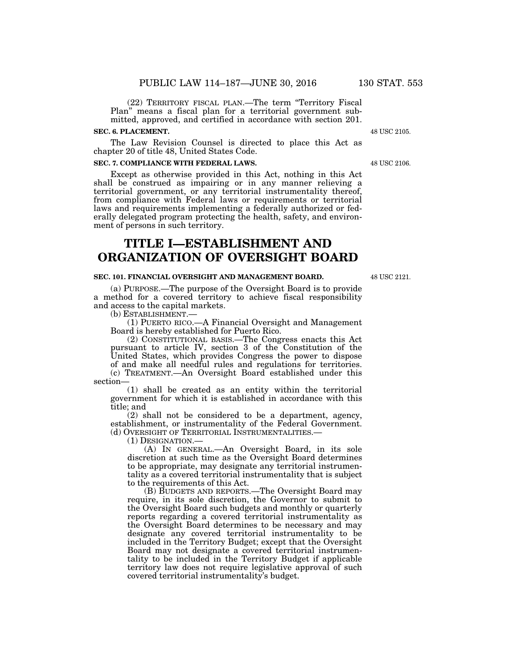(22) TERRITORY FISCAL PLAN.—The term ''Territory Fiscal Plan'' means a fiscal plan for a territorial government submitted, approved, and certified in accordance with section 201.

#### **SEC. 6. PLACEMENT.**

The Law Revision Counsel is directed to place this Act as chapter 20 of title 48, United States Code.

#### **SEC. 7. COMPLIANCE WITH FEDERAL LAWS.**

Except as otherwise provided in this Act, nothing in this Act shall be construed as impairing or in any manner relieving a territorial government, or any territorial instrumentality thereof, from compliance with Federal laws or requirements or territorial laws and requirements implementing a federally authorized or federally delegated program protecting the health, safety, and environment of persons in such territory.

# **TITLE I—ESTABLISHMENT AND ORGANIZATION OF OVERSIGHT BOARD**

#### **SEC. 101. FINANCIAL OVERSIGHT AND MANAGEMENT BOARD.**

(a) PURPOSE.—The purpose of the Oversight Board is to provide a method for a covered territory to achieve fiscal responsibility and access to the capital markets.

(b) ESTABLISHMENT.—

(1) PUERTO RICO.—A Financial Oversight and Management Board is hereby established for Puerto Rico.

(2) CONSTITUTIONAL BASIS.—The Congress enacts this Act pursuant to article IV, section 3 of the Constitution of the United States, which provides Congress the power to dispose of and make all needful rules and regulations for territories. (c) TREATMENT.—An Oversight Board established under this section—

(1) shall be created as an entity within the territorial government for which it is established in accordance with this title; and

(2) shall not be considered to be a department, agency, establishment, or instrumentality of the Federal Government. (d) OVERSIGHT OF TERRITORIAL INSTRUMENTALITIES.—

(1) DESIGNATION.—

(A) IN GENERAL.—An Oversight Board, in its sole discretion at such time as the Oversight Board determines to be appropriate, may designate any territorial instrumentality as a covered territorial instrumentality that is subject to the requirements of this Act.

(B) BUDGETS AND REPORTS.—The Oversight Board may require, in its sole discretion, the Governor to submit to the Oversight Board such budgets and monthly or quarterly reports regarding a covered territorial instrumentality as the Oversight Board determines to be necessary and may designate any covered territorial instrumentality to be included in the Territory Budget; except that the Oversight Board may not designate a covered territorial instrumentality to be included in the Territory Budget if applicable territory law does not require legislative approval of such covered territorial instrumentality's budget.

48 USC 2105.

48 USC 2106.

48 USC 2121.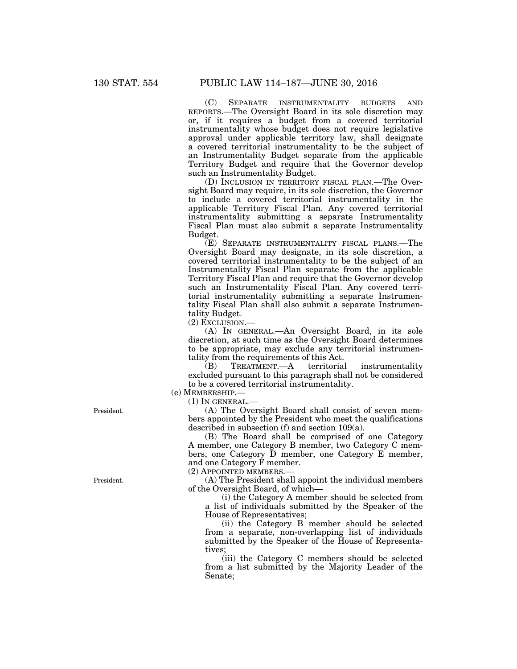(C) SEPARATE INSTRUMENTALITY BUDGETS AND REPORTS.—The Oversight Board in its sole discretion may or, if it requires a budget from a covered territorial instrumentality whose budget does not require legislative approval under applicable territory law, shall designate a covered territorial instrumentality to be the subject of an Instrumentality Budget separate from the applicable Territory Budget and require that the Governor develop such an Instrumentality Budget.

(D) INCLUSION IN TERRITORY FISCAL PLAN.—The Oversight Board may require, in its sole discretion, the Governor to include a covered territorial instrumentality in the applicable Territory Fiscal Plan. Any covered territorial instrumentality submitting a separate Instrumentality Fiscal Plan must also submit a separate Instrumentality Budget.

(E) SEPARATE INSTRUMENTALITY FISCAL PLANS.—The Oversight Board may designate, in its sole discretion, a covered territorial instrumentality to be the subject of an Instrumentality Fiscal Plan separate from the applicable Territory Fiscal Plan and require that the Governor develop such an Instrumentality Fiscal Plan. Any covered territorial instrumentality submitting a separate Instrumentality Fiscal Plan shall also submit a separate Instrumentality Budget.

(2) EXCLUSION.—

(A) IN GENERAL.—An Oversight Board, in its sole discretion, at such time as the Oversight Board determines to be appropriate, may exclude any territorial instrumentality from the requirements of this Act.<br>(B) TREATMENT.—A territorial

TREATMENT.—A territorial instrumentality excluded pursuant to this paragraph shall not be considered to be a covered territorial instrumentality.

(e) MEMBERSHIP.—

 $(1)$  In GENERAL. $-$ 

(A) The Oversight Board shall consist of seven members appointed by the President who meet the qualifications described in subsection (f) and section 109(a).

(B) The Board shall be comprised of one Category A member, one Category B member, two Category C members, one Category D member, one Category E member, and one Category F member.

(2) APPOINTED MEMBERS.—

(A) The President shall appoint the individual members of the Oversight Board, of which—

(i) the Category A member should be selected from a list of individuals submitted by the Speaker of the House of Representatives;

(ii) the Category B member should be selected from a separate, non-overlapping list of individuals submitted by the Speaker of the House of Representatives;

(iii) the Category C members should be selected from a list submitted by the Majority Leader of the Senate;

President.

President.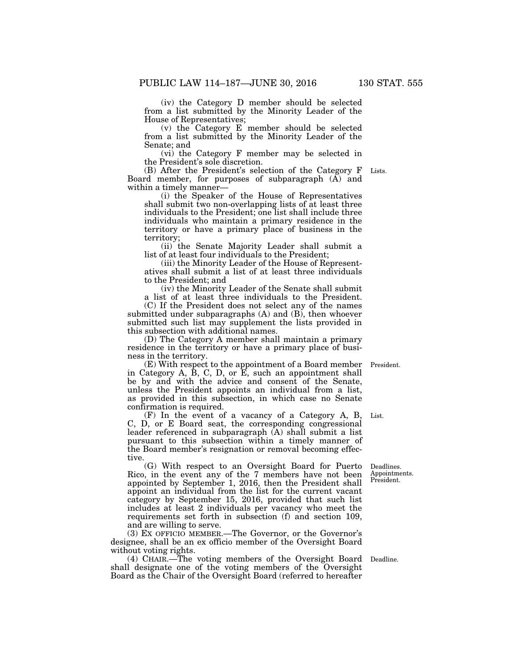(iv) the Category D member should be selected from a list submitted by the Minority Leader of the House of Representatives;

(v) the Category E member should be selected from a list submitted by the Minority Leader of the Senate; and

(vi) the Category F member may be selected in the President's sole discretion.

(B) After the President's selection of the Category F Board member, for purposes of subparagraph (A) and within a timely manner—

(i) the Speaker of the House of Representatives shall submit two non-overlapping lists of at least three individuals to the President; one list shall include three individuals who maintain a primary residence in the territory or have a primary place of business in the territory;

(ii) the Senate Majority Leader shall submit a list of at least four individuals to the President;

(iii) the Minority Leader of the House of Representatives shall submit a list of at least three individuals to the President; and

(iv) the Minority Leader of the Senate shall submit

a list of at least three individuals to the President. (C) If the President does not select any of the names submitted under subparagraphs (A) and (B), then whoever submitted such list may supplement the lists provided in this subsection with additional names.

(D) The Category A member shall maintain a primary residence in the territory or have a primary place of business in the territory.

(E) With respect to the appointment of a Board member in Category A,  $\dot{B}$ , C, D, or  $\dot{E}$ , such an appointment shall be by and with the advice and consent of the Senate, unless the President appoints an individual from a list, as provided in this subsection, in which case no Senate confirmation is required.

(F) In the event of a vacancy of a Category A, B, C, D, or E Board seat, the corresponding congressional leader referenced in subparagraph (A) shall submit a list pursuant to this subsection within a timely manner of the Board member's resignation or removal becoming effective. List.

(G) With respect to an Oversight Board for Puerto Rico, in the event any of the 7 members have not been appointed by September 1, 2016, then the President shall appoint an individual from the list for the current vacant category by September 15, 2016, provided that such list includes at least 2 individuals per vacancy who meet the requirements set forth in subsection (f) and section 109, and are willing to serve.

(3) EX OFFICIO MEMBER.—The Governor, or the Governor's designee, shall be an ex officio member of the Oversight Board without voting rights.

(4) CHAIR.—The voting members of the Oversight Board Deadline. shall designate one of the voting members of the Oversight Board as the Chair of the Oversight Board (referred to hereafter

Deadlines. Appointments. President.

President.

Lists.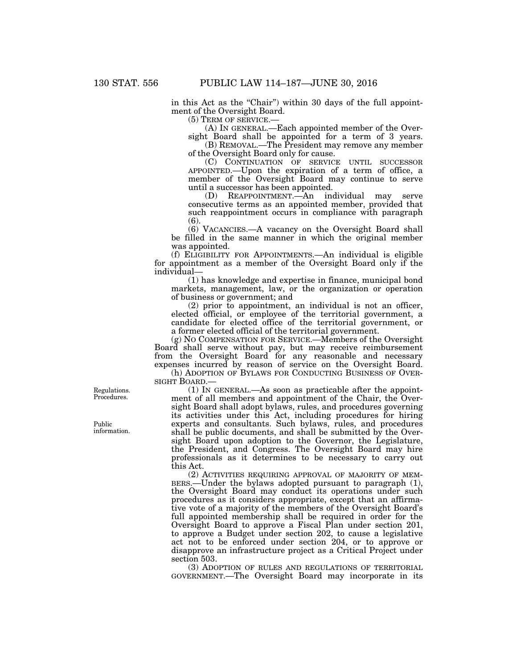in this Act as the "Chair") within 30 days of the full appointment of the Oversight Board.

(5) TERM OF SERVICE.—

(A) IN GENERAL.—Each appointed member of the Oversight Board shall be appointed for a term of 3 years.

(B) REMOVAL.—The President may remove any member of the Oversight Board only for cause.

(C) CONTINUATION OF SERVICE UNTIL SUCCESSOR APPOINTED.—Upon the expiration of a term of office, a member of the Oversight Board may continue to serve until a successor has been appointed.

(D) REAPPOINTMENT.—An individual may serve consecutive terms as an appointed member, provided that such reappointment occurs in compliance with paragraph  $(6)$ 

(6) VACANCIES.—A vacancy on the Oversight Board shall be filled in the same manner in which the original member was appointed.

(f) ELIGIBILITY FOR APPOINTMENTS.—An individual is eligible for appointment as a member of the Oversight Board only if the individual—

(1) has knowledge and expertise in finance, municipal bond markets, management, law, or the organization or operation of business or government; and

(2) prior to appointment, an individual is not an officer, elected official, or employee of the territorial government, a candidate for elected office of the territorial government, or a former elected official of the territorial government.

(g) NO COMPENSATION FOR SERVICE.—Members of the Oversight Board shall serve without pay, but may receive reimbursement from the Oversight Board for any reasonable and necessary expenses incurred by reason of service on the Oversight Board.

(h) ADOPTION OF BYLAWS FOR CONDUCTING BUSINESS OF OVER-SIGHT BOARD.—

(1) IN GENERAL.—As soon as practicable after the appointment of all members and appointment of the Chair, the Oversight Board shall adopt bylaws, rules, and procedures governing its activities under this Act, including procedures for hiring experts and consultants. Such bylaws, rules, and procedures shall be public documents, and shall be submitted by the Oversight Board upon adoption to the Governor, the Legislature, the President, and Congress. The Oversight Board may hire professionals as it determines to be necessary to carry out this Act.

(2) ACTIVITIES REQUIRING APPROVAL OF MAJORITY OF MEM-BERS.—Under the bylaws adopted pursuant to paragraph (1), the Oversight Board may conduct its operations under such procedures as it considers appropriate, except that an affirmative vote of a majority of the members of the Oversight Board's full appointed membership shall be required in order for the Oversight Board to approve a Fiscal Plan under section 201, to approve a Budget under section 202, to cause a legislative act not to be enforced under section 204, or to approve or disapprove an infrastructure project as a Critical Project under section 503.

(3) ADOPTION OF RULES AND REGULATIONS OF TERRITORIAL GOVERNMENT.—The Oversight Board may incorporate in its

Regulations. Procedures.

Public information.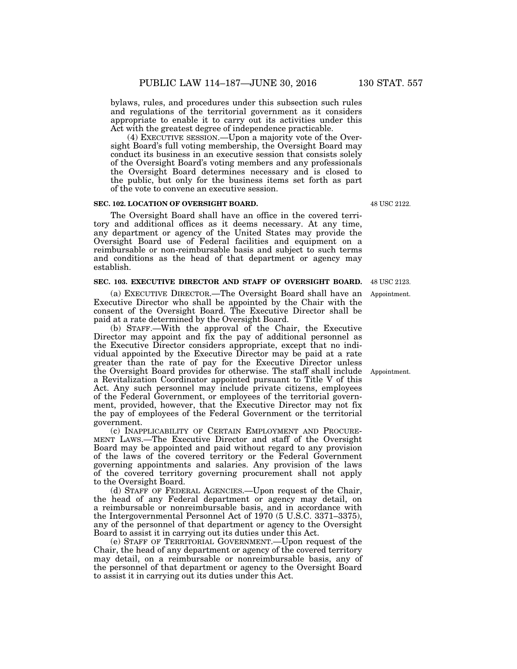bylaws, rules, and procedures under this subsection such rules and regulations of the territorial government as it considers appropriate to enable it to carry out its activities under this Act with the greatest degree of independence practicable.

(4) EXECUTIVE SESSION.—Upon a majority vote of the Oversight Board's full voting membership, the Oversight Board may conduct its business in an executive session that consists solely of the Oversight Board's voting members and any professionals the Oversight Board determines necessary and is closed to the public, but only for the business items set forth as part of the vote to convene an executive session.

# **SEC. 102. LOCATION OF OVERSIGHT BOARD.**

The Oversight Board shall have an office in the covered territory and additional offices as it deems necessary. At any time, any department or agency of the United States may provide the Oversight Board use of Federal facilities and equipment on a reimbursable or non-reimbursable basis and subject to such terms and conditions as the head of that department or agency may establish.

# **SEC. 103. EXECUTIVE DIRECTOR AND STAFF OF OVERSIGHT BOARD.**

(a) EXECUTIVE DIRECTOR.—The Oversight Board shall have an Executive Director who shall be appointed by the Chair with the consent of the Oversight Board. The Executive Director shall be paid at a rate determined by the Oversight Board.

(b) STAFF.—With the approval of the Chair, the Executive Director may appoint and fix the pay of additional personnel as the Executive Director considers appropriate, except that no individual appointed by the Executive Director may be paid at a rate greater than the rate of pay for the Executive Director unless the Oversight Board provides for otherwise. The staff shall include a Revitalization Coordinator appointed pursuant to Title V of this Act. Any such personnel may include private citizens, employees of the Federal Government, or employees of the territorial government, provided, however, that the Executive Director may not fix the pay of employees of the Federal Government or the territorial government.

(c) INAPPLICABILITY OF CERTAIN EMPLOYMENT AND PROCURE-MENT LAWS.—The Executive Director and staff of the Oversight Board may be appointed and paid without regard to any provision of the laws of the covered territory or the Federal Government governing appointments and salaries. Any provision of the laws of the covered territory governing procurement shall not apply to the Oversight Board.

(d) STAFF OF FEDERAL AGENCIES.—Upon request of the Chair, the head of any Federal department or agency may detail, on a reimbursable or nonreimbursable basis, and in accordance with the Intergovernmental Personnel Act of 1970 (5 U.S.C. 3371–3375), any of the personnel of that department or agency to the Oversight Board to assist it in carrying out its duties under this Act.

(e) STAFF OF TERRITORIAL GOVERNMENT.—Upon request of the Chair, the head of any department or agency of the covered territory may detail, on a reimbursable or nonreimbursable basis, any of the personnel of that department or agency to the Oversight Board to assist it in carrying out its duties under this Act.

48 USC 2122.

Appointment.

48 USC 2123.

Appointment.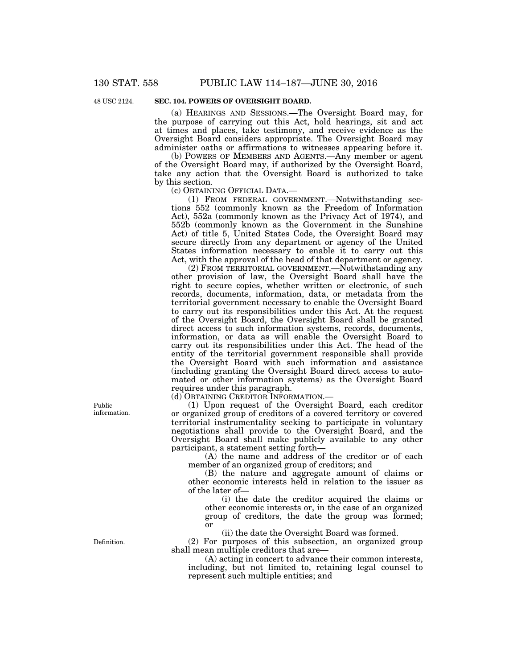48 USC 2124.

# **SEC. 104. POWERS OF OVERSIGHT BOARD.**

(a) HEARINGS AND SESSIONS.—The Oversight Board may, for the purpose of carrying out this Act, hold hearings, sit and act at times and places, take testimony, and receive evidence as the Oversight Board considers appropriate. The Oversight Board may administer oaths or affirmations to witnesses appearing before it.

(b) POWERS OF MEMBERS AND AGENTS.—Any member or agent of the Oversight Board may, if authorized by the Oversight Board, take any action that the Oversight Board is authorized to take by this section.

(c) OBTAINING OFFICIAL DATA.—

(1) FROM FEDERAL GOVERNMENT.—Notwithstanding sections 552 (commonly known as the Freedom of Information Act), 552a (commonly known as the Privacy Act of 1974), and 552b (commonly known as the Government in the Sunshine Act) of title 5, United States Code, the Oversight Board may secure directly from any department or agency of the United States information necessary to enable it to carry out this Act, with the approval of the head of that department or agency.

(2) FROM TERRITORIAL GOVERNMENT.—Notwithstanding any other provision of law, the Oversight Board shall have the right to secure copies, whether written or electronic, of such records, documents, information, data, or metadata from the territorial government necessary to enable the Oversight Board to carry out its responsibilities under this Act. At the request of the Oversight Board, the Oversight Board shall be granted direct access to such information systems, records, documents, information, or data as will enable the Oversight Board to carry out its responsibilities under this Act. The head of the entity of the territorial government responsible shall provide the Oversight Board with such information and assistance (including granting the Oversight Board direct access to automated or other information systems) as the Oversight Board requires under this paragraph.

(d) OBTAINING CREDITOR INFORMATION.—

(1) Upon request of the Oversight Board, each creditor or organized group of creditors of a covered territory or covered territorial instrumentality seeking to participate in voluntary negotiations shall provide to the Oversight Board, and the Oversight Board shall make publicly available to any other participant, a statement setting forth—

(A) the name and address of the creditor or of each member of an organized group of creditors; and

(B) the nature and aggregate amount of claims or other economic interests held in relation to the issuer as of the later of—

(i) the date the creditor acquired the claims or other economic interests or, in the case of an organized group of creditors, the date the group was formed; or

(ii) the date the Oversight Board was formed.

(2) For purposes of this subsection, an organized group shall mean multiple creditors that are—

(A) acting in concert to advance their common interests, including, but not limited to, retaining legal counsel to represent such multiple entities; and

Public information.

Definition.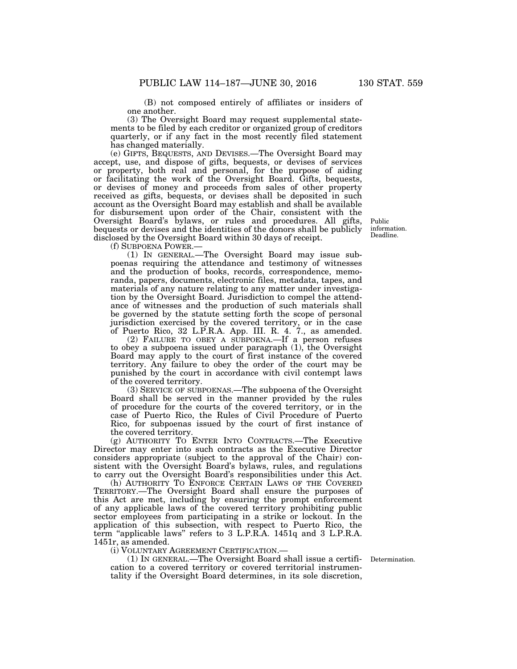(B) not composed entirely of affiliates or insiders of one another.

(3) The Oversight Board may request supplemental statements to be filed by each creditor or organized group of creditors quarterly, or if any fact in the most recently filed statement has changed materially.

(e) GIFTS, BEQUESTS, AND DEVISES.—The Oversight Board may accept, use, and dispose of gifts, bequests, or devises of services or property, both real and personal, for the purpose of aiding or facilitating the work of the Oversight Board. Gifts, bequests, or devises of money and proceeds from sales of other property received as gifts, bequests, or devises shall be deposited in such account as the Oversight Board may establish and shall be available for disbursement upon order of the Chair, consistent with the Oversight Board's bylaws, or rules and procedures. All gifts, bequests or devises and the identities of the donors shall be publicly disclosed by the Oversight Board within 30 days of receipt.

Public information. Deadline.

(f) SUBPOENA POWER.—

(1) IN GENERAL.—The Oversight Board may issue subpoenas requiring the attendance and testimony of witnesses and the production of books, records, correspondence, memoranda, papers, documents, electronic files, metadata, tapes, and materials of any nature relating to any matter under investigation by the Oversight Board. Jurisdiction to compel the attendance of witnesses and the production of such materials shall be governed by the statute setting forth the scope of personal jurisdiction exercised by the covered territory, or in the case of Puerto Rico, 32 L.P.R.A. App. III. R. 4. 7., as amended.

(2) FAILURE TO OBEY A SUBPOENA.—If a person refuses to obey a subpoena issued under paragraph (1), the Oversight Board may apply to the court of first instance of the covered territory. Any failure to obey the order of the court may be punished by the court in accordance with civil contempt laws of the covered territory.

(3) SERVICE OF SUBPOENAS.—The subpoena of the Oversight Board shall be served in the manner provided by the rules of procedure for the courts of the covered territory, or in the case of Puerto Rico, the Rules of Civil Procedure of Puerto Rico, for subpoenas issued by the court of first instance of the covered territory.

(g) AUTHORITY TO ENTER INTO CONTRACTS.—The Executive Director may enter into such contracts as the Executive Director considers appropriate (subject to the approval of the Chair) consistent with the Oversight Board's bylaws, rules, and regulations to carry out the Oversight Board's responsibilities under this Act.

(h) AUTHORITY TO ENFORCE CERTAIN LAWS OF THE COVERED TERRITORY.—The Oversight Board shall ensure the purposes of this Act are met, including by ensuring the prompt enforcement of any applicable laws of the covered territory prohibiting public sector employees from participating in a strike or lockout. In the application of this subsection, with respect to Puerto Rico, the term ''applicable laws'' refers to 3 L.P.R.A. 1451q and 3 L.P.R.A. 1451r, as amended.

(i) VOLUNTARY AGREEMENT CERTIFICATION.—

(1) IN GENERAL.—The Oversight Board shall issue a certifi-Determination. cation to a covered territory or covered territorial instrumentality if the Oversight Board determines, in its sole discretion,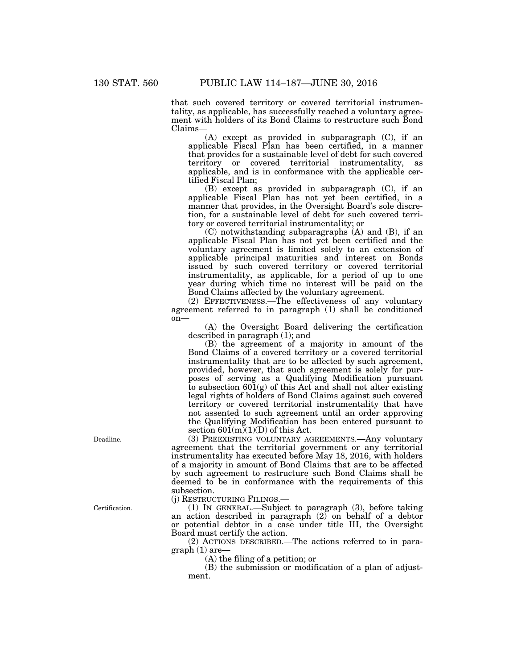that such covered territory or covered territorial instrumentality, as applicable, has successfully reached a voluntary agreement with holders of its Bond Claims to restructure such Bond Claims—

(A) except as provided in subparagraph (C), if an applicable Fiscal Plan has been certified, in a manner that provides for a sustainable level of debt for such covered territory or covered territorial instrumentality, as applicable, and is in conformance with the applicable certified Fiscal Plan;

(B) except as provided in subparagraph (C), if an applicable Fiscal Plan has not yet been certified, in a manner that provides, in the Oversight Board's sole discretion, for a sustainable level of debt for such covered territory or covered territorial instrumentality; or

(C) notwithstanding subparagraphs (A) and (B), if an applicable Fiscal Plan has not yet been certified and the voluntary agreement is limited solely to an extension of applicable principal maturities and interest on Bonds issued by such covered territory or covered territorial instrumentality, as applicable, for a period of up to one year during which time no interest will be paid on the Bond Claims affected by the voluntary agreement.

(2) EFFECTIVENESS.—The effectiveness of any voluntary agreement referred to in paragraph (1) shall be conditioned on—

(A) the Oversight Board delivering the certification described in paragraph (1); and

(B) the agreement of a majority in amount of the Bond Claims of a covered territory or a covered territorial instrumentality that are to be affected by such agreement, provided, however, that such agreement is solely for purposes of serving as a Qualifying Modification pursuant to subsection 601(g) of this Act and shall not alter existing legal rights of holders of Bond Claims against such covered territory or covered territorial instrumentality that have not assented to such agreement until an order approving the Qualifying Modification has been entered pursuant to section  $601(m)(1)(D)$  of this Act.

(3) PREEXISTING VOLUNTARY AGREEMENTS.—Any voluntary agreement that the territorial government or any territorial instrumentality has executed before May 18, 2016, with holders of a majority in amount of Bond Claims that are to be affected by such agreement to restructure such Bond Claims shall be deemed to be in conformance with the requirements of this subsection.

(j) RESTRUCTURING FILINGS.—

(1) IN GENERAL.—Subject to paragraph (3), before taking an action described in paragraph  $(2)$  on behalf of a debtor or potential debtor in a case under title III, the Oversight Board must certify the action.

(2) ACTIONS DESCRIBED.—The actions referred to in paragraph (1) are—

(A) the filing of a petition; or

(B) the submission or modification of a plan of adjustment.

Deadline.

Certification.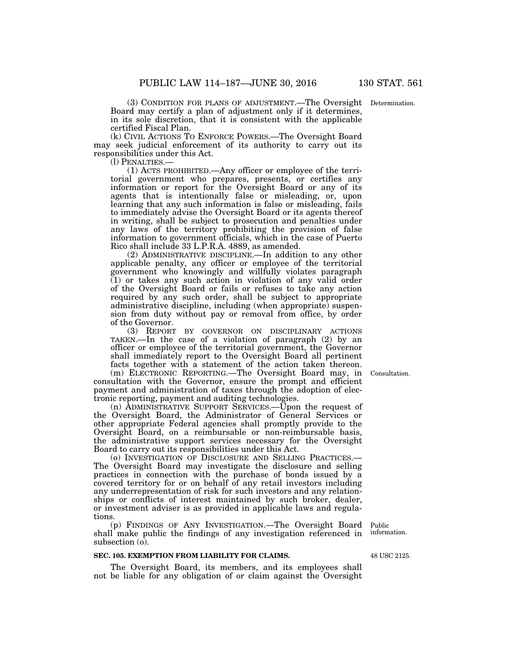(3) CONDITION FOR PLANS OF ADJUSTMENT.—The Oversight Determination. Board may certify a plan of adjustment only if it determines, in its sole discretion, that it is consistent with the applicable certified Fiscal Plan.

(k) CIVIL ACTIONS TO ENFORCE POWERS.—The Oversight Board may seek judicial enforcement of its authority to carry out its responsibilities under this Act.

(l) PENALTIES.— (1) ACTS PROHIBITED.—Any officer or employee of the territorial government who prepares, presents, or certifies any information or report for the Oversight Board or any of its agents that is intentionally false or misleading, or, upon learning that any such information is false or misleading, fails to immediately advise the Oversight Board or its agents thereof in writing, shall be subject to prosecution and penalties under any laws of the territory prohibiting the provision of false information to government officials, which in the case of Puerto Rico shall include 33 L.P.R.A. 4889, as amended.

(2) ADMINISTRATIVE DISCIPLINE.—In addition to any other applicable penalty, any officer or employee of the territorial government who knowingly and willfully violates paragraph (1) or takes any such action in violation of any valid order of the Oversight Board or fails or refuses to take any action required by any such order, shall be subject to appropriate administrative discipline, including (when appropriate) suspension from duty without pay or removal from office, by order of the Governor.

(3) REPORT BY GOVERNOR ON DISCIPLINARY ACTIONS TAKEN.—In the case of a violation of paragraph (2) by an officer or employee of the territorial government, the Governor shall immediately report to the Oversight Board all pertinent facts together with a statement of the action taken thereon.

(m) ELECTRONIC REPORTING.—The Oversight Board may, in consultation with the Governor, ensure the prompt and efficient payment and administration of taxes through the adoption of electronic reporting, payment and auditing technologies.

(n) ADMINISTRATIVE SUPPORT SERVICES.—Upon the request of the Oversight Board, the Administrator of General Services or other appropriate Federal agencies shall promptly provide to the Oversight Board, on a reimbursable or non-reimbursable basis, the administrative support services necessary for the Oversight Board to carry out its responsibilities under this Act.

(o) INVESTIGATION OF DISCLOSURE AND SELLING PRACTICES.— The Oversight Board may investigate the disclosure and selling practices in connection with the purchase of bonds issued by a covered territory for or on behalf of any retail investors including any underrepresentation of risk for such investors and any relationships or conflicts of interest maintained by such broker, dealer, or investment adviser is as provided in applicable laws and regulations.

(p) FINDINGS OF ANY INVESTIGATION.—The Oversight Board shall make public the findings of any investigation referenced in subsection (o).

#### **SEC. 105. EXEMPTION FROM LIABILITY FOR CLAIMS.**

The Oversight Board, its members, and its employees shall not be liable for any obligation of or claim against the Oversight

Consultation.

Public information.

48 USC 2125.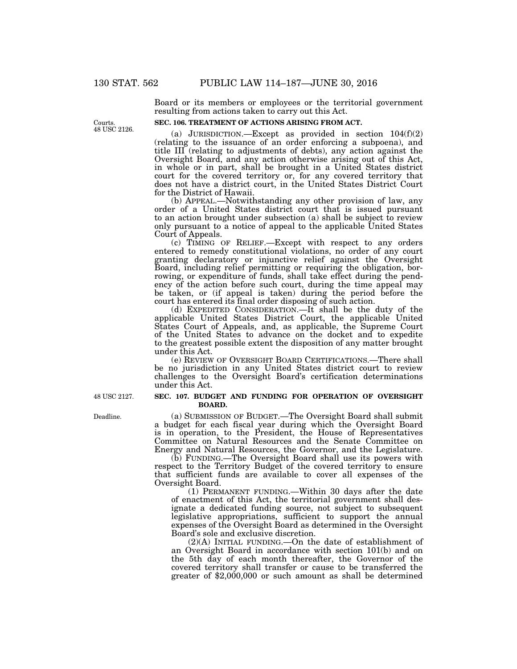Board or its members or employees or the territorial government resulting from actions taken to carry out this Act.

#### **SEC. 106. TREATMENT OF ACTIONS ARISING FROM ACT.**

(a) JURISDICTION.—Except as provided in section  $104(f)(2)$ (relating to the issuance of an order enforcing a subpoena), and title III (relating to adjustments of debts), any action against the Oversight Board, and any action otherwise arising out of this Act, in whole or in part, shall be brought in a United States district court for the covered territory or, for any covered territory that does not have a district court, in the United States District Court for the District of Hawaii.

(b) APPEAL.—Notwithstanding any other provision of law, any order of a United States district court that is issued pursuant to an action brought under subsection (a) shall be subject to review only pursuant to a notice of appeal to the applicable United States Court of Appeals.

(c) TIMING OF RELIEF.—Except with respect to any orders entered to remedy constitutional violations, no order of any court granting declaratory or injunctive relief against the Oversight Board, including relief permitting or requiring the obligation, borrowing, or expenditure of funds, shall take effect during the pendency of the action before such court, during the time appeal may be taken, or (if appeal is taken) during the period before the court has entered its final order disposing of such action.

(d) EXPEDITED CONSIDERATION.—It shall be the duty of the applicable United States District Court, the applicable United States Court of Appeals, and, as applicable, the Supreme Court of the United States to advance on the docket and to expedite to the greatest possible extent the disposition of any matter brought under this Act.

(e) REVIEW OF OVERSIGHT BOARD CERTIFICATIONS.—There shall be no jurisdiction in any United States district court to review challenges to the Oversight Board's certification determinations under this Act.

#### **SEC. 107. BUDGET AND FUNDING FOR OPERATION OF OVERSIGHT BOARD.**

(a) SUBMISSION OF BUDGET.—The Oversight Board shall submit a budget for each fiscal year during which the Oversight Board is in operation, to the President, the House of Representatives Committee on Natural Resources and the Senate Committee on Energy and Natural Resources, the Governor, and the Legislature.

(b) FUNDING.—The Oversight Board shall use its powers with respect to the Territory Budget of the covered territory to ensure that sufficient funds are available to cover all expenses of the Oversight Board.

(1) PERMANENT FUNDING.—Within 30 days after the date of enactment of this Act, the territorial government shall designate a dedicated funding source, not subject to subsequent legislative appropriations, sufficient to support the annual expenses of the Oversight Board as determined in the Oversight Board's sole and exclusive discretion.

(2)(A) INITIAL FUNDING.—On the date of establishment of an Oversight Board in accordance with section 101(b) and on the 5th day of each month thereafter, the Governor of the covered territory shall transfer or cause to be transferred the greater of \$2,000,000 or such amount as shall be determined

48 USC 2127.

Deadline.

Courts. 48 USC 2126.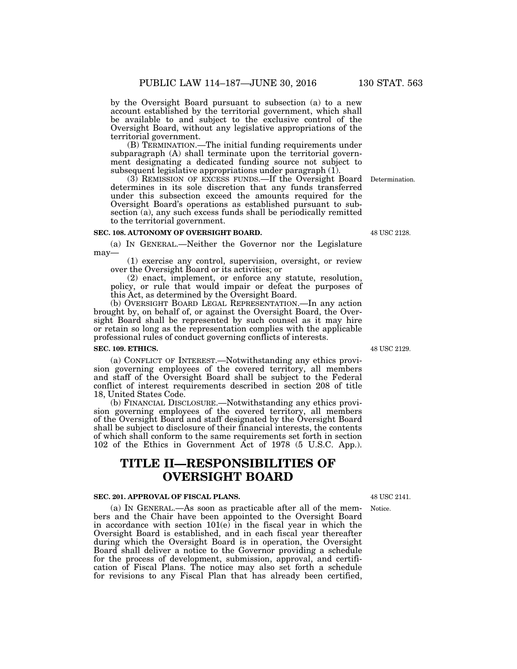by the Oversight Board pursuant to subsection (a) to a new account established by the territorial government, which shall be available to and subject to the exclusive control of the Oversight Board, without any legislative appropriations of the territorial government.

(B) TERMINATION.—The initial funding requirements under subparagraph (A) shall terminate upon the territorial government designating a dedicated funding source not subject to subsequent legislative appropriations under paragraph (1).

(3) REMISSION OF EXCESS FUNDS.—If the Oversight Board Determination. determines in its sole discretion that any funds transferred under this subsection exceed the amounts required for the Oversight Board's operations as established pursuant to subsection (a), any such excess funds shall be periodically remitted to the territorial government.

# **SEC. 108. AUTONOMY OF OVERSIGHT BOARD.**

(a) IN GENERAL.—Neither the Governor nor the Legislature may—

(1) exercise any control, supervision, oversight, or review over the Oversight Board or its activities; or

(2) enact, implement, or enforce any statute, resolution, policy, or rule that would impair or defeat the purposes of this Act, as determined by the Oversight Board.

(b) OVERSIGHT BOARD LEGAL REPRESENTATION.—In any action brought by, on behalf of, or against the Oversight Board, the Oversight Board shall be represented by such counsel as it may hire or retain so long as the representation complies with the applicable professional rules of conduct governing conflicts of interests.

#### **SEC. 109. ETHICS.**

(a) CONFLICT OF INTEREST.—Notwithstanding any ethics provision governing employees of the covered territory, all members and staff of the Oversight Board shall be subject to the Federal conflict of interest requirements described in section 208 of title 18, United States Code.

(b) FINANCIAL DISCLOSURE.—Notwithstanding any ethics provision governing employees of the covered territory, all members of the Oversight Board and staff designated by the Oversight Board shall be subject to disclosure of their financial interests, the contents of which shall conform to the same requirements set forth in section 102 of the Ethics in Government Act of 1978 (5 U.S.C. App.).

# **TITLE II—RESPONSIBILITIES OF OVERSIGHT BOARD**

### **SEC. 201. APPROVAL OF FISCAL PLANS.**

(a) IN GENERAL.—As soon as practicable after all of the members and the Chair have been appointed to the Oversight Board in accordance with section 101(e) in the fiscal year in which the Oversight Board is established, and in each fiscal year thereafter during which the Oversight Board is in operation, the Oversight Board shall deliver a notice to the Governor providing a schedule for the process of development, submission, approval, and certification of Fiscal Plans. The notice may also set forth a schedule for revisions to any Fiscal Plan that has already been certified,

48 USC 2129.

48 USC 2141.

Notice.

48 USC 2128.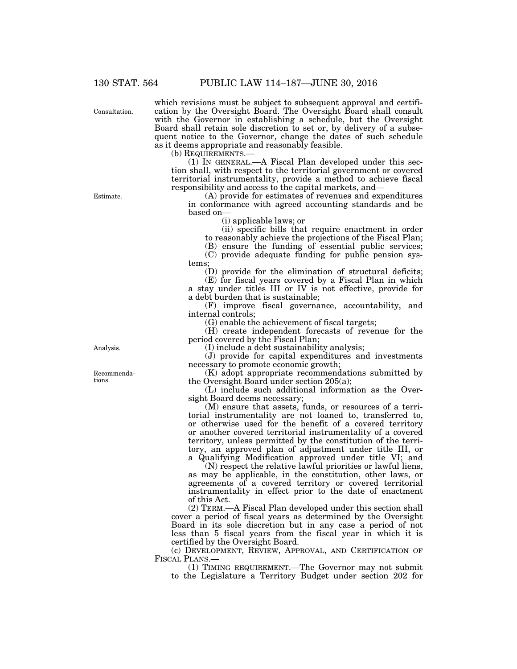Consultation.

which revisions must be subject to subsequent approval and certification by the Oversight Board. The Oversight Board shall consult with the Governor in establishing a schedule, but the Oversight Board shall retain sole discretion to set or, by delivery of a subsequent notice to the Governor, change the dates of such schedule as it deems appropriate and reasonably feasible.<br>(b) REQUIREMENTS.—

 $(1)$  In GENERAL.—A Fiscal Plan developed under this section shall, with respect to the territorial government or covered territorial instrumentality, provide a method to achieve fiscal responsibility and access to the capital markets, and—

(A) provide for estimates of revenues and expenditures in conformance with agreed accounting standards and be based on—

(i) applicable laws; or

(ii) specific bills that require enactment in order to reasonably achieve the projections of the Fiscal Plan;

(B) ensure the funding of essential public services;

(C) provide adequate funding for public pension systems;

(D) provide for the elimination of structural deficits; (E) for fiscal years covered by a Fiscal Plan in which

a stay under titles III or IV is not effective, provide for a debt burden that is sustainable;

(F) improve fiscal governance, accountability, and internal controls;

(G) enable the achievement of fiscal targets;

(H) create independent forecasts of revenue for the period covered by the Fiscal Plan;

(I) include a debt sustainability analysis;

(J) provide for capital expenditures and investments necessary to promote economic growth;

(K) adopt appropriate recommendations submitted by the Oversight Board under section 205(a);

(L) include such additional information as the Oversight Board deems necessary;

(M) ensure that assets, funds, or resources of a territorial instrumentality are not loaned to, transferred to, or otherwise used for the benefit of a covered territory or another covered territorial instrumentality of a covered territory, unless permitted by the constitution of the territory, an approved plan of adjustment under title III, or a Qualifying Modification approved under title VI; and

(N) respect the relative lawful priorities or lawful liens, as may be applicable, in the constitution, other laws, or agreements of a covered territory or covered territorial instrumentality in effect prior to the date of enactment of this Act.

(2) TERM.—A Fiscal Plan developed under this section shall cover a period of fiscal years as determined by the Oversight Board in its sole discretion but in any case a period of not less than 5 fiscal years from the fiscal year in which it is certified by the Oversight Board.

(c) DEVELOPMENT, REVIEW, APPROVAL, AND CERTIFICATION OF FISCAL PLANS.—<br>(1) TIMING REQUIREMENT.—The Governor may not submit

to the Legislature a Territory Budget under section 202 for

Analysis.

Recommendations.

Estimate.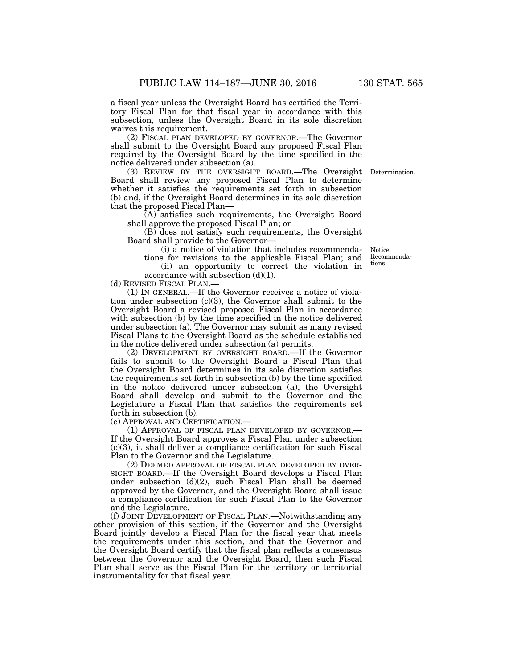a fiscal year unless the Oversight Board has certified the Territory Fiscal Plan for that fiscal year in accordance with this subsection, unless the Oversight Board in its sole discretion waives this requirement.

(2) FISCAL PLAN DEVELOPED BY GOVERNOR.—The Governor shall submit to the Oversight Board any proposed Fiscal Plan required by the Oversight Board by the time specified in the notice delivered under subsection (a).

(3) REVIEW BY THE OVERSIGHT BOARD.—The Oversight Determination. Board shall review any proposed Fiscal Plan to determine whether it satisfies the requirements set forth in subsection (b) and, if the Oversight Board determines in its sole discretion that the proposed Fiscal Plan—

(A) satisfies such requirements, the Oversight Board shall approve the proposed Fiscal Plan; or

(B) does not satisfy such requirements, the Oversight Board shall provide to the Governor—

(i) a notice of violation that includes recommenda-

tions for revisions to the applicable Fiscal Plan; and (ii) an opportunity to correct the violation in

accordance with subsection  $(d)(1)$ .

(d) REVISED FISCAL PLAN.—

(1) IN GENERAL.—If the Governor receives a notice of violation under subsection (c)(3), the Governor shall submit to the Oversight Board a revised proposed Fiscal Plan in accordance with subsection (b) by the time specified in the notice delivered under subsection (a). The Governor may submit as many revised Fiscal Plans to the Oversight Board as the schedule established in the notice delivered under subsection (a) permits.

(2) DEVELOPMENT BY OVERSIGHT BOARD.—If the Governor fails to submit to the Oversight Board a Fiscal Plan that the Oversight Board determines in its sole discretion satisfies the requirements set forth in subsection (b) by the time specified in the notice delivered under subsection (a), the Oversight Board shall develop and submit to the Governor and the Legislature a Fiscal Plan that satisfies the requirements set forth in subsection (b).

(e) APPROVAL AND CERTIFICATION.—

(1) APPROVAL OF FISCAL PLAN DEVELOPED BY GOVERNOR.— If the Oversight Board approves a Fiscal Plan under subsection (c)(3), it shall deliver a compliance certification for such Fiscal Plan to the Governor and the Legislature.

(2) DEEMED APPROVAL OF FISCAL PLAN DEVELOPED BY OVER-SIGHT BOARD.—If the Oversight Board develops a Fiscal Plan under subsection (d)(2), such Fiscal Plan shall be deemed approved by the Governor, and the Oversight Board shall issue a compliance certification for such Fiscal Plan to the Governor and the Legislature.

(f) JOINT DEVELOPMENT OF FISCAL PLAN.—Notwithstanding any other provision of this section, if the Governor and the Oversight Board jointly develop a Fiscal Plan for the fiscal year that meets the requirements under this section, and that the Governor and the Oversight Board certify that the fiscal plan reflects a consensus between the Governor and the Oversight Board, then such Fiscal Plan shall serve as the Fiscal Plan for the territory or territorial instrumentality for that fiscal year.

Notice. Recommendations.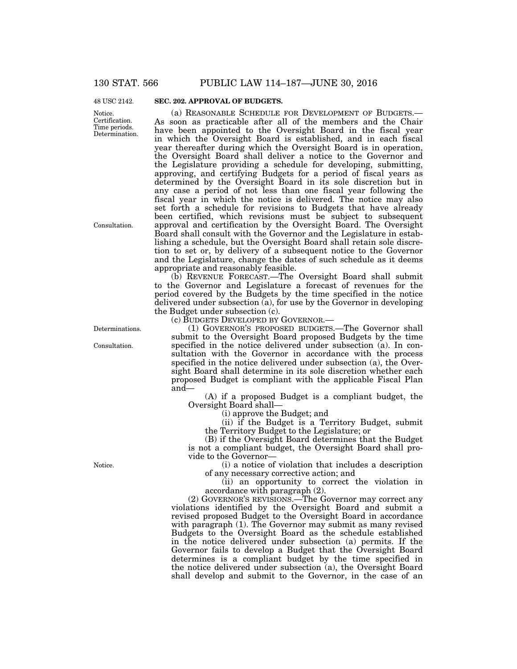48 USC 2142.

Notice. Certification. Time periods. Determination.

# **SEC. 202. APPROVAL OF BUDGETS.**

(a) REASONABLE SCHEDULE FOR DEVELOPMENT OF BUDGETS.— As soon as practicable after all of the members and the Chair have been appointed to the Oversight Board in the fiscal year in which the Oversight Board is established, and in each fiscal year thereafter during which the Oversight Board is in operation, the Oversight Board shall deliver a notice to the Governor and the Legislature providing a schedule for developing, submitting, approving, and certifying Budgets for a period of fiscal years as determined by the Oversight Board in its sole discretion but in any case a period of not less than one fiscal year following the fiscal year in which the notice is delivered. The notice may also set forth a schedule for revisions to Budgets that have already been certified, which revisions must be subject to subsequent approval and certification by the Oversight Board. The Oversight Board shall consult with the Governor and the Legislature in establishing a schedule, but the Oversight Board shall retain sole discretion to set or, by delivery of a subsequent notice to the Governor and the Legislature, change the dates of such schedule as it deems appropriate and reasonably feasible.

(b) REVENUE FORECAST.—The Oversight Board shall submit to the Governor and Legislature a forecast of revenues for the period covered by the Budgets by the time specified in the notice delivered under subsection (a), for use by the Governor in developing the Budget under subsection (c).

(c) BUDGETS DEVELOPED BY GOVERNOR.—

(1) GOVERNOR'S PROPOSED BUDGETS.—The Governor shall submit to the Oversight Board proposed Budgets by the time specified in the notice delivered under subsection (a). In consultation with the Governor in accordance with the process specified in the notice delivered under subsection (a), the Oversight Board shall determine in its sole discretion whether each proposed Budget is compliant with the applicable Fiscal Plan and—

(A) if a proposed Budget is a compliant budget, the Oversight Board shall—

(i) approve the Budget; and

(ii) if the Budget is a Territory Budget, submit the Territory Budget to the Legislature; or

(B) if the Oversight Board determines that the Budget is not a compliant budget, the Oversight Board shall provide to the Governor—

(i) a notice of violation that includes a description of any necessary corrective action; and

(ii) an opportunity to correct the violation in accordance with paragraph (2).

(2) GOVERNOR'S REVISIONS.—The Governor may correct any violations identified by the Oversight Board and submit a revised proposed Budget to the Oversight Board in accordance with paragraph (1). The Governor may submit as many revised Budgets to the Oversight Board as the schedule established in the notice delivered under subsection (a) permits. If the Governor fails to develop a Budget that the Oversight Board determines is a compliant budget by the time specified in the notice delivered under subsection (a), the Oversight Board shall develop and submit to the Governor, in the case of an

Consultation.

Determinations.

Consultation.

Notice.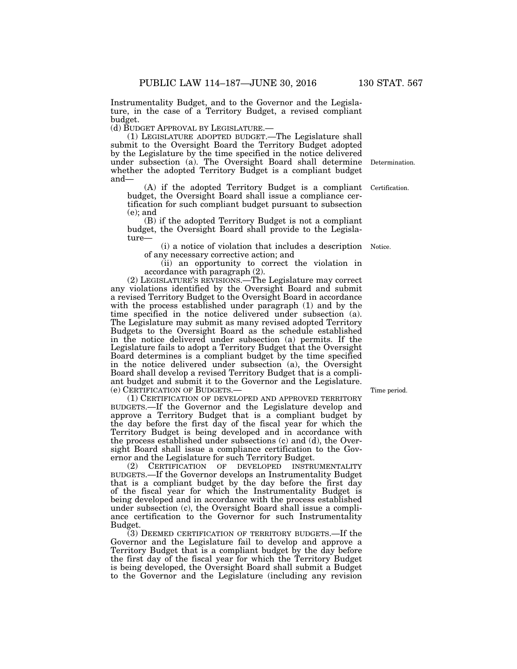Instrumentality Budget, and to the Governor and the Legislature, in the case of a Territory Budget, a revised compliant budget.

(d) BUDGET APPROVAL BY LEGISLATURE.— (1) LEGISLATURE ADOPTED BUDGET.—The Legislature shall submit to the Oversight Board the Territory Budget adopted by the Legislature by the time specified in the notice delivered under subsection (a). The Oversight Board shall determine whether the adopted Territory Budget is a compliant budget and— Certification. Determination.

(A) if the adopted Territory Budget is a compliant budget, the Oversight Board shall issue a compliance certification for such compliant budget pursuant to subsection (e); and

(B) if the adopted Territory Budget is not a compliant budget, the Oversight Board shall provide to the Legislature—

(i) a notice of violation that includes a description Notice. of any necessary corrective action; and

(ii) an opportunity to correct the violation in accordance with paragraph (2).

(2) LEGISLATURE'S REVISIONS.—The Legislature may correct any violations identified by the Oversight Board and submit a revised Territory Budget to the Oversight Board in accordance with the process established under paragraph (1) and by the time specified in the notice delivered under subsection (a). The Legislature may submit as many revised adopted Territory Budgets to the Oversight Board as the schedule established in the notice delivered under subsection (a) permits. If the Legislature fails to adopt a Territory Budget that the Oversight Board determines is a compliant budget by the time specified in the notice delivered under subsection (a), the Oversight Board shall develop a revised Territory Budget that is a compliant budget and submit it to the Governor and the Legislature.<br>(e) CERTIFICATION OF BUDGETS.—

 $(1)$  CERTIFICATION OF DEVELOPED AND APPROVED TERRITORY BUDGETS.—If the Governor and the Legislature develop and approve a Territory Budget that is a compliant budget by the day before the first day of the fiscal year for which the Territory Budget is being developed and in accordance with the process established under subsections (c) and (d), the Oversight Board shall issue a compliance certification to the Governor and the Legislature for such Territory Budget.

(2) CERTIFICATION OF DEVELOPED INSTRUMENTALITY BUDGETS.—If the Governor develops an Instrumentality Budget that is a compliant budget by the day before the first day of the fiscal year for which the Instrumentality Budget is being developed and in accordance with the process established under subsection (c), the Oversight Board shall issue a compliance certification to the Governor for such Instrumentality Budget.

(3) DEEMED CERTIFICATION OF TERRITORY BUDGETS.—If the Governor and the Legislature fail to develop and approve a Territory Budget that is a compliant budget by the day before the first day of the fiscal year for which the Territory Budget is being developed, the Oversight Board shall submit a Budget to the Governor and the Legislature (including any revision

Time period.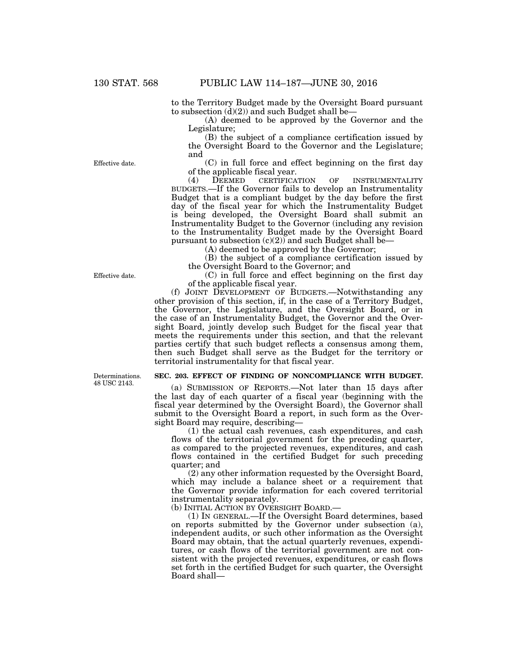to the Territory Budget made by the Oversight Board pursuant to subsection  $(d)(2)$  and such Budget shall be—

(A) deemed to be approved by the Governor and the Legislature;

(B) the subject of a compliance certification issued by the Oversight Board to the Governor and the Legislature; and

(C) in full force and effect beginning on the first day of the applicable fiscal year.<br>(4) DEEMED CERTIFICATION

(4) DEEMED CERTIFICATION OF INSTRUMENTALITY BUDGETS.—If the Governor fails to develop an Instrumentality Budget that is a compliant budget by the day before the first day of the fiscal year for which the Instrumentality Budget is being developed, the Oversight Board shall submit an Instrumentality Budget to the Governor (including any revision to the Instrumentality Budget made by the Oversight Board pursuant to subsection  $(c)(2)$  and such Budget shall be-

(A) deemed to be approved by the Governor;

(B) the subject of a compliance certification issued by the Oversight Board to the Governor; and

(C) in full force and effect beginning on the first day of the applicable fiscal year.

(f) JOINT DEVELOPMENT OF BUDGETS.—Notwithstanding any other provision of this section, if, in the case of a Territory Budget, the Governor, the Legislature, and the Oversight Board, or in the case of an Instrumentality Budget, the Governor and the Oversight Board, jointly develop such Budget for the fiscal year that meets the requirements under this section, and that the relevant parties certify that such budget reflects a consensus among them, then such Budget shall serve as the Budget for the territory or territorial instrumentality for that fiscal year.

#### **SEC. 203. EFFECT OF FINDING OF NONCOMPLIANCE WITH BUDGET.**

(a) SUBMISSION OF REPORTS.—Not later than 15 days after the last day of each quarter of a fiscal year (beginning with the fiscal year determined by the Oversight Board), the Governor shall submit to the Oversight Board a report, in such form as the Oversight Board may require, describing—

(1) the actual cash revenues, cash expenditures, and cash flows of the territorial government for the preceding quarter, as compared to the projected revenues, expenditures, and cash flows contained in the certified Budget for such preceding quarter; and

(2) any other information requested by the Oversight Board, which may include a balance sheet or a requirement that the Governor provide information for each covered territorial instrumentality separately.

(b) INITIAL ACTION BY OVERSIGHT BOARD.—

(1) IN GENERAL.—If the Oversight Board determines, based on reports submitted by the Governor under subsection (a), independent audits, or such other information as the Oversight Board may obtain, that the actual quarterly revenues, expenditures, or cash flows of the territorial government are not consistent with the projected revenues, expenditures, or cash flows set forth in the certified Budget for such quarter, the Oversight Board shall—

Effective date.

Effective date.

Determinations. 48 USC 2143.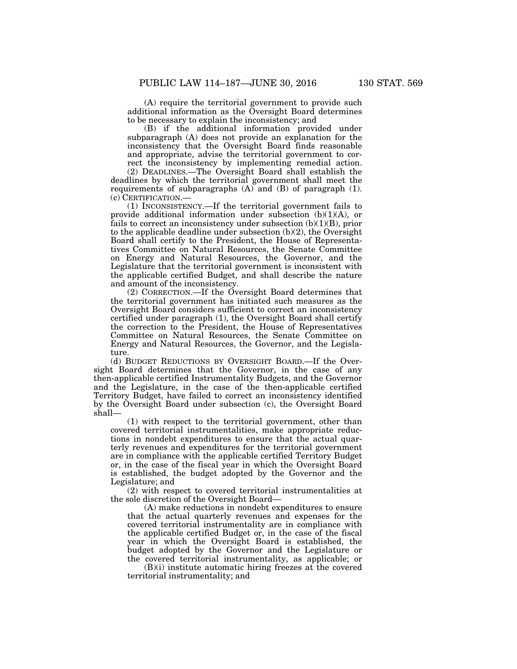(A) require the territorial government to provide such additional information as the Oversight Board determines to be necessary to explain the inconsistency; and

(B) if the additional information provided under subparagraph (A) does not provide an explanation for the inconsistency that the Oversight Board finds reasonable and appropriate, advise the territorial government to correct the inconsistency by implementing remedial action.

(2) DEADLINES.—The Oversight Board shall establish the deadlines by which the territorial government shall meet the requirements of subparagraphs (A) and (B) of paragraph (1). (c) CERTIFICATION.—

(1) INCONSISTENCY.—If the territorial government fails to provide additional information under subsection (b)(1)(A), or fails to correct an inconsistency under subsection  $(b)(1)(B)$ , prior to the applicable deadline under subsection (b)(2), the Oversight Board shall certify to the President, the House of Representatives Committee on Natural Resources, the Senate Committee on Energy and Natural Resources, the Governor, and the Legislature that the territorial government is inconsistent with the applicable certified Budget, and shall describe the nature and amount of the inconsistency.

(2) CORRECTION.—If the Oversight Board determines that the territorial government has initiated such measures as the Oversight Board considers sufficient to correct an inconsistency certified under paragraph (1), the Oversight Board shall certify the correction to the President, the House of Representatives Committee on Natural Resources, the Senate Committee on Energy and Natural Resources, the Governor, and the Legislature.

(d) BUDGET REDUCTIONS BY OVERSIGHT BOARD.—If the Oversight Board determines that the Governor, in the case of any then-applicable certified Instrumentality Budgets, and the Governor and the Legislature, in the case of the then-applicable certified Territory Budget, have failed to correct an inconsistency identified by the Oversight Board under subsection (c), the Oversight Board shall—

(1) with respect to the territorial government, other than covered territorial instrumentalities, make appropriate reductions in nondebt expenditures to ensure that the actual quarterly revenues and expenditures for the territorial government are in compliance with the applicable certified Territory Budget or, in the case of the fiscal year in which the Oversight Board is established, the budget adopted by the Governor and the Legislature; and

(2) with respect to covered territorial instrumentalities at the sole discretion of the Oversight Board—

(A) make reductions in nondebt expenditures to ensure that the actual quarterly revenues and expenses for the covered territorial instrumentality are in compliance with the applicable certified Budget or, in the case of the fiscal year in which the Oversight Board is established, the budget adopted by the Governor and the Legislature or the covered territorial instrumentality, as applicable; or

(B)(i) institute automatic hiring freezes at the covered territorial instrumentality; and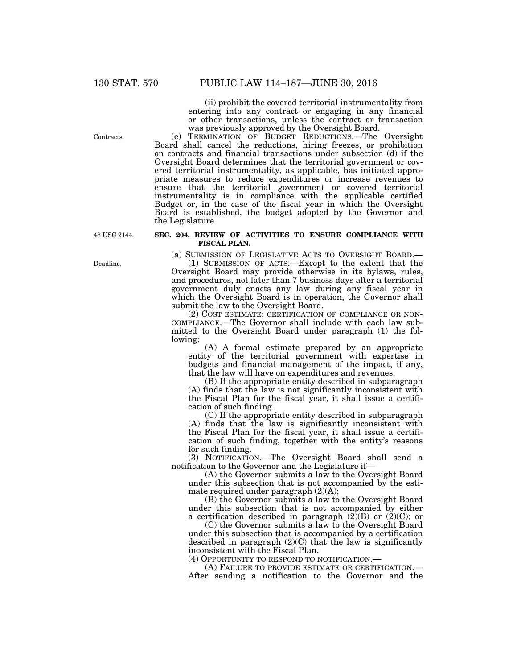(ii) prohibit the covered territorial instrumentality from entering into any contract or engaging in any financial or other transactions, unless the contract or transaction was previously approved by the Oversight Board.

(e) TERMINATION OF BUDGET REDUCTIONS.—The Oversight Board shall cancel the reductions, hiring freezes, or prohibition on contracts and financial transactions under subsection (d) if the Oversight Board determines that the territorial government or covered territorial instrumentality, as applicable, has initiated appropriate measures to reduce expenditures or increase revenues to ensure that the territorial government or covered territorial instrumentality is in compliance with the applicable certified Budget or, in the case of the fiscal year in which the Oversight Board is established, the budget adopted by the Governor and the Legislature.

48 USC 2144.

# **SEC. 204. REVIEW OF ACTIVITIES TO ENSURE COMPLIANCE WITH FISCAL PLAN.**

(a) SUBMISSION OF LEGISLATIVE ACTS TO OVERSIGHT BOARD.—

(1) SUBMISSION OF ACTS.—Except to the extent that the Oversight Board may provide otherwise in its bylaws, rules, and procedures, not later than 7 business days after a territorial government duly enacts any law during any fiscal year in which the Oversight Board is in operation, the Governor shall submit the law to the Oversight Board.

(2) COST ESTIMATE; CERTIFICATION OF COMPLIANCE OR NON-COMPLIANCE.—The Governor shall include with each law submitted to the Oversight Board under paragraph (1) the following:

(A) A formal estimate prepared by an appropriate entity of the territorial government with expertise in budgets and financial management of the impact, if any, that the law will have on expenditures and revenues.

(B) If the appropriate entity described in subparagraph (A) finds that the law is not significantly inconsistent with the Fiscal Plan for the fiscal year, it shall issue a certification of such finding.

(C) If the appropriate entity described in subparagraph (A) finds that the law is significantly inconsistent with the Fiscal Plan for the fiscal year, it shall issue a certification of such finding, together with the entity's reasons for such finding.

(3) NOTIFICATION.—The Oversight Board shall send a notification to the Governor and the Legislature if—

(A) the Governor submits a law to the Oversight Board under this subsection that is not accompanied by the estimate required under paragraph (2)(A);

(B) the Governor submits a law to the Oversight Board under this subsection that is not accompanied by either a certification described in paragraph  $(2)(B)$  or  $(2)(C)$ ; or

(C) the Governor submits a law to the Oversight Board under this subsection that is accompanied by a certification described in paragraph  $(2)(C)$  that the law is significantly inconsistent with the Fiscal Plan.

(4) OPPORTUNITY TO RESPOND TO NOTIFICATION.— (A) FAILURE TO PROVIDE ESTIMATE OR CERTIFICATION.— After sending a notification to the Governor and the

Contracts.

Deadline.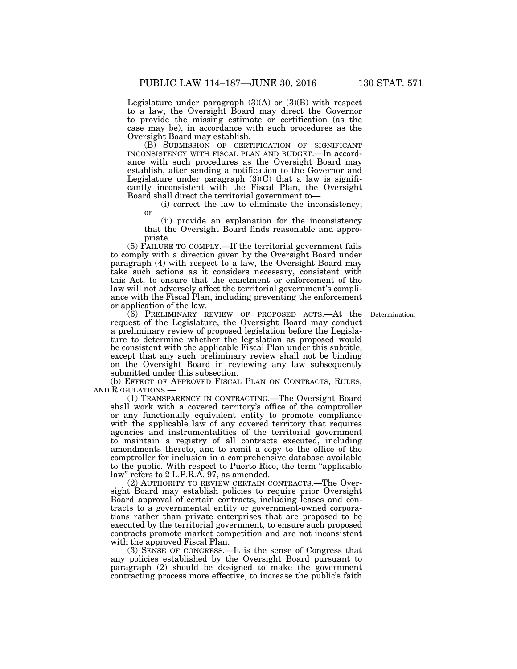Legislature under paragraph  $(3)(A)$  or  $(3)(B)$  with respect to a law, the Oversight Board may direct the Governor to provide the missing estimate or certification (as the case may be), in accordance with such procedures as the Oversight Board may establish.

(B) SUBMISSION OF CERTIFICATION OF SIGNIFICANT INCONSISTENCY WITH FISCAL PLAN AND BUDGET.—In accordance with such procedures as the Oversight Board may establish, after sending a notification to the Governor and Legislature under paragraph  $(3)(C)$  that a law is significantly inconsistent with the Fiscal Plan, the Oversight Board shall direct the territorial government to—

(i) correct the law to eliminate the inconsistency; or

(ii) provide an explanation for the inconsistency that the Oversight Board finds reasonable and appropriate.

(5) FAILURE TO COMPLY.—If the territorial government fails to comply with a direction given by the Oversight Board under paragraph (4) with respect to a law, the Oversight Board may take such actions as it considers necessary, consistent with this Act, to ensure that the enactment or enforcement of the law will not adversely affect the territorial government's compliance with the Fiscal Plan, including preventing the enforcement or application of the law.

**Determination** 

(6) PRELIMINARY REVIEW OF PROPOSED ACTS.—At the request of the Legislature, the Oversight Board may conduct a preliminary review of proposed legislation before the Legislature to determine whether the legislation as proposed would be consistent with the applicable Fiscal Plan under this subtitle, except that any such preliminary review shall not be binding on the Oversight Board in reviewing any law subsequently submitted under this subsection.

(b) EFFECT OF APPROVED FISCAL PLAN ON CONTRACTS, RULES, AND REGULATIONS.—

(1) TRANSPARENCY IN CONTRACTING.—The Oversight Board shall work with a covered territory's office of the comptroller or any functionally equivalent entity to promote compliance with the applicable law of any covered territory that requires agencies and instrumentalities of the territorial government to maintain a registry of all contracts executed, including amendments thereto, and to remit a copy to the office of the comptroller for inclusion in a comprehensive database available to the public. With respect to Puerto Rico, the term ''applicable law'' refers to 2 L.P.R.A. 97, as amended.

(2) AUTHORITY TO REVIEW CERTAIN CONTRACTS.—The Oversight Board may establish policies to require prior Oversight Board approval of certain contracts, including leases and contracts to a governmental entity or government-owned corporations rather than private enterprises that are proposed to be executed by the territorial government, to ensure such proposed contracts promote market competition and are not inconsistent with the approved Fiscal Plan.

(3) SENSE OF CONGRESS.—It is the sense of Congress that any policies established by the Oversight Board pursuant to paragraph (2) should be designed to make the government contracting process more effective, to increase the public's faith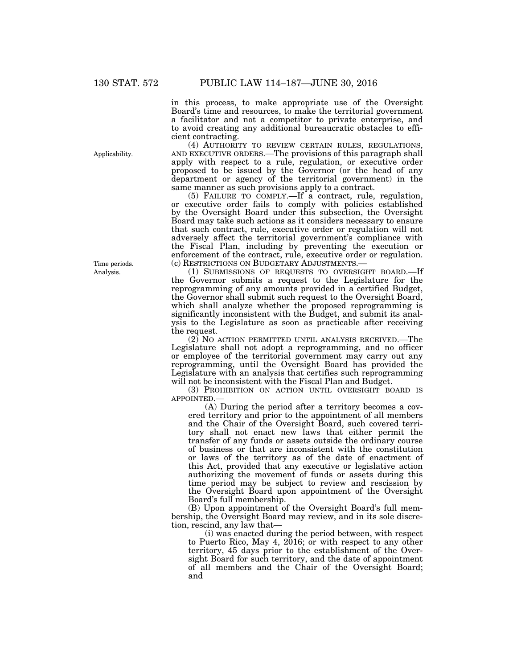in this process, to make appropriate use of the Oversight Board's time and resources, to make the territorial government a facilitator and not a competitor to private enterprise, and to avoid creating any additional bureaucratic obstacles to efficient contracting.<br>
(4) AUTHORITY TO REVIEW CERTAIN RULES, REGULATIONS,

AND EXECUTIVE ORDERS.—The provisions of this paragraph shall apply with respect to a rule, regulation, or executive order proposed to be issued by the Governor (or the head of any department or agency of the territorial government) in the same manner as such provisions apply to a contract.

(5) FAILURE TO COMPLY.—If a contract, rule, regulation, or executive order fails to comply with policies established by the Oversight Board under this subsection, the Oversight Board may take such actions as it considers necessary to ensure that such contract, rule, executive order or regulation will not adversely affect the territorial government's compliance with the Fiscal Plan, including by preventing the execution or enforcement of the contract, rule, executive order or regulation. (c) RESTRICTIONS ON BUDGETARY ADJUSTMENTS.—

(1) SUBMISSIONS OF REQUESTS TO OVERSIGHT BOARD.—If the Governor submits a request to the Legislature for the reprogramming of any amounts provided in a certified Budget, the Governor shall submit such request to the Oversight Board, which shall analyze whether the proposed reprogramming is significantly inconsistent with the Budget, and submit its analysis to the Legislature as soon as practicable after receiving the request.

 $(2)$  No action permitted until analysis received.—The Legislature shall not adopt a reprogramming, and no officer or employee of the territorial government may carry out any reprogramming, until the Oversight Board has provided the Legislature with an analysis that certifies such reprogramming will not be inconsistent with the Fiscal Plan and Budget.

(3) PROHIBITION ON ACTION UNTIL OVERSIGHT BOARD IS APPOINTED.—

(A) During the period after a territory becomes a covered territory and prior to the appointment of all members and the Chair of the Oversight Board, such covered territory shall not enact new laws that either permit the transfer of any funds or assets outside the ordinary course of business or that are inconsistent with the constitution or laws of the territory as of the date of enactment of this Act, provided that any executive or legislative action authorizing the movement of funds or assets during this time period may be subject to review and rescission by the Oversight Board upon appointment of the Oversight Board's full membership.

(B) Upon appointment of the Oversight Board's full membership, the Oversight Board may review, and in its sole discretion, rescind, any law that—

(i) was enacted during the period between, with respect to Puerto Rico, May 4, 2016; or with respect to any other territory, 45 days prior to the establishment of the Oversight Board for such territory, and the date of appointment of all members and the Chair of the Oversight Board; and

Applicability.

Analysis. Time periods.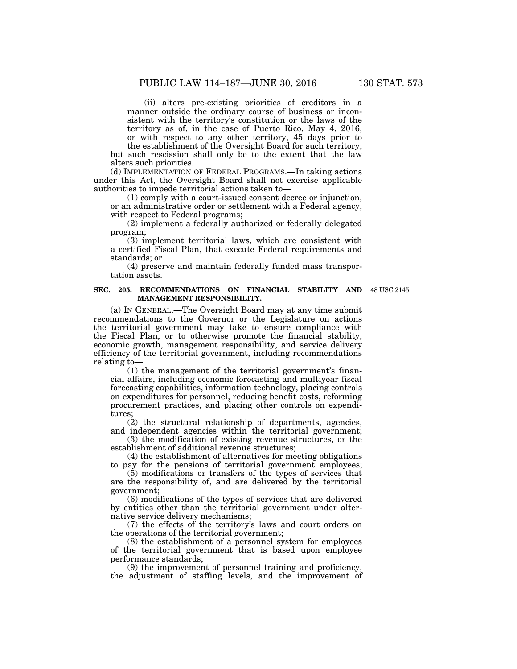(ii) alters pre-existing priorities of creditors in a manner outside the ordinary course of business or inconsistent with the territory's constitution or the laws of the territory as of, in the case of Puerto Rico, May 4, 2016, or with respect to any other territory, 45 days prior to

the establishment of the Oversight Board for such territory; but such rescission shall only be to the extent that the law alters such priorities.

(d) IMPLEMENTATION OF FEDERAL PROGRAMS.—In taking actions under this Act, the Oversight Board shall not exercise applicable authorities to impede territorial actions taken to—

(1) comply with a court-issued consent decree or injunction, or an administrative order or settlement with a Federal agency, with respect to Federal programs;

(2) implement a federally authorized or federally delegated program;

(3) implement territorial laws, which are consistent with a certified Fiscal Plan, that execute Federal requirements and standards; or

(4) preserve and maintain federally funded mass transportation assets.

#### **SEC. 205. RECOMMENDATIONS ON FINANCIAL STABILITY AND MANAGEMENT RESPONSIBILITY.**

48 USC 2145.

(a) IN GENERAL.—The Oversight Board may at any time submit recommendations to the Governor or the Legislature on actions the territorial government may take to ensure compliance with the Fiscal Plan, or to otherwise promote the financial stability, economic growth, management responsibility, and service delivery efficiency of the territorial government, including recommendations relating to—

(1) the management of the territorial government's financial affairs, including economic forecasting and multiyear fiscal forecasting capabilities, information technology, placing controls on expenditures for personnel, reducing benefit costs, reforming procurement practices, and placing other controls on expenditures;

(2) the structural relationship of departments, agencies, and independent agencies within the territorial government;

(3) the modification of existing revenue structures, or the establishment of additional revenue structures;

(4) the establishment of alternatives for meeting obligations to pay for the pensions of territorial government employees;

(5) modifications or transfers of the types of services that are the responsibility of, and are delivered by the territorial government;

(6) modifications of the types of services that are delivered by entities other than the territorial government under alternative service delivery mechanisms;

(7) the effects of the territory's laws and court orders on the operations of the territorial government;

(8) the establishment of a personnel system for employees of the territorial government that is based upon employee performance standards;

(9) the improvement of personnel training and proficiency, the adjustment of staffing levels, and the improvement of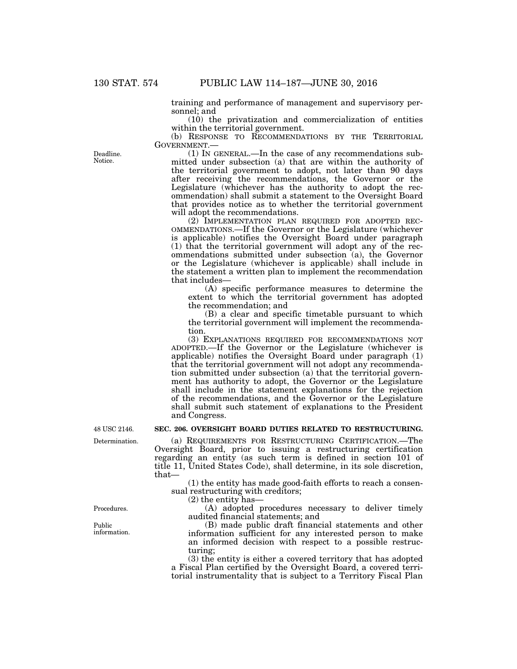training and performance of management and supervisory personnel; and

(10) the privatization and commercialization of entities within the territorial government.

(b) RESPONSE TO RECOMMENDATIONS BY THE TERRITORIAL GOVERNMENT.—

 $(1)$  In GENERAL.—In the case of any recommendations submitted under subsection (a) that are within the authority of the territorial government to adopt, not later than 90 days after receiving the recommendations, the Governor or the Legislature (whichever has the authority to adopt the recommendation) shall submit a statement to the Oversight Board that provides notice as to whether the territorial government will adopt the recommendations.<br>(2) IMPLEMENTATION PLAN REQUIRED FOR ADOPTED REC-

(2) OMMENDATIONS.—If the Governor or the Legislature (whichever is applicable) notifies the Oversight Board under paragraph (1) that the territorial government will adopt any of the recommendations submitted under subsection (a), the Governor or the Legislature (whichever is applicable) shall include in the statement a written plan to implement the recommendation that includes—

(A) specific performance measures to determine the extent to which the territorial government has adopted the recommendation; and

(B) a clear and specific timetable pursuant to which the territorial government will implement the recommendation.

(3) EXPLANATIONS REQUIRED FOR RECOMMENDATIONS NOT ADOPTED.—If the Governor or the Legislature (whichever is applicable) notifies the Oversight Board under paragraph (1) that the territorial government will not adopt any recommendation submitted under subsection (a) that the territorial government has authority to adopt, the Governor or the Legislature shall include in the statement explanations for the rejection of the recommendations, and the Governor or the Legislature shall submit such statement of explanations to the President and Congress.

# **SEC. 206. OVERSIGHT BOARD DUTIES RELATED TO RESTRUCTURING.**

(a) REQUIREMENTS FOR RESTRUCTURING CERTIFICATION.—The Oversight Board, prior to issuing a restructuring certification regarding an entity (as such term is defined in section 101 of title 11, United States Code), shall determine, in its sole discretion, that—

(1) the entity has made good-faith efforts to reach a consensual restructuring with creditors;

(2) the entity has—

(A) adopted procedures necessary to deliver timely audited financial statements; and

(B) made public draft financial statements and other information sufficient for any interested person to make an informed decision with respect to a possible restructuring;

(3) the entity is either a covered territory that has adopted a Fiscal Plan certified by the Oversight Board, a covered territorial instrumentality that is subject to a Territory Fiscal Plan

Deadline. **Notice** 

48 USC 2146.

Determination.

Procedures.

Public information.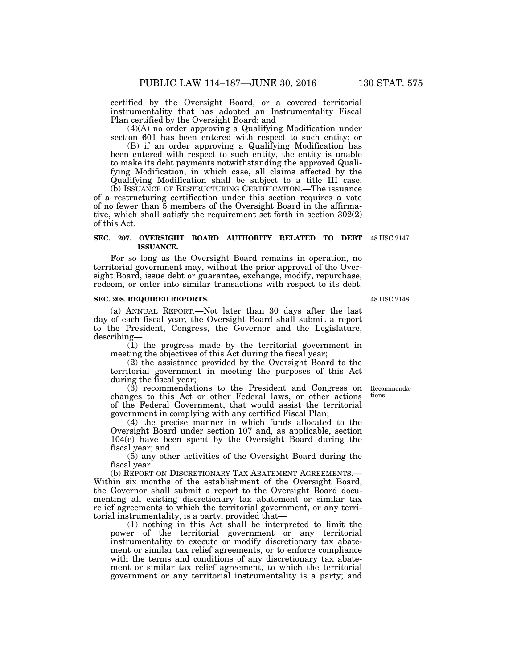certified by the Oversight Board, or a covered territorial instrumentality that has adopted an Instrumentality Fiscal Plan certified by the Oversight Board; and

(4)(A) no order approving a Qualifying Modification under section 601 has been entered with respect to such entity; or

(B) if an order approving a Qualifying Modification has been entered with respect to such entity, the entity is unable to make its debt payments notwithstanding the approved Qualifying Modification, in which case, all claims affected by the Qualifying Modification shall be subject to a title III case.

(b) ISSUANCE OF RESTRUCTURING CERTIFICATION.—The issuance of a restructuring certification under this section requires a vote of no fewer than 5 members of the Oversight Board in the affirmative, which shall satisfy the requirement set forth in section 302(2) of this Act.

#### **SEC. 207. OVERSIGHT BOARD AUTHORITY RELATED TO DEBT**  48 USC 2147. **ISSUANCE.**

For so long as the Oversight Board remains in operation, no territorial government may, without the prior approval of the Oversight Board, issue debt or guarantee, exchange, modify, repurchase, redeem, or enter into similar transactions with respect to its debt.

### **SEC. 208. REQUIRED REPORTS.**

(a) ANNUAL REPORT.—Not later than 30 days after the last day of each fiscal year, the Oversight Board shall submit a report to the President, Congress, the Governor and the Legislature, describing—

(1) the progress made by the territorial government in meeting the objectives of this Act during the fiscal year;

(2) the assistance provided by the Oversight Board to the territorial government in meeting the purposes of this Act during the fiscal year;

(3) recommendations to the President and Congress on changes to this Act or other Federal laws, or other actions of the Federal Government, that would assist the territorial government in complying with any certified Fiscal Plan;

(4) the precise manner in which funds allocated to the Oversight Board under section 107 and, as applicable, section 104(e) have been spent by the Oversight Board during the fiscal year; and

(5) any other activities of the Oversight Board during the fiscal year.

(b) REPORT ON DISCRETIONARY TAX ABATEMENT AGREEMENTS.— Within six months of the establishment of the Oversight Board, the Governor shall submit a report to the Oversight Board documenting all existing discretionary tax abatement or similar tax relief agreements to which the territorial government, or any territorial instrumentality, is a party, provided that—

(1) nothing in this Act shall be interpreted to limit the power of the territorial government or any territorial instrumentality to execute or modify discretionary tax abatement or similar tax relief agreements, or to enforce compliance with the terms and conditions of any discretionary tax abatement or similar tax relief agreement, to which the territorial government or any territorial instrumentality is a party; and

Recommendations.

48 USC 2148.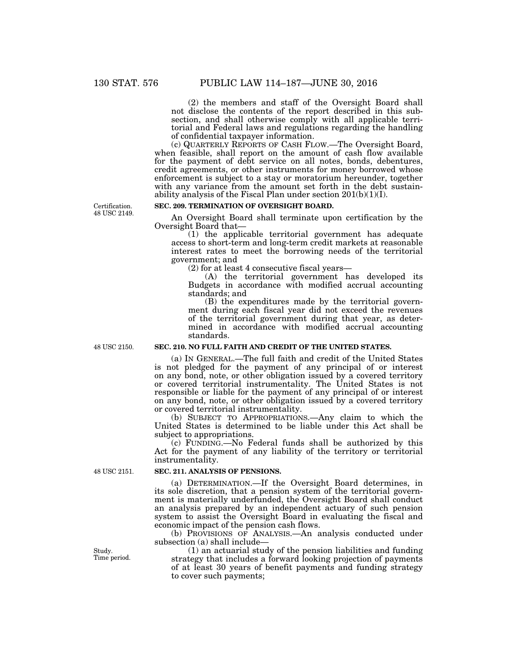(2) the members and staff of the Oversight Board shall not disclose the contents of the report described in this subsection, and shall otherwise comply with all applicable territorial and Federal laws and regulations regarding the handling of confidential taxpayer information.

(c) QUARTERLY REPORTS OF CASH FLOW.—The Oversight Board, when feasible, shall report on the amount of cash flow available for the payment of debt service on all notes, bonds, debentures, credit agreements, or other instruments for money borrowed whose enforcement is subject to a stay or moratorium hereunder, together with any variance from the amount set forth in the debt sustainability analysis of the Fiscal Plan under section 201(b)(1)(I).

Certification. 48 USC 2149.

# **SEC. 209. TERMINATION OF OVERSIGHT BOARD.**

An Oversight Board shall terminate upon certification by the Oversight Board that—

(1) the applicable territorial government has adequate access to short-term and long-term credit markets at reasonable interest rates to meet the borrowing needs of the territorial government; and

(2) for at least 4 consecutive fiscal years—

(A) the territorial government has developed its Budgets in accordance with modified accrual accounting standards; and

(B) the expenditures made by the territorial government during each fiscal year did not exceed the revenues of the territorial government during that year, as determined in accordance with modified accrual accounting standards.

48 USC 2150.

# **SEC. 210. NO FULL FAITH AND CREDIT OF THE UNITED STATES.**

(a) IN GENERAL.—The full faith and credit of the United States is not pledged for the payment of any principal of or interest on any bond, note, or other obligation issued by a covered territory or covered territorial instrumentality. The United States is not responsible or liable for the payment of any principal of or interest on any bond, note, or other obligation issued by a covered territory or covered territorial instrumentality.

(b) SUBJECT TO APPROPRIATIONS.—Any claim to which the United States is determined to be liable under this Act shall be subject to appropriations.

(c) FUNDING.—No Federal funds shall be authorized by this Act for the payment of any liability of the territory or territorial instrumentality.

# **SEC. 211. ANALYSIS OF PENSIONS.**

(a) DETERMINATION.—If the Oversight Board determines, in its sole discretion, that a pension system of the territorial government is materially underfunded, the Oversight Board shall conduct an analysis prepared by an independent actuary of such pension system to assist the Oversight Board in evaluating the fiscal and economic impact of the pension cash flows.

(b) PROVISIONS OF ANALYSIS.—An analysis conducted under subsection (a) shall include—

(1) an actuarial study of the pension liabilities and funding strategy that includes a forward looking projection of payments of at least 30 years of benefit payments and funding strategy to cover such payments;

48 USC 2151.

Study. Time period.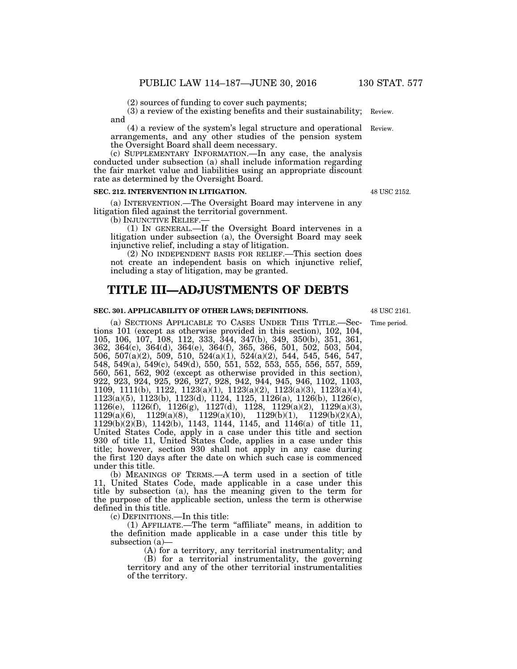(2) sources of funding to cover such payments;

(3) a review of the existing benefits and their sustainability; Review. and

(4) a review of the system's legal structure and operational Review. arrangements, and any other studies of the pension system the Oversight Board shall deem necessary.

(c) SUPPLEMENTARY INFORMATION.—In any case, the analysis conducted under subsection (a) shall include information regarding the fair market value and liabilities using an appropriate discount rate as determined by the Oversight Board.

#### **SEC. 212. INTERVENTION IN LITIGATION.**

(a) INTERVENTION.—The Oversight Board may intervene in any litigation filed against the territorial government.

(b) INJUNCTIVE RELIEF.—

(1) IN GENERAL.—If the Oversight Board intervenes in a litigation under subsection (a), the Oversight Board may seek injunctive relief, including a stay of litigation.

(2) NO INDEPENDENT BASIS FOR RELIEF.—This section does not create an independent basis on which injunctive relief, including a stay of litigation, may be granted.

# **TITLE III—ADJUSTMENTS OF DEBTS**

# **SEC. 301. APPLICABILITY OF OTHER LAWS; DEFINITIONS.**

(a) SECTIONS APPLICABLE TO CASES UNDER THIS TITLE.—Sections 101 (except as otherwise provided in this section), 102, 104, 105, 106, 107, 108, 112, 333, 344, 347(b), 349, 350(b), 351, 361, 362, 364(c), 364(d), 364(e), 364(f), 365, 366, 501, 502, 503, 504, 506, 507(a)(2), 509, 510, 524(a)(1), 524(a)(2), 544, 545, 546, 547, 548, 549(a), 549(c), 549(d), 550, 551, 552, 553, 555, 556, 557, 559, 560, 561, 562, 902 (except as otherwise provided in this section), 922, 923, 924, 925, 926, 927, 928, 942, 944, 945, 946, 1102, 1103, 1109, 1111(b), 1122, 1123(a)(1), 1123(a)(2), 1123(a)(3), 1123(a)(4), 1123(a)(5), 1123(b), 1123(d), 1124, 1125, 1126(a), 1126(b), 1126(c), 1126(e), 1126(f), 1126(g), 1127(d), 1128, 1129(a)(2), 1129(a)(3), 1129(a)(6), 1129(a)(8), 1129(a)(10), 1129(b)(1), 1129(b)(2)(A), 1129(b)(2)(B), 1142(b), 1143, 1144, 1145, and 1146(a) of title 11, United States Code, apply in a case under this title and section 930 of title 11, United States Code, applies in a case under this title; however, section 930 shall not apply in any case during the first 120 days after the date on which such case is commenced under this title.

(b) MEANINGS OF TERMS.—A term used in a section of title 11, United States Code, made applicable in a case under this title by subsection (a), has the meaning given to the term for the purpose of the applicable section, unless the term is otherwise defined in this title.

(c) DEFINITIONS.—In this title:

(1) AFFILIATE.—The term ''affiliate'' means, in addition to the definition made applicable in a case under this title by subsection (a)—

(A) for a territory, any territorial instrumentality; and

(B) for a territorial instrumentality, the governing territory and any of the other territorial instrumentalities of the territory.

48 USC 2161.

Time period.

48 USC 2152.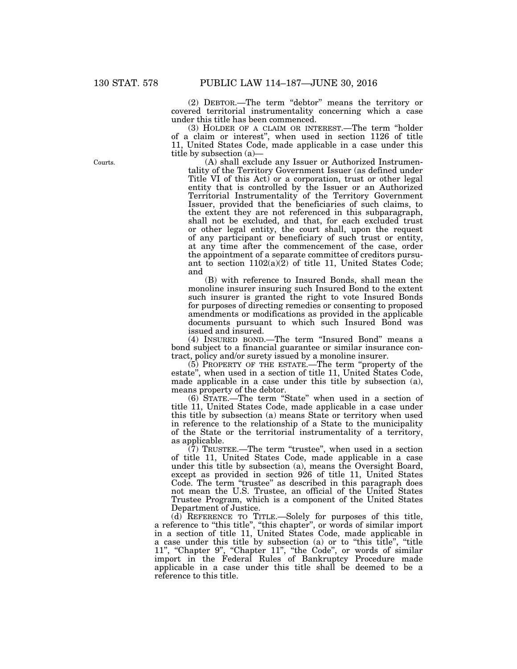(2) DEBTOR.—The term ''debtor'' means the territory or covered territorial instrumentality concerning which a case under this title has been commenced.

(3) HOLDER OF A CLAIM OR INTEREST.—The term ''holder of a claim or interest'', when used in section 1126 of title 11, United States Code, made applicable in a case under this title by subsection (a)—

(A) shall exclude any Issuer or Authorized Instrumentality of the Territory Government Issuer (as defined under Title VI of this Act) or a corporation, trust or other legal entity that is controlled by the Issuer or an Authorized Territorial Instrumentality of the Territory Government Issuer, provided that the beneficiaries of such claims, to the extent they are not referenced in this subparagraph, shall not be excluded, and that, for each excluded trust or other legal entity, the court shall, upon the request of any participant or beneficiary of such trust or entity, at any time after the commencement of the case, order the appointment of a separate committee of creditors pursuant to section 1102(a)(2) of title 11, United States Code; and

(B) with reference to Insured Bonds, shall mean the monoline insurer insuring such Insured Bond to the extent such insurer is granted the right to vote Insured Bonds for purposes of directing remedies or consenting to proposed amendments or modifications as provided in the applicable documents pursuant to which such Insured Bond was issued and insured.

(4) INSURED BOND.—The term ''Insured Bond'' means a bond subject to a financial guarantee or similar insurance contract, policy and/or surety issued by a monoline insurer.

(5) PROPERTY OF THE ESTATE.—The term ''property of the estate'', when used in a section of title 11, United States Code, made applicable in a case under this title by subsection (a), means property of the debtor.

(6) STATE.—The term ''State'' when used in a section of title 11, United States Code, made applicable in a case under this title by subsection (a) means State or territory when used in reference to the relationship of a State to the municipality of the State or the territorial instrumentality of a territory, as applicable.

 $(7)$  TRUSTEE.—The term "trustee", when used in a section of title 11, United States Code, made applicable in a case under this title by subsection (a), means the Oversight Board, except as provided in section 926 of title 11, United States Code. The term "trustee" as described in this paragraph does not mean the U.S. Trustee, an official of the United States Trustee Program, which is a component of the United States Department of Justice.

(d) REFERENCE TO TITLE.—Solely for purposes of this title, a reference to ''this title'', ''this chapter'', or words of similar import in a section of title 11, United States Code, made applicable in a case under this title by subsection (a) or to ''this title'', ''title 11", "Chapter 9", "Chapter 11", "the Code", or words of similar import in the Federal Rules of Bankruptcy Procedure made applicable in a case under this title shall be deemed to be a reference to this title.

Courts.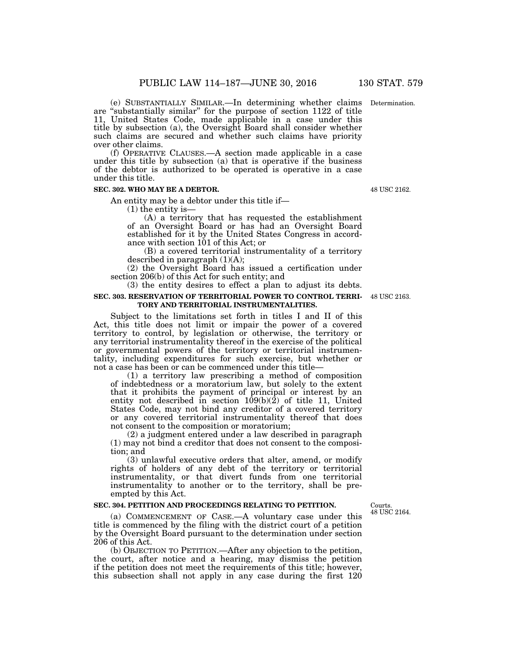(e) SUBSTANTIALLY SIMILAR.—In determining whether claims Determination. are ''substantially similar'' for the purpose of section 1122 of title 11, United States Code, made applicable in a case under this title by subsection (a), the Oversight Board shall consider whether

such claims are secured and whether such claims have priority over other claims. (f) OPERATIVE CLAUSES.—A section made applicable in a case under this title by subsection (a) that is operative if the business of the debtor is authorized to be operated is operative in a case

#### **SEC. 302. WHO MAY BE A DEBTOR.**

under this title.

An entity may be a debtor under this title if—

(1) the entity is—

(A) a territory that has requested the establishment of an Oversight Board or has had an Oversight Board established for it by the United States Congress in accordance with section 101 of this Act; or

(B) a covered territorial instrumentality of a territory described in paragraph (1)(A);

(2) the Oversight Board has issued a certification under section 206(b) of this Act for such entity; and

(3) the entity desires to effect a plan to adjust its debts. **SEC. 303. RESERVATION OF TERRITORIAL POWER TO CONTROL TERRI-**48 USC 2163.

# **TORY AND TERRITORIAL INSTRUMENTALITIES.**

Subject to the limitations set forth in titles I and II of this Act, this title does not limit or impair the power of a covered territory to control, by legislation or otherwise, the territory or any territorial instrumentality thereof in the exercise of the political or governmental powers of the territory or territorial instrumentality, including expenditures for such exercise, but whether or not a case has been or can be commenced under this title—

(1) a territory law prescribing a method of composition of indebtedness or a moratorium law, but solely to the extent that it prohibits the payment of principal or interest by an entity not described in section 109(b)(2) of title 11, United States Code, may not bind any creditor of a covered territory or any covered territorial instrumentality thereof that does not consent to the composition or moratorium;

(2) a judgment entered under a law described in paragraph (1) may not bind a creditor that does not consent to the composition; and

(3) unlawful executive orders that alter, amend, or modify rights of holders of any debt of the territory or territorial instrumentality, or that divert funds from one territorial instrumentality to another or to the territory, shall be preempted by this Act.

#### **SEC. 304. PETITION AND PROCEEDINGS RELATING TO PETITION.**

Courts. 48 USC 2164.

(a) COMMENCEMENT OF CASE.—A voluntary case under this title is commenced by the filing with the district court of a petition by the Oversight Board pursuant to the determination under section 206 of this Act.

(b) OBJECTION TO PETITION.—After any objection to the petition, the court, after notice and a hearing, may dismiss the petition if the petition does not meet the requirements of this title; however, this subsection shall not apply in any case during the first 120

48 USC 2162.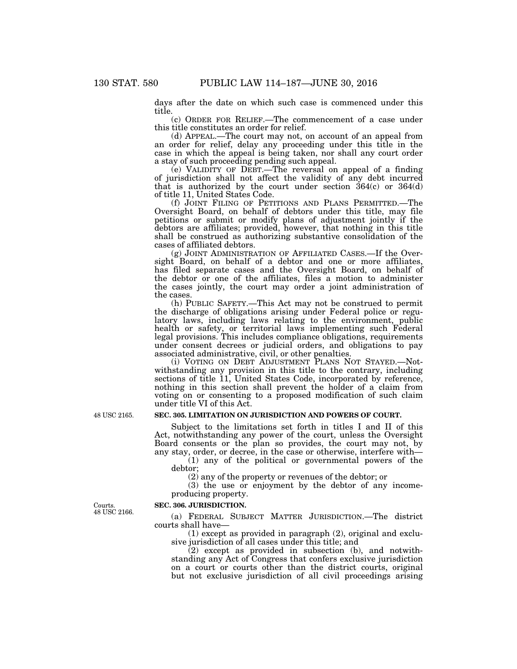days after the date on which such case is commenced under this title.

(c) ORDER FOR RELIEF.—The commencement of a case under this title constitutes an order for relief.

(d) APPEAL.—The court may not, on account of an appeal from an order for relief, delay any proceeding under this title in the case in which the appeal is being taken, nor shall any court order a stay of such proceeding pending such appeal.

(e) VALIDITY OF DEBT.—The reversal on appeal of a finding of jurisdiction shall not affect the validity of any debt incurred that is authorized by the court under section  $364(c)$  or  $364(d)$ of title 11, United States Code.

(f) JOINT FILING OF PETITIONS AND PLANS PERMITTED.—The Oversight Board, on behalf of debtors under this title, may file petitions or submit or modify plans of adjustment jointly if the debtors are affiliates; provided, however, that nothing in this title shall be construed as authorizing substantive consolidation of the cases of affiliated debtors.

(g) JOINT ADMINISTRATION OF AFFILIATED CASES.—If the Oversight Board, on behalf of a debtor and one or more affiliates, has filed separate cases and the Oversight Board, on behalf of the debtor or one of the affiliates, files a motion to administer the cases jointly, the court may order a joint administration of the cases.

(h) PUBLIC SAFETY.—This Act may not be construed to permit the discharge of obligations arising under Federal police or regulatory laws, including laws relating to the environment, public health or safety, or territorial laws implementing such Federal legal provisions. This includes compliance obligations, requirements under consent decrees or judicial orders, and obligations to pay associated administrative, civil, or other penalties.

(i) VOTING ON DEBT ADJUSTMENT PLANS NOT STAYED.—Notwithstanding any provision in this title to the contrary, including sections of title 11, United States Code, incorporated by reference, nothing in this section shall prevent the holder of a claim from voting on or consenting to a proposed modification of such claim under title VI of this Act.

### **SEC. 305. LIMITATION ON JURISDICTION AND POWERS OF COURT.**

Subject to the limitations set forth in titles I and II of this Act, notwithstanding any power of the court, unless the Oversight Board consents or the plan so provides, the court may not, by any stay, order, or decree, in the case or otherwise, interfere with—

(1) any of the political or governmental powers of the debtor;

(2) any of the property or revenues of the debtor; or

(3) the use or enjoyment by the debtor of any incomeproducing property.

Courts. 48 USC 2166.

48 USC 2165.

# **SEC. 306. JURISDICTION.**

(a) FEDERAL SUBJECT MATTER JURISDICTION.—The district courts shall have—

(1) except as provided in paragraph (2), original and exclusive jurisdiction of all cases under this title; and

(2) except as provided in subsection (b), and notwithstanding any Act of Congress that confers exclusive jurisdiction on a court or courts other than the district courts, original but not exclusive jurisdiction of all civil proceedings arising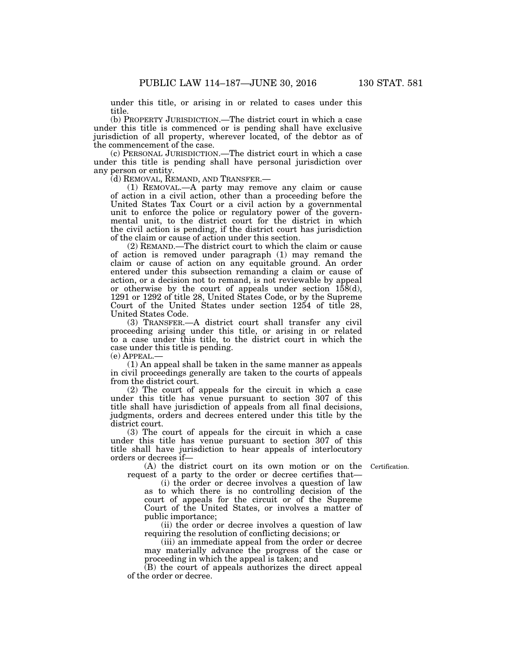under this title, or arising in or related to cases under this title.

(b) PROPERTY JURISDICTION.—The district court in which a case under this title is commenced or is pending shall have exclusive jurisdiction of all property, wherever located, of the debtor as of the commencement of the case.

(c) PERSONAL JURISDICTION.—The district court in which a case under this title is pending shall have personal jurisdiction over any person or entity.<br>(d) REMOVAL, REMAND, AND TRANSFER.—

(1) REMOVAL.—A party may remove any claim or cause of action in a civil action, other than a proceeding before the United States Tax Court or a civil action by a governmental unit to enforce the police or regulatory power of the governmental unit, to the district court for the district in which the civil action is pending, if the district court has jurisdiction of the claim or cause of action under this section.

(2) REMAND.—The district court to which the claim or cause of action is removed under paragraph (1) may remand the claim or cause of action on any equitable ground. An order entered under this subsection remanding a claim or cause of action, or a decision not to remand, is not reviewable by appeal or otherwise by the court of appeals under section  $158(d)$ , 1291 or 1292 of title 28, United States Code, or by the Supreme Court of the United States under section 1254 of title 28, United States Code.

(3) TRANSFER.—A district court shall transfer any civil proceeding arising under this title, or arising in or related to a case under this title, to the district court in which the case under this title is pending.

 $(e)$  APPEAL.

(1) An appeal shall be taken in the same manner as appeals in civil proceedings generally are taken to the courts of appeals from the district court.

(2) The court of appeals for the circuit in which a case under this title has venue pursuant to section 307 of this title shall have jurisdiction of appeals from all final decisions, judgments, orders and decrees entered under this title by the district court.

(3) The court of appeals for the circuit in which a case under this title has venue pursuant to section 307 of this title shall have jurisdiction to hear appeals of interlocutory orders or decrees if—

Certification.

(A) the district court on its own motion or on the request of a party to the order or decree certifies that— (i) the order or decree involves a question of law

as to which there is no controlling decision of the court of appeals for the circuit or of the Supreme Court of the United States, or involves a matter of public importance;

(ii) the order or decree involves a question of law requiring the resolution of conflicting decisions; or

(iii) an immediate appeal from the order or decree may materially advance the progress of the case or proceeding in which the appeal is taken; and

(B) the court of appeals authorizes the direct appeal of the order or decree.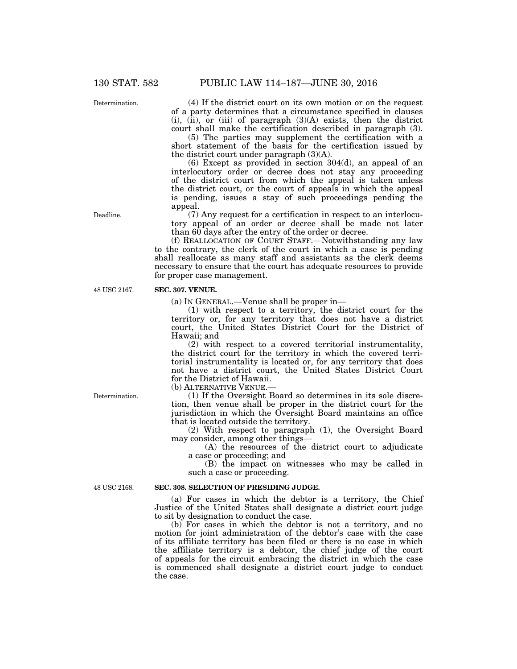Determination.

(4) If the district court on its own motion or on the request of a party determines that a circumstance specified in clauses  $(i)$ ,  $(ii)$ , or  $(iii)$  of paragraph  $(3)(A)$  exists, then the district court shall make the certification described in paragraph (3).

(5) The parties may supplement the certification with a short statement of the basis for the certification issued by the district court under paragraph (3)(A).

(6) Except as provided in section 304(d), an appeal of an interlocutory order or decree does not stay any proceeding of the district court from which the appeal is taken unless the district court, or the court of appeals in which the appeal is pending, issues a stay of such proceedings pending the appeal.

(7) Any request for a certification in respect to an interlocutory appeal of an order or decree shall be made not later than 60 days after the entry of the order or decree.

(f) REALLOCATION OF COURT STAFF.—Notwithstanding any law to the contrary, the clerk of the court in which a case is pending shall reallocate as many staff and assistants as the clerk deems necessary to ensure that the court has adequate resources to provide for proper case management.

#### **SEC. 307. VENUE.**

(a) IN GENERAL.—Venue shall be proper in—

(1) with respect to a territory, the district court for the territory or, for any territory that does not have a district court, the United States District Court for the District of Hawaii; and

(2) with respect to a covered territorial instrumentality, the district court for the territory in which the covered territorial instrumentality is located or, for any territory that does not have a district court, the United States District Court for the District of Hawaii.

(b) ALTERNATIVE VENUE.—

(1) If the Oversight Board so determines in its sole discretion, then venue shall be proper in the district court for the jurisdiction in which the Oversight Board maintains an office that is located outside the territory.

(2) With respect to paragraph (1), the Oversight Board may consider, among other things—

(A) the resources of the district court to adjudicate a case or proceeding; and

(B) the impact on witnesses who may be called in such a case or proceeding.

48 USC 2168.

Determination.

#### **SEC. 308. SELECTION OF PRESIDING JUDGE.**

(a) For cases in which the debtor is a territory, the Chief Justice of the United States shall designate a district court judge to sit by designation to conduct the case.

(b) For cases in which the debtor is not a territory, and no motion for joint administration of the debtor's case with the case of its affiliate territory has been filed or there is no case in which the affiliate territory is a debtor, the chief judge of the court of appeals for the circuit embracing the district in which the case is commenced shall designate a district court judge to conduct the case.

Deadline.

48 USC 2167.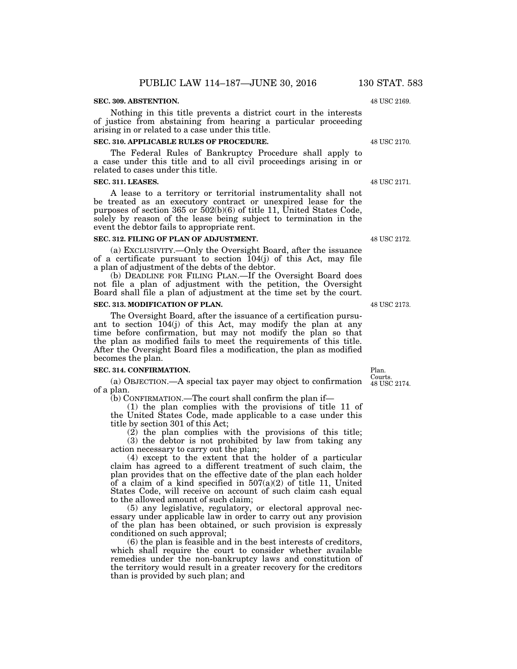# **SEC. 309. ABSTENTION.**

# Nothing in this title prevents a district court in the interests of justice from abstaining from hearing a particular proceeding arising in or related to a case under this title.

# **SEC. 310. APPLICABLE RULES OF PROCEDURE.**

The Federal Rules of Bankruptcy Procedure shall apply to a case under this title and to all civil proceedings arising in or related to cases under this title.

#### **SEC. 311. LEASES.**

A lease to a territory or territorial instrumentality shall not be treated as an executory contract or unexpired lease for the purposes of section 365 or  $502(b)(6)$  of title 11, United States Code, solely by reason of the lease being subject to termination in the event the debtor fails to appropriate rent.

#### **SEC. 312. FILING OF PLAN OF ADJUSTMENT.**

(a) EXCLUSIVITY.—Only the Oversight Board, after the issuance of a certificate pursuant to section 104(j) of this Act, may file a plan of adjustment of the debts of the debtor.

(b) DEADLINE FOR FILING PLAN.—If the Oversight Board does not file a plan of adjustment with the petition, the Oversight Board shall file a plan of adjustment at the time set by the court.

#### **SEC. 313. MODIFICATION OF PLAN.**

The Oversight Board, after the issuance of a certification pursuant to section 104(j) of this Act, may modify the plan at any time before confirmation, but may not modify the plan so that the plan as modified fails to meet the requirements of this title. After the Oversight Board files a modification, the plan as modified becomes the plan.

#### **SEC. 314. CONFIRMATION.**

(a) OBJECTION.—A special tax payer may object to confirmation 48 USC 2174. of a plan.

(b) CONFIRMATION.—The court shall confirm the plan if—

(1) the plan complies with the provisions of title 11 of the United States Code, made applicable to a case under this title by section 301 of this Act;

(2) the plan complies with the provisions of this title; (3) the debtor is not prohibited by law from taking any action necessary to carry out the plan;

(4) except to the extent that the holder of a particular claim has agreed to a different treatment of such claim, the plan provides that on the effective date of the plan each holder of a claim of a kind specified in  $507(a)(2)$  of title 11, United States Code, will receive on account of such claim cash equal to the allowed amount of such claim;

(5) any legislative, regulatory, or electoral approval necessary under applicable law in order to carry out any provision of the plan has been obtained, or such provision is expressly conditioned on such approval;

(6) the plan is feasible and in the best interests of creditors, which shall require the court to consider whether available remedies under the non-bankruptcy laws and constitution of the territory would result in a greater recovery for the creditors than is provided by such plan; and

48 USC 2169.

48 USC 2170.

48 USC 2171.

48 USC 2172.

48 USC 2173.

Plan. Courts.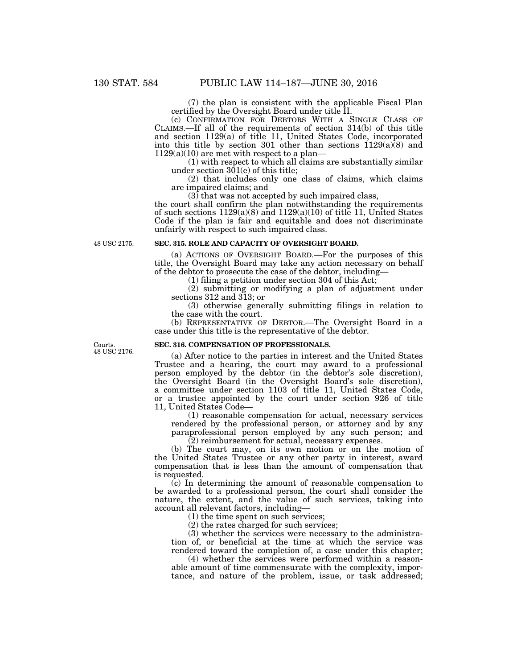(7) the plan is consistent with the applicable Fiscal Plan certified by the Oversight Board under title II.

(c) CONFIRMATION FOR DEBTORS WITH A SINGLE CLASS OF CLAIMS.—If all of the requirements of section 314(b) of this title and section 1129(a) of title 11, United States Code, incorporated into this title by section 301 other than sections  $1129(a)\overline{(8)}$  and  $1129(a)(10)$  are met with respect to a plan—

(1) with respect to which all claims are substantially similar under section  $301(e)$  of this title;

(2) that includes only one class of claims, which claims are impaired claims; and

 $(3)$  that was not accepted by such impaired class,

the court shall confirm the plan notwithstanding the requirements of such sections  $1129(a)(8)$  and  $1129(a)(10)$  of title 11, United States Code if the plan is fair and equitable and does not discriminate unfairly with respect to such impaired class.

48 USC 2175.

# **SEC. 315. ROLE AND CAPACITY OF OVERSIGHT BOARD.**

(a) ACTIONS OF OVERSIGHT BOARD.—For the purposes of this title, the Oversight Board may take any action necessary on behalf of the debtor to prosecute the case of the debtor, including—

(1) filing a petition under section 304 of this Act;

(2) submitting or modifying a plan of adjustment under sections 312 and 313; or

(3) otherwise generally submitting filings in relation to the case with the court.

(b) REPRESENTATIVE OF DEBTOR.—The Oversight Board in a case under this title is the representative of the debtor.

Courts. 48 USC 2176.

# **SEC. 316. COMPENSATION OF PROFESSIONALS.**

(a) After notice to the parties in interest and the United States Trustee and a hearing, the court may award to a professional person employed by the debtor (in the debtor's sole discretion), the Oversight Board (in the Oversight Board's sole discretion), a committee under section 1103 of title 11, United States Code, or a trustee appointed by the court under section 926 of title 11, United States Code—

(1) reasonable compensation for actual, necessary services rendered by the professional person, or attorney and by any paraprofessional person employed by any such person; and

(2) reimbursement for actual, necessary expenses.

(b) The court may, on its own motion or on the motion of the United States Trustee or any other party in interest, award compensation that is less than the amount of compensation that is requested.

(c) In determining the amount of reasonable compensation to be awarded to a professional person, the court shall consider the nature, the extent, and the value of such services, taking into account all relevant factors, including—

(1) the time spent on such services;

(2) the rates charged for such services;

(3) whether the services were necessary to the administration of, or beneficial at the time at which the service was rendered toward the completion of, a case under this chapter;

(4) whether the services were performed within a reasonable amount of time commensurate with the complexity, importance, and nature of the problem, issue, or task addressed;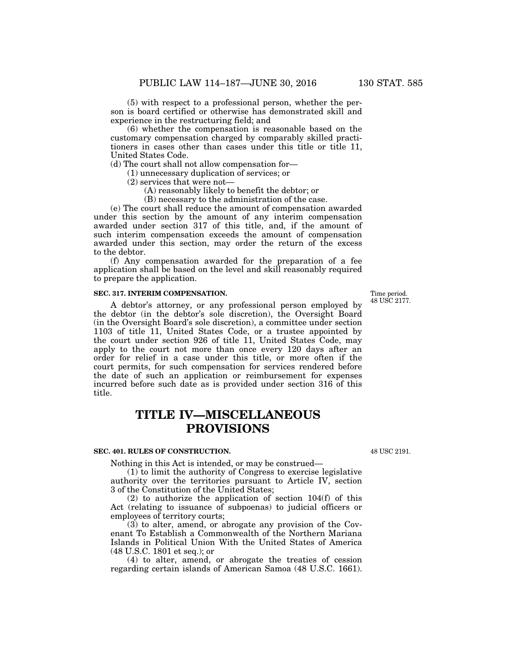(5) with respect to a professional person, whether the person is board certified or otherwise has demonstrated skill and experience in the restructuring field; and

(6) whether the compensation is reasonable based on the customary compensation charged by comparably skilled practitioners in cases other than cases under this title or title 11, United States Code.

(d) The court shall not allow compensation for—

- (1) unnecessary duplication of services; or
- (2) services that were not—
	- (A) reasonably likely to benefit the debtor; or
	- (B) necessary to the administration of the case.

(e) The court shall reduce the amount of compensation awarded under this section by the amount of any interim compensation awarded under section 317 of this title, and, if the amount of such interim compensation exceeds the amount of compensation awarded under this section, may order the return of the excess to the debtor.

(f) Any compensation awarded for the preparation of a fee application shall be based on the level and skill reasonably required to prepare the application.

# **SEC. 317. INTERIM COMPENSATION.**

A debtor's attorney, or any professional person employed by the debtor (in the debtor's sole discretion), the Oversight Board (in the Oversight Board's sole discretion), a committee under section 1103 of title 11, United States Code, or a trustee appointed by the court under section 926 of title 11, United States Code, may apply to the court not more than once every 120 days after an order for relief in a case under this title, or more often if the court permits, for such compensation for services rendered before the date of such an application or reimbursement for expenses incurred before such date as is provided under section 316 of this title.

# **TITLE IV—MISCELLANEOUS PROVISIONS**

# **SEC. 401. RULES OF CONSTRUCTION.**

Nothing in this Act is intended, or may be construed—

(1) to limit the authority of Congress to exercise legislative authority over the territories pursuant to Article IV, section 3 of the Constitution of the United States;

(2) to authorize the application of section 104(f) of this Act (relating to issuance of subpoenas) to judicial officers or employees of territory courts;

(3) to alter, amend, or abrogate any provision of the Covenant To Establish a Commonwealth of the Northern Mariana Islands in Political Union With the United States of America (48 U.S.C. 1801 et seq.); or

(4) to alter, amend, or abrogate the treaties of cession regarding certain islands of American Samoa (48 U.S.C. 1661).

48 USC 2191.

Time period. 48 USC 2177.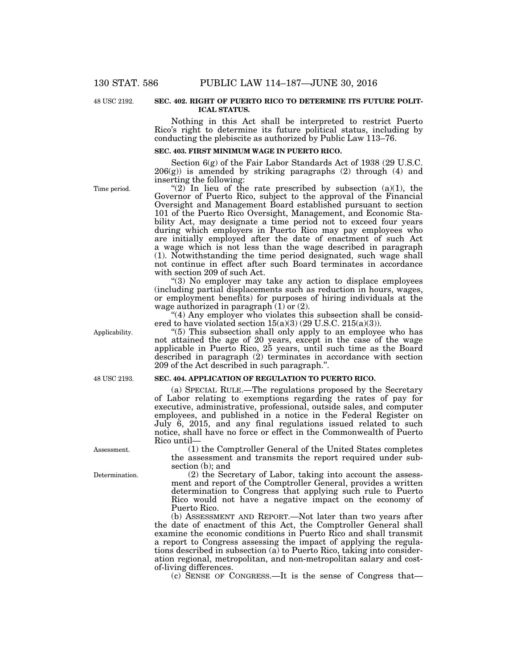48 USC 2192.

#### **SEC. 402. RIGHT OF PUERTO RICO TO DETERMINE ITS FUTURE POLIT-ICAL STATUS.**

Nothing in this Act shall be interpreted to restrict Puerto Rico's right to determine its future political status, including by conducting the plebiscite as authorized by Public Law 113–76.

#### **SEC. 403. FIRST MINIMUM WAGE IN PUERTO RICO.**

Section 6(g) of the Fair Labor Standards Act of 1938 (29 U.S.C. 206(g)) is amended by striking paragraphs (2) through (4) and inserting the following:

"(2) In lieu of the rate prescribed by subsection (a)(1), the Governor of Puerto Rico, subject to the approval of the Financial Oversight and Management Board established pursuant to section 101 of the Puerto Rico Oversight, Management, and Economic Stability Act, may designate a time period not to exceed four years during which employers in Puerto Rico may pay employees who are initially employed after the date of enactment of such Act a wage which is not less than the wage described in paragraph (1). Notwithstanding the time period designated, such wage shall not continue in effect after such Board terminates in accordance with section 209 of such Act.

''(3) No employer may take any action to displace employees (including partial displacements such as reduction in hours, wages, or employment benefits) for purposes of hiring individuals at the wage authorized in paragraph  $(1)$  or  $(2)$ .

"(4) Any employer who violates this subsection shall be considered to have violated section  $15(a)(3)(29$  U.S.C.  $215(a)(3)$ .

''(5) This subsection shall only apply to an employee who has not attained the age of 20 years, except in the case of the wage applicable in Puerto Rico, 25 years, until such time as the Board described in paragraph (2) terminates in accordance with section 209 of the Act described in such paragraph.''.

#### **SEC. 404. APPLICATION OF REGULATION TO PUERTO RICO.**

(a) SPECIAL RULE.—The regulations proposed by the Secretary of Labor relating to exemptions regarding the rates of pay for executive, administrative, professional, outside sales, and computer employees, and published in a notice in the Federal Register on July 6, 2015, and any final regulations issued related to such notice, shall have no force or effect in the Commonwealth of Puerto Rico until—

(1) the Comptroller General of the United States completes the assessment and transmits the report required under subsection (b); and

(2) the Secretary of Labor, taking into account the assessment and report of the Comptroller General, provides a written determination to Congress that applying such rule to Puerto Rico would not have a negative impact on the economy of Puerto Rico.

(b) ASSESSMENT AND REPORT.—Not later than two years after the date of enactment of this Act, the Comptroller General shall examine the economic conditions in Puerto Rico and shall transmit a report to Congress assessing the impact of applying the regulations described in subsection (a) to Puerto Rico, taking into consideration regional, metropolitan, and non-metropolitan salary and costof-living differences.

(c) SENSE OF CONGRESS.—It is the sense of Congress that—

Time period.

Applicability.

48 USC 2193.

Assessment.

Determination.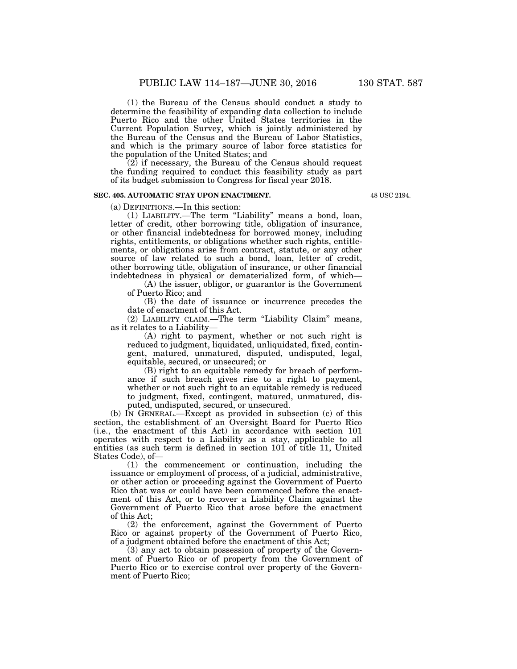(1) the Bureau of the Census should conduct a study to determine the feasibility of expanding data collection to include Puerto Rico and the other United States territories in the Current Population Survey, which is jointly administered by the Bureau of the Census and the Bureau of Labor Statistics, and which is the primary source of labor force statistics for the population of the United States; and

 $(2)$  if necessary, the Bureau of the Census should request the funding required to conduct this feasibility study as part of its budget submission to Congress for fiscal year 2018.

# **SEC. 405. AUTOMATIC STAY UPON ENACTMENT.**

(a) DEFINITIONS.—In this section:

(1) LIABILITY.—The term ''Liability'' means a bond, loan, letter of credit, other borrowing title, obligation of insurance, or other financial indebtedness for borrowed money, including rights, entitlements, or obligations whether such rights, entitlements, or obligations arise from contract, statute, or any other source of law related to such a bond, loan, letter of credit, other borrowing title, obligation of insurance, or other financial indebtedness in physical or dematerialized form, of which—

(A) the issuer, obligor, or guarantor is the Government of Puerto Rico; and

(B) the date of issuance or incurrence precedes the date of enactment of this Act.

(2) LIABILITY CLAIM.—The term "Liability Claim" means, as it relates to a Liability—

(A) right to payment, whether or not such right is reduced to judgment, liquidated, unliquidated, fixed, contingent, matured, unmatured, disputed, undisputed, legal, equitable, secured, or unsecured; or

(B) right to an equitable remedy for breach of performance if such breach gives rise to a right to payment, whether or not such right to an equitable remedy is reduced to judgment, fixed, contingent, matured, unmatured, disputed, undisputed, secured, or unsecured.

(b) IN GENERAL.—Except as provided in subsection (c) of this section, the establishment of an Oversight Board for Puerto Rico (i.e., the enactment of this Act) in accordance with section 101 operates with respect to a Liability as a stay, applicable to all entities (as such term is defined in section 101 of title 11, United States Code), of—

(1) the commencement or continuation, including the issuance or employment of process, of a judicial, administrative, or other action or proceeding against the Government of Puerto Rico that was or could have been commenced before the enactment of this Act, or to recover a Liability Claim against the Government of Puerto Rico that arose before the enactment of this Act;

(2) the enforcement, against the Government of Puerto Rico or against property of the Government of Puerto Rico, of a judgment obtained before the enactment of this Act;

(3) any act to obtain possession of property of the Government of Puerto Rico or of property from the Government of Puerto Rico or to exercise control over property of the Government of Puerto Rico;

48 USC 2194.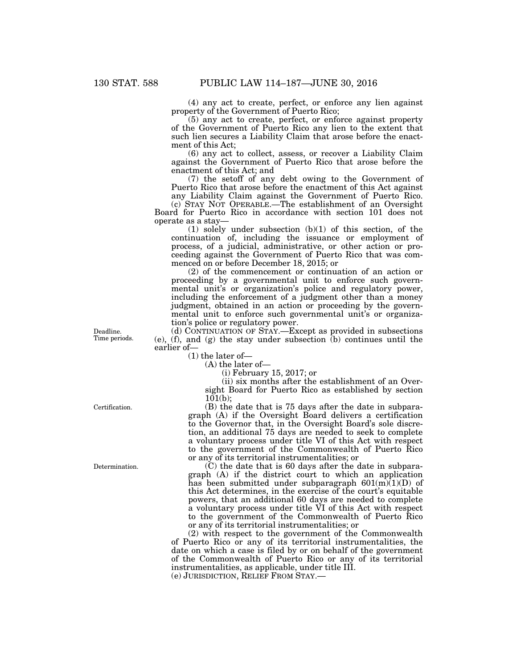(4) any act to create, perfect, or enforce any lien against property of the Government of Puerto Rico;

(5) any act to create, perfect, or enforce against property of the Government of Puerto Rico any lien to the extent that such lien secures a Liability Claim that arose before the enactment of this Act;

(6) any act to collect, assess, or recover a Liability Claim against the Government of Puerto Rico that arose before the enactment of this Act; and

(7) the setoff of any debt owing to the Government of Puerto Rico that arose before the enactment of this Act against any Liability Claim against the Government of Puerto Rico.

(c) STAY NOT OPERABLE.—The establishment of an Oversight Board for Puerto Rico in accordance with section 101 does not operate as a stay—

(1) solely under subsection (b)(1) of this section, of the continuation of, including the issuance or employment of process, of a judicial, administrative, or other action or proceeding against the Government of Puerto Rico that was commenced on or before December 18, 2015; or

(2) of the commencement or continuation of an action or proceeding by a governmental unit to enforce such governmental unit's or organization's police and regulatory power, including the enforcement of a judgment other than a money judgment, obtained in an action or proceeding by the governmental unit to enforce such governmental unit's or organization's police or regulatory power.

(d) CONTINUATION OF STAY.—Except as provided in subsections (e), (f), and (g) the stay under subsection (b) continues until the earlier of—

(1) the later of—

(A) the later of—

(i) February 15, 2017; or

(ii) six months after the establishment of an Oversight Board for Puerto Rico as established by section  $101(b)$ ;

(B) the date that is 75 days after the date in subparagraph (A) if the Oversight Board delivers a certification to the Governor that, in the Oversight Board's sole discretion, an additional 75 days are needed to seek to complete a voluntary process under title VI of this Act with respect to the government of the Commonwealth of Puerto Rico or any of its territorial instrumentalities; or

(C) the date that is 60 days after the date in subparagraph (A) if the district court to which an application has been submitted under subparagraph  $601(m)(1)(D)$  of this Act determines, in the exercise of the court's equitable powers, that an additional 60 days are needed to complete a voluntary process under title VI of this Act with respect to the government of the Commonwealth of Puerto Rico or any of its territorial instrumentalities; or

(2) with respect to the government of the Commonwealth of Puerto Rico or any of its territorial instrumentalities, the date on which a case is filed by or on behalf of the government of the Commonwealth of Puerto Rico or any of its territorial instrumentalities, as applicable, under title III.

(e) JURISDICTION, RELIEF FROM STAY.—

Deadline. Time periods.

Certification.

Determination.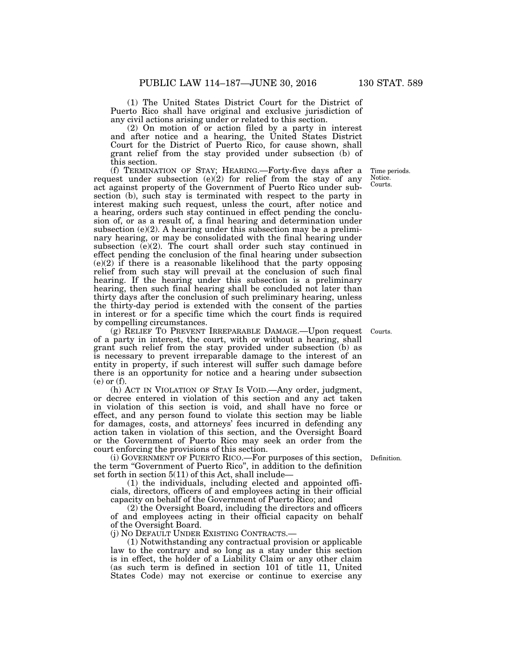(1) The United States District Court for the District of Puerto Rico shall have original and exclusive jurisdiction of any civil actions arising under or related to this section.

(2) On motion of or action filed by a party in interest and after notice and a hearing, the United States District Court for the District of Puerto Rico, for cause shown, shall grant relief from the stay provided under subsection (b) of this section.

(f) TERMINATION OF STAY; HEARING.—Forty-five days after a request under subsection  $(e)(2)$  for relief from the stay of any act against property of the Government of Puerto Rico under subsection (b), such stay is terminated with respect to the party in interest making such request, unless the court, after notice and a hearing, orders such stay continued in effect pending the conclusion of, or as a result of, a final hearing and determination under subsection  $(e)(2)$ . A hearing under this subsection may be a preliminary hearing, or may be consolidated with the final hearing under subsection  $(e)(2)$ . The court shall order such stay continued in effect pending the conclusion of the final hearing under subsection (e)(2) if there is a reasonable likelihood that the party opposing relief from such stay will prevail at the conclusion of such final hearing. If the hearing under this subsection is a preliminary hearing, then such final hearing shall be concluded not later than thirty days after the conclusion of such preliminary hearing, unless the thirty-day period is extended with the consent of the parties in interest or for a specific time which the court finds is required by compelling circumstances.

(g) RELIEF TO PREVENT IRREPARABLE DAMAGE.—Upon request of a party in interest, the court, with or without a hearing, shall grant such relief from the stay provided under subsection (b) as is necessary to prevent irreparable damage to the interest of an entity in property, if such interest will suffer such damage before there is an opportunity for notice and a hearing under subsection (e) or (f).

(h) ACT IN VIOLATION OF STAY IS VOID.—Any order, judgment, or decree entered in violation of this section and any act taken in violation of this section is void, and shall have no force or effect, and any person found to violate this section may be liable for damages, costs, and attorneys' fees incurred in defending any action taken in violation of this section, and the Oversight Board or the Government of Puerto Rico may seek an order from the court enforcing the provisions of this section.

(i) GOVERNMENT OF PUERTO RICO.—For purposes of this section, the term ''Government of Puerto Rico'', in addition to the definition set forth in section 5(11) of this Act, shall include—

(1) the individuals, including elected and appointed officials, directors, officers of and employees acting in their official capacity on behalf of the Government of Puerto Rico; and

(2) the Oversight Board, including the directors and officers of and employees acting in their official capacity on behalf of the Oversight Board.

(j) NO DEFAULT UNDER EXISTING CONTRACTS.—

(1) Notwithstanding any contractual provision or applicable law to the contrary and so long as a stay under this section is in effect, the holder of a Liability Claim or any other claim (as such term is defined in section 101 of title 11, United States Code) may not exercise or continue to exercise any

Notice. Courts.

Time periods.

Courts.

Definition.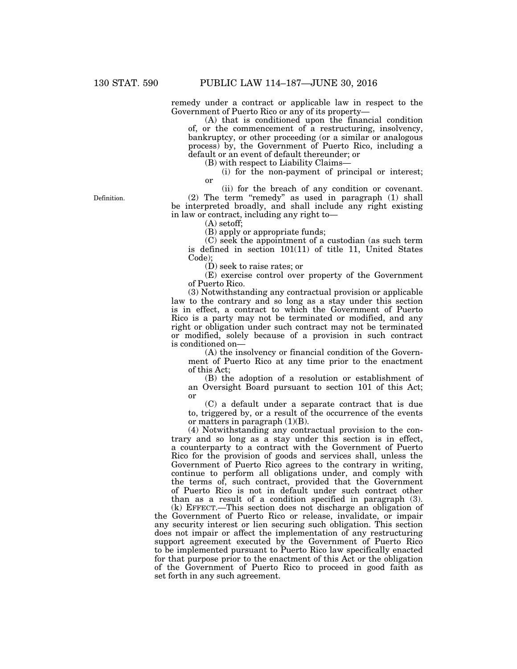remedy under a contract or applicable law in respect to the Government of Puerto Rico or any of its property—

(A) that is conditioned upon the financial condition of, or the commencement of a restructuring, insolvency, bankruptcy, or other proceeding (or a similar or analogous process) by, the Government of Puerto Rico, including a default or an event of default thereunder; or

(B) with respect to Liability Claims—

(i) for the non-payment of principal or interest; or

(ii) for the breach of any condition or covenant. (2) The term ''remedy'' as used in paragraph (1) shall be interpreted broadly, and shall include any right existing in law or contract, including any right to—

(A) setoff;

(B) apply or appropriate funds;

(C) seek the appointment of a custodian (as such term is defined in section 101(11) of title 11, United States Code);

(D) seek to raise rates; or

(E) exercise control over property of the Government of Puerto Rico.

(3) Notwithstanding any contractual provision or applicable law to the contrary and so long as a stay under this section is in effect, a contract to which the Government of Puerto Rico is a party may not be terminated or modified, and any right or obligation under such contract may not be terminated or modified, solely because of a provision in such contract is conditioned on—

(A) the insolvency or financial condition of the Government of Puerto Rico at any time prior to the enactment of this Act;

(B) the adoption of a resolution or establishment of an Oversight Board pursuant to section 101 of this Act; or

(C) a default under a separate contract that is due to, triggered by, or a result of the occurrence of the events or matters in paragraph  $(1)(B)$ .

(4) Notwithstanding any contractual provision to the contrary and so long as a stay under this section is in effect, a counterparty to a contract with the Government of Puerto Rico for the provision of goods and services shall, unless the Government of Puerto Rico agrees to the contrary in writing, continue to perform all obligations under, and comply with the terms of, such contract, provided that the Government of Puerto Rico is not in default under such contract other than as a result of a condition specified in paragraph (3).

(k) EFFECT.—This section does not discharge an obligation of the Government of Puerto Rico or release, invalidate, or impair any security interest or lien securing such obligation. This section does not impair or affect the implementation of any restructuring support agreement executed by the Government of Puerto Rico to be implemented pursuant to Puerto Rico law specifically enacted for that purpose prior to the enactment of this Act or the obligation of the Government of Puerto Rico to proceed in good faith as set forth in any such agreement.

Definition.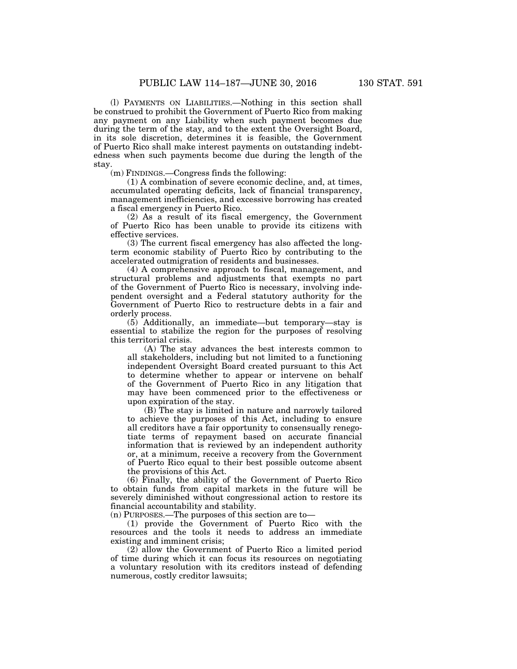(l) PAYMENTS ON LIABILITIES.—Nothing in this section shall be construed to prohibit the Government of Puerto Rico from making any payment on any Liability when such payment becomes due during the term of the stay, and to the extent the Oversight Board, in its sole discretion, determines it is feasible, the Government of Puerto Rico shall make interest payments on outstanding indebtedness when such payments become due during the length of the stay.

(m) FINDINGS.—Congress finds the following:

(1) A combination of severe economic decline, and, at times, accumulated operating deficits, lack of financial transparency, management inefficiencies, and excessive borrowing has created a fiscal emergency in Puerto Rico.

(2) As a result of its fiscal emergency, the Government of Puerto Rico has been unable to provide its citizens with effective services.

(3) The current fiscal emergency has also affected the longterm economic stability of Puerto Rico by contributing to the accelerated outmigration of residents and businesses.

(4) A comprehensive approach to fiscal, management, and structural problems and adjustments that exempts no part of the Government of Puerto Rico is necessary, involving independent oversight and a Federal statutory authority for the Government of Puerto Rico to restructure debts in a fair and orderly process.

(5) Additionally, an immediate—but temporary—stay is essential to stabilize the region for the purposes of resolving this territorial crisis.

(A) The stay advances the best interests common to all stakeholders, including but not limited to a functioning independent Oversight Board created pursuant to this Act to determine whether to appear or intervene on behalf of the Government of Puerto Rico in any litigation that may have been commenced prior to the effectiveness or upon expiration of the stay.

(B) The stay is limited in nature and narrowly tailored to achieve the purposes of this Act, including to ensure all creditors have a fair opportunity to consensually renegotiate terms of repayment based on accurate financial information that is reviewed by an independent authority or, at a minimum, receive a recovery from the Government of Puerto Rico equal to their best possible outcome absent the provisions of this Act.

(6) Finally, the ability of the Government of Puerto Rico to obtain funds from capital markets in the future will be severely diminished without congressional action to restore its financial accountability and stability.

(n) PURPOSES.—The purposes of this section are to—

(1) provide the Government of Puerto Rico with the resources and the tools it needs to address an immediate existing and imminent crisis;

(2) allow the Government of Puerto Rico a limited period of time during which it can focus its resources on negotiating a voluntary resolution with its creditors instead of defending numerous, costly creditor lawsuits;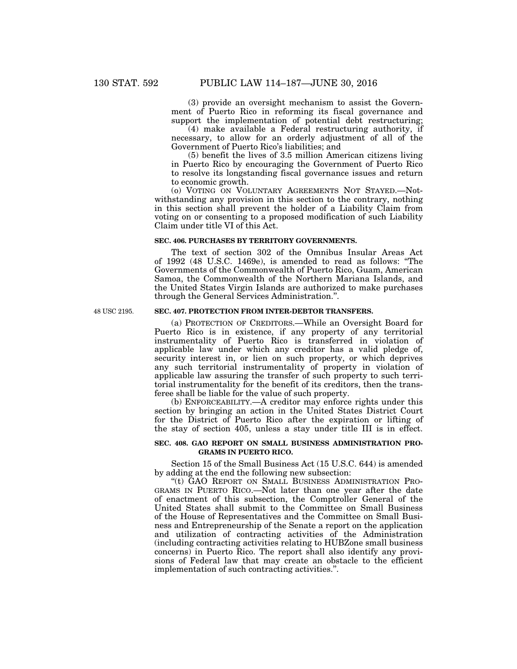(3) provide an oversight mechanism to assist the Government of Puerto Rico in reforming its fiscal governance and support the implementation of potential debt restructuring;

(4) make available a Federal restructuring authority, if necessary, to allow for an orderly adjustment of all of the Government of Puerto Rico's liabilities; and

(5) benefit the lives of 3.5 million American citizens living in Puerto Rico by encouraging the Government of Puerto Rico to resolve its longstanding fiscal governance issues and return to economic growth.

(o) VOTING ON VOLUNTARY AGREEMENTS NOT STAYED.—Notwithstanding any provision in this section to the contrary, nothing in this section shall prevent the holder of a Liability Claim from voting on or consenting to a proposed modification of such Liability Claim under title VI of this Act.

#### **SEC. 406. PURCHASES BY TERRITORY GOVERNMENTS.**

The text of section 302 of the Omnibus Insular Areas Act of 1992 (48 U.S.C. 1469e), is amended to read as follows: ''The Governments of the Commonwealth of Puerto Rico, Guam, American Samoa, the Commonwealth of the Northern Mariana Islands, and the United States Virgin Islands are authorized to make purchases through the General Services Administration.''.

48 USC 2195.

# **SEC. 407. PROTECTION FROM INTER-DEBTOR TRANSFERS.**

(a) PROTECTION OF CREDITORS.—While an Oversight Board for Puerto Rico is in existence, if any property of any territorial instrumentality of Puerto Rico is transferred in violation of applicable law under which any creditor has a valid pledge of, security interest in, or lien on such property, or which deprives any such territorial instrumentality of property in violation of applicable law assuring the transfer of such property to such territorial instrumentality for the benefit of its creditors, then the transferee shall be liable for the value of such property.

(b) ENFORCEABILITY.—A creditor may enforce rights under this section by bringing an action in the United States District Court for the District of Puerto Rico after the expiration or lifting of the stay of section 405, unless a stay under title III is in effect.

#### **SEC. 408. GAO REPORT ON SMALL BUSINESS ADMINISTRATION PRO-GRAMS IN PUERTO RICO.**

Section 15 of the Small Business Act (15 U.S.C. 644) is amended by adding at the end the following new subsection:

''(t) GAO REPORT ON SMALL BUSINESS ADMINISTRATION PRO-GRAMS IN PUERTO RICO.—Not later than one year after the date of enactment of this subsection, the Comptroller General of the United States shall submit to the Committee on Small Business of the House of Representatives and the Committee on Small Business and Entrepreneurship of the Senate a report on the application and utilization of contracting activities of the Administration (including contracting activities relating to HUBZone small business concerns) in Puerto Rico. The report shall also identify any provisions of Federal law that may create an obstacle to the efficient implementation of such contracting activities.''.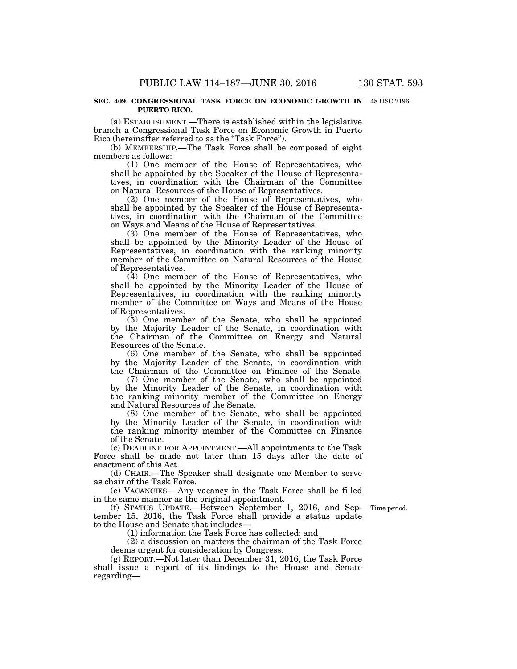#### **SEC. 409. CONGRESSIONAL TASK FORCE ON ECONOMIC GROWTH IN**  48 USC 2196. **PUERTO RICO.**

(a) ESTABLISHMENT.—There is established within the legislative branch a Congressional Task Force on Economic Growth in Puerto Rico (hereinafter referred to as the "Task Force").

(b) MEMBERSHIP.—The Task Force shall be composed of eight members as follows:

(1) One member of the House of Representatives, who shall be appointed by the Speaker of the House of Representatives, in coordination with the Chairman of the Committee on Natural Resources of the House of Representatives.

(2) One member of the House of Representatives, who shall be appointed by the Speaker of the House of Representatives, in coordination with the Chairman of the Committee on Ways and Means of the House of Representatives.

(3) One member of the House of Representatives, who shall be appointed by the Minority Leader of the House of Representatives, in coordination with the ranking minority member of the Committee on Natural Resources of the House of Representatives.

(4) One member of the House of Representatives, who shall be appointed by the Minority Leader of the House of Representatives, in coordination with the ranking minority member of the Committee on Ways and Means of the House of Representatives.

(5) One member of the Senate, who shall be appointed by the Majority Leader of the Senate, in coordination with the Chairman of the Committee on Energy and Natural Resources of the Senate.

(6) One member of the Senate, who shall be appointed by the Majority Leader of the Senate, in coordination with the Chairman of the Committee on Finance of the Senate.

(7) One member of the Senate, who shall be appointed by the Minority Leader of the Senate, in coordination with the ranking minority member of the Committee on Energy and Natural Resources of the Senate.

(8) One member of the Senate, who shall be appointed by the Minority Leader of the Senate, in coordination with the ranking minority member of the Committee on Finance of the Senate.

(c) DEADLINE FOR APPOINTMENT.—All appointments to the Task Force shall be made not later than 15 days after the date of enactment of this Act.

(d) CHAIR.—The Speaker shall designate one Member to serve as chair of the Task Force.

(e) VACANCIES.—Any vacancy in the Task Force shall be filled in the same manner as the original appointment.

Time period.

(f) STATUS UPDATE.—Between September 1, 2016, and September 15, 2016, the Task Force shall provide a status update to the House and Senate that includes—

(1) information the Task Force has collected; and

(2) a discussion on matters the chairman of the Task Force deems urgent for consideration by Congress.

(g) REPORT.—Not later than December 31, 2016, the Task Force shall issue a report of its findings to the House and Senate regarding—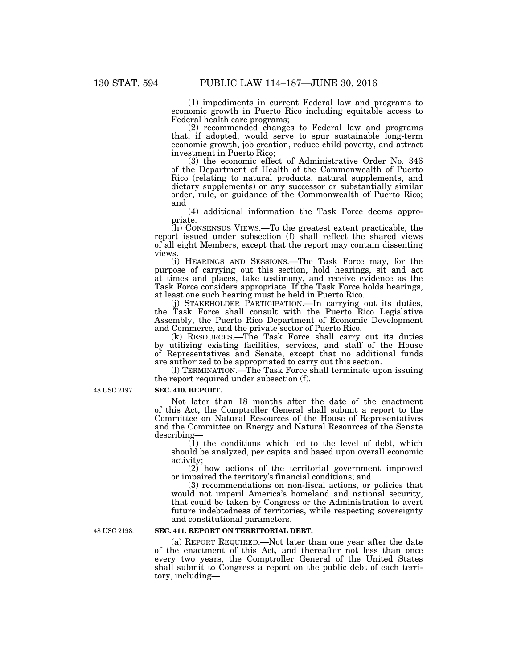(1) impediments in current Federal law and programs to economic growth in Puerto Rico including equitable access to Federal health care programs;

(2) recommended changes to Federal law and programs that, if adopted, would serve to spur sustainable long-term economic growth, job creation, reduce child poverty, and attract investment in Puerto Rico;

(3) the economic effect of Administrative Order No. 346 of the Department of Health of the Commonwealth of Puerto Rico (relating to natural products, natural supplements, and dietary supplements) or any successor or substantially similar order, rule, or guidance of the Commonwealth of Puerto Rico; and

(4) additional information the Task Force deems appropriate.

(h) CONSENSUS VIEWS.—To the greatest extent practicable, the report issued under subsection (f) shall reflect the shared views of all eight Members, except that the report may contain dissenting views.

(i) HEARINGS AND SESSIONS.—The Task Force may, for the purpose of carrying out this section, hold hearings, sit and act at times and places, take testimony, and receive evidence as the Task Force considers appropriate. If the Task Force holds hearings, at least one such hearing must be held in Puerto Rico.

(j) STAKEHOLDER PARTICIPATION.—In carrying out its duties, the Task Force shall consult with the Puerto Rico Legislative Assembly, the Puerto Rico Department of Economic Development and Commerce, and the private sector of Puerto Rico.

(k) RESOURCES.—The Task Force shall carry out its duties by utilizing existing facilities, services, and staff of the House of Representatives and Senate, except that no additional funds are authorized to be appropriated to carry out this section.

(l) TERMINATION.—The Task Force shall terminate upon issuing the report required under subsection (f).

# **SEC. 410. REPORT.**

Not later than 18 months after the date of the enactment of this Act, the Comptroller General shall submit a report to the Committee on Natural Resources of the House of Representatives and the Committee on Energy and Natural Resources of the Senate describing—

 $(1)$  the conditions which led to the level of debt, which should be analyzed, per capita and based upon overall economic activity;

(2) how actions of the territorial government improved or impaired the territory's financial conditions; and

(3) recommendations on non-fiscal actions, or policies that would not imperil America's homeland and national security, that could be taken by Congress or the Administration to avert future indebtedness of territories, while respecting sovereignty and constitutional parameters.

48 USC 2198.

### **SEC. 411. REPORT ON TERRITORIAL DEBT.**

(a) REPORT REQUIRED.—Not later than one year after the date of the enactment of this Act, and thereafter not less than once every two years, the Comptroller General of the United States shall submit to Congress a report on the public debt of each territory, including—

48 USC 2197.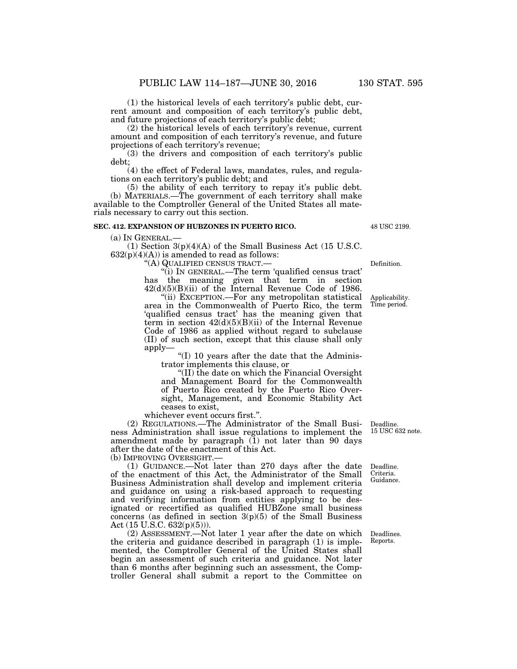(1) the historical levels of each territory's public debt, current amount and composition of each territory's public debt, and future projections of each territory's public debt;

(2) the historical levels of each territory's revenue, current amount and composition of each territory's revenue, and future projections of each territory's revenue;

(3) the drivers and composition of each territory's public debt;

(4) the effect of Federal laws, mandates, rules, and regulations on each territory's public debt; and

(5) the ability of each territory to repay it's public debt. (b) MATERIALS.—The government of each territory shall make available to the Comptroller General of the United States all materials necessary to carry out this section.

#### **SEC. 412. EXPANSION OF HUBZONES IN PUERTO RICO.**

(a) IN GENERAL.—

(1) Section  $3(p)(4)(A)$  of the Small Business Act (15 U.S.C.  $632(p)(4)(A)$ ) is amended to read as follows:

''(A) QUALIFIED CENSUS TRACT.—

''(i) IN GENERAL.—The term 'qualified census tract' has the meaning given that term in section  $42(d)(5)(B)(ii)$  of the Internal Revenue Code of 1986.

''(ii) EXCEPTION.—For any metropolitan statistical area in the Commonwealth of Puerto Rico, the term 'qualified census tract' has the meaning given that term in section  $42(d)(5)(B)(ii)$  of the Internal Revenue Code of 1986 as applied without regard to subclause (II) of such section, except that this clause shall only apply—

''(I) 10 years after the date that the Administrator implements this clause, or

''(II) the date on which the Financial Oversight and Management Board for the Commonwealth of Puerto Rico created by the Puerto Rico Oversight, Management, and Economic Stability Act ceases to exist,

whichever event occurs first.''.

(2) REGULATIONS.—The Administrator of the Small Business Administration shall issue regulations to implement the amendment made by paragraph (1) not later than 90 days after the date of the enactment of this Act. (b) IMPROVING OVERSIGHT.—

(1) GUIDANCE.—Not later than 270 days after the date of the enactment of this Act, the Administrator of the Small Business Administration shall develop and implement criteria and guidance on using a risk-based approach to requesting and verifying information from entities applying to be designated or recertified as qualified HUBZone small business  $\overline{\text{concerns}}$  (as defined in section 3(p)(5) of the Small Business Act (15 U.S.C. 632(p)(5))).

(2) ASSESSMENT.—Not later 1 year after the date on which the criteria and guidance described in paragraph (1) is implemented, the Comptroller General of the United States shall begin an assessment of such criteria and guidance. Not later than 6 months after beginning such an assessment, the Comptroller General shall submit a report to the Committee on

Deadline. 15 USC 632 note.

Deadline. Criteria. Guidance.

Deadlines. Reports.

Definition.

Applicability. Time period.

48 USC 2199.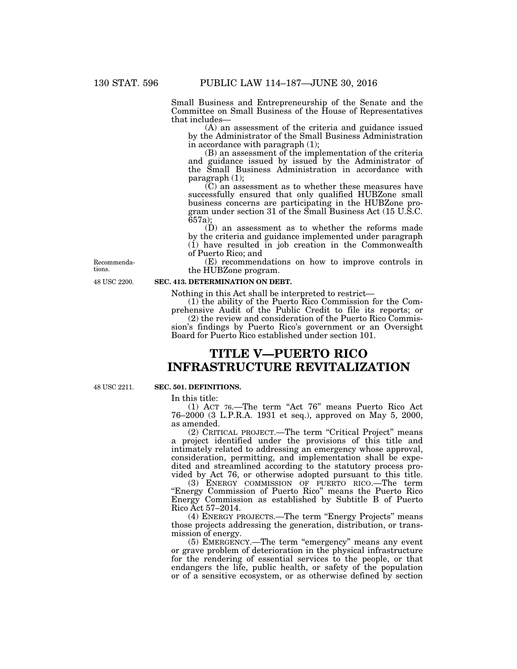Small Business and Entrepreneurship of the Senate and the Committee on Small Business of the House of Representatives that includes—

(A) an assessment of the criteria and guidance issued by the Administrator of the Small Business Administration in accordance with paragraph (1);

(B) an assessment of the implementation of the criteria and guidance issued by issued by the Administrator of the Small Business Administration in accordance with paragraph (1);

(C) an assessment as to whether these measures have successfully ensured that only qualified HUBZone small business concerns are participating in the HUBZone program under section 31 of the Small Business Act (15 U.S.C. 657a);

(D) an assessment as to whether the reforms made by the criteria and guidance implemented under paragraph (1) have resulted in job creation in the Commonwealth of Puerto Rico; and

(E) recommendations on how to improve controls in the HUBZone program.

48 USC 2200.

Recommendations.

### **SEC. 413. DETERMINATION ON DEBT.**

Nothing in this Act shall be interpreted to restrict—

(1) the ability of the Puerto Rico Commission for the Comprehensive Audit of the Public Credit to file its reports; or

(2) the review and consideration of the Puerto Rico Commission's findings by Puerto Rico's government or an Oversight Board for Puerto Rico established under section 101.

# **TITLE V—PUERTO RICO INFRASTRUCTURE REVITALIZATION**

48 USC 2211.

# **SEC. 501. DEFINITIONS.**

In this title:

(1) ACT 76.—The term ''Act 76'' means Puerto Rico Act 76–2000 (3 L.P.R.A. 1931 et seq.), approved on May 5, 2000, as amended.

(2) CRITICAL PROJECT.—The term ''Critical Project'' means a project identified under the provisions of this title and intimately related to addressing an emergency whose approval, consideration, permitting, and implementation shall be expedited and streamlined according to the statutory process provided by Act 76, or otherwise adopted pursuant to this title.

(3) ENERGY COMMISSION OF PUERTO RICO.—The term ''Energy Commission of Puerto Rico'' means the Puerto Rico Energy Commission as established by Subtitle B of Puerto Rico Act 57–2014.

(4) ENERGY PROJECTS.—The term ''Energy Projects'' means those projects addressing the generation, distribution, or transmission of energy.

(5) EMERGENCY.—The term ''emergency'' means any event or grave problem of deterioration in the physical infrastructure for the rendering of essential services to the people, or that endangers the life, public health, or safety of the population or of a sensitive ecosystem, or as otherwise defined by section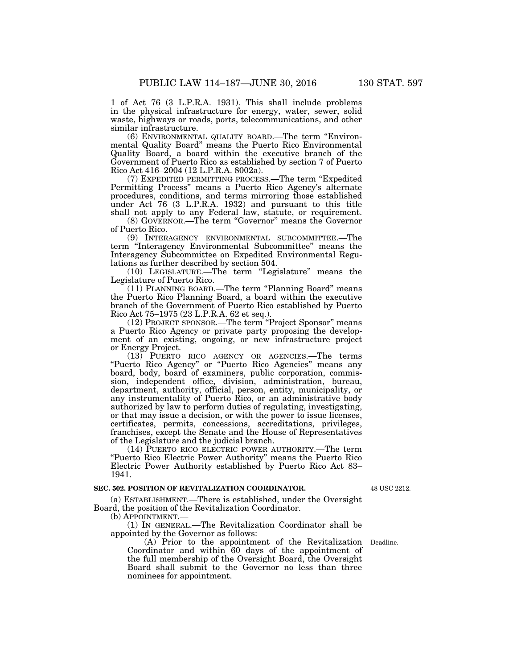1 of Act 76 (3 L.P.R.A. 1931). This shall include problems in the physical infrastructure for energy, water, sewer, solid waste, highways or roads, ports, telecommunications, and other

similar infrastructure. (6) ENVIRONMENTAL QUALITY BOARD.—The term ''Environmental Quality Board'' means the Puerto Rico Environmental Quality Board, a board within the executive branch of the Government of Puerto Rico as established by section 7 of Puerto Rico Act 416–2004 (12 L.P.R.A. 8002a).

(7) EXPEDITED PERMITTING PROCESS.—The term ''Expedited Permitting Process'' means a Puerto Rico Agency's alternate procedures, conditions, and terms mirroring those established under Act 76 (3 L.P.R.A. 1932) and pursuant to this title shall not apply to any Federal law, statute, or requirement.

(8) GOVERNOR.—The term ''Governor'' means the Governor of Puerto Rico.

(9) INTERAGENCY ENVIRONMENTAL SUBCOMMITTEE.—The term ''Interagency Environmental Subcommittee'' means the Interagency Subcommittee on Expedited Environmental Regulations as further described by section 504.

(10) LEGISLATURE.—The term ''Legislature'' means the Legislature of Puerto Rico.

(11) PLANNING BOARD.—The term ''Planning Board'' means the Puerto Rico Planning Board, a board within the executive branch of the Government of Puerto Rico established by Puerto Rico Act 75–1975 (23 L.P.R.A. 62 et seq.).

(12) PROJECT SPONSOR.—The term ''Project Sponsor'' means a Puerto Rico Agency or private party proposing the development of an existing, ongoing, or new infrastructure project or Energy Project.

(13) PUERTO RICO AGENCY OR AGENCIES.—The terms ''Puerto Rico Agency'' or ''Puerto Rico Agencies'' means any board, body, board of examiners, public corporation, commission, independent office, division, administration, bureau, department, authority, official, person, entity, municipality, or any instrumentality of Puerto Rico, or an administrative body authorized by law to perform duties of regulating, investigating, or that may issue a decision, or with the power to issue licenses, certificates, permits, concessions, accreditations, privileges, franchises, except the Senate and the House of Representatives of the Legislature and the judicial branch.

(14) PUERTO RICO ELECTRIC POWER AUTHORITY.—The term "Puerto Rico Electric Power Authority" means the Puerto Rico Electric Power Authority established by Puerto Rico Act 83– 1941.

#### **SEC. 502. POSITION OF REVITALIZATION COORDINATOR.**

48 USC 2212.

(a) ESTABLISHMENT.—There is established, under the Oversight Board, the position of the Revitalization Coordinator.

(b) APPOINTMENT.—

(1) IN GENERAL.—The Revitalization Coordinator shall be appointed by the Governor as follows:

(A) Prior to the appointment of the Revitalization Coordinator and within 60 days of the appointment of the full membership of the Oversight Board, the Oversight Board shall submit to the Governor no less than three nominees for appointment.

Deadline.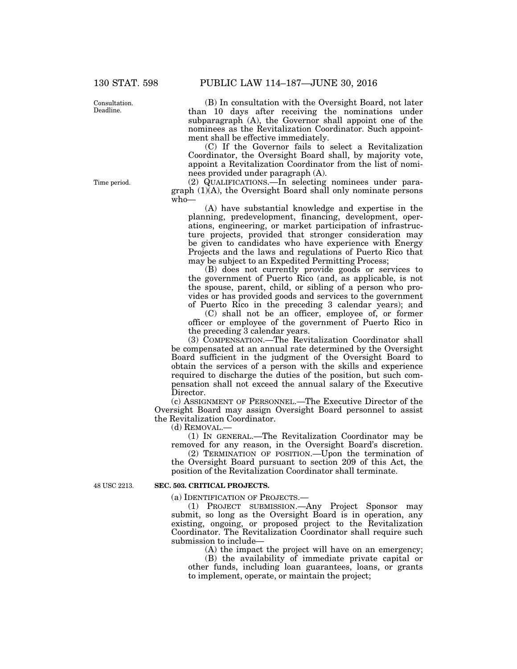Consultation. Deadline.

Time period.

(B) In consultation with the Oversight Board, not later than 10 days after receiving the nominations under subparagraph (A), the Governor shall appoint one of the nominees as the Revitalization Coordinator. Such appointment shall be effective immediately.

(C) If the Governor fails to select a Revitalization Coordinator, the Oversight Board shall, by majority vote, appoint a Revitalization Coordinator from the list of nominees provided under paragraph (A).

(2) QUALIFICATIONS.—In selecting nominees under paragraph (1)(A), the Oversight Board shall only nominate persons who—

(A) have substantial knowledge and expertise in the planning, predevelopment, financing, development, operations, engineering, or market participation of infrastructure projects, provided that stronger consideration may be given to candidates who have experience with Energy Projects and the laws and regulations of Puerto Rico that may be subject to an Expedited Permitting Process;

(B) does not currently provide goods or services to the government of Puerto Rico (and, as applicable, is not the spouse, parent, child, or sibling of a person who provides or has provided goods and services to the government of Puerto Rico in the preceding 3 calendar years); and

(C) shall not be an officer, employee of, or former officer or employee of the government of Puerto Rico in the preceding 3 calendar years.

(3) COMPENSATION.—The Revitalization Coordinator shall be compensated at an annual rate determined by the Oversight Board sufficient in the judgment of the Oversight Board to obtain the services of a person with the skills and experience required to discharge the duties of the position, but such compensation shall not exceed the annual salary of the Executive Director.

(c) ASSIGNMENT OF PERSONNEL.—The Executive Director of the Oversight Board may assign Oversight Board personnel to assist the Revitalization Coordinator.

(d) REMOVAL.—

(1) IN GENERAL.—The Revitalization Coordinator may be removed for any reason, in the Oversight Board's discretion.

(2) TERMINATION OF POSITION.—Upon the termination of the Oversight Board pursuant to section 209 of this Act, the position of the Revitalization Coordinator shall terminate.

48 USC 2213.

#### **SEC. 503. CRITICAL PROJECTS.**

(a) IDENTIFICATION OF PROJECTS.—

(1) PROJECT SUBMISSION.—Any Project Sponsor may submit, so long as the Oversight Board is in operation, any existing, ongoing, or proposed project to the Revitalization Coordinator. The Revitalization Coordinator shall require such submission to include—

(A) the impact the project will have on an emergency;

(B) the availability of immediate private capital or other funds, including loan guarantees, loans, or grants to implement, operate, or maintain the project;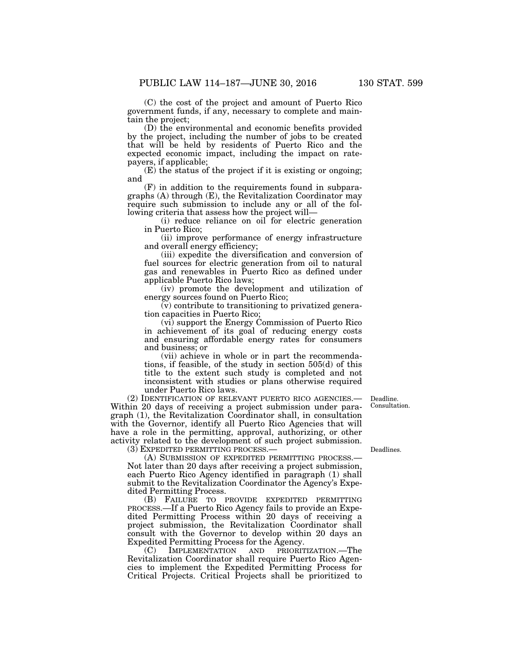(C) the cost of the project and amount of Puerto Rico government funds, if any, necessary to complete and maintain the project;

(D) the environmental and economic benefits provided by the project, including the number of jobs to be created that will be held by residents of Puerto Rico and the expected economic impact, including the impact on ratepayers, if applicable;

(E) the status of the project if it is existing or ongoing; and

(F) in addition to the requirements found in subparagraphs (A) through (E), the Revitalization Coordinator may require such submission to include any or all of the following criteria that assess how the project will—

(i) reduce reliance on oil for electric generation in Puerto Rico;

(ii) improve performance of energy infrastructure and overall energy efficiency;

(iii) expedite the diversification and conversion of fuel sources for electric generation from oil to natural gas and renewables in Puerto Rico as defined under applicable Puerto Rico laws;

(iv) promote the development and utilization of energy sources found on Puerto Rico;

(v) contribute to transitioning to privatized generation capacities in Puerto Rico;

(vi) support the Energy Commission of Puerto Rico in achievement of its goal of reducing energy costs and ensuring affordable energy rates for consumers and business; or

(vii) achieve in whole or in part the recommendations, if feasible, of the study in section 505(d) of this title to the extent such study is completed and not inconsistent with studies or plans otherwise required under Puerto Rico laws.

> Deadline. Consultation.

(2) IDENTIFICATION OF RELEVANT PUERTO RICO AGENCIES.— Within 20 days of receiving a project submission under paragraph (1), the Revitalization Coordinator shall, in consultation with the Governor, identify all Puerto Rico Agencies that will have a role in the permitting, approval, authorizing, or other activity related to the development of such project submission. (3) EXPEDITED PERMITTING PROCESS.—

Deadlines.

(A) SUBMISSION OF EXPEDITED PERMITTING PROCESS.— Not later than 20 days after receiving a project submission, each Puerto Rico Agency identified in paragraph (1) shall submit to the Revitalization Coordinator the Agency's Expedited Permitting Process.

(B) FAILURE TO PROVIDE EXPEDITED PERMITTING PROCESS.—If a Puerto Rico Agency fails to provide an Expedited Permitting Process within 20 days of receiving a project submission, the Revitalization Coordinator shall consult with the Governor to develop within 20 days an Expedited Permitting Process for the Agency.

(C) IMPLEMENTATION AND PRIORITIZATION.—The Revitalization Coordinator shall require Puerto Rico Agencies to implement the Expedited Permitting Process for Critical Projects. Critical Projects shall be prioritized to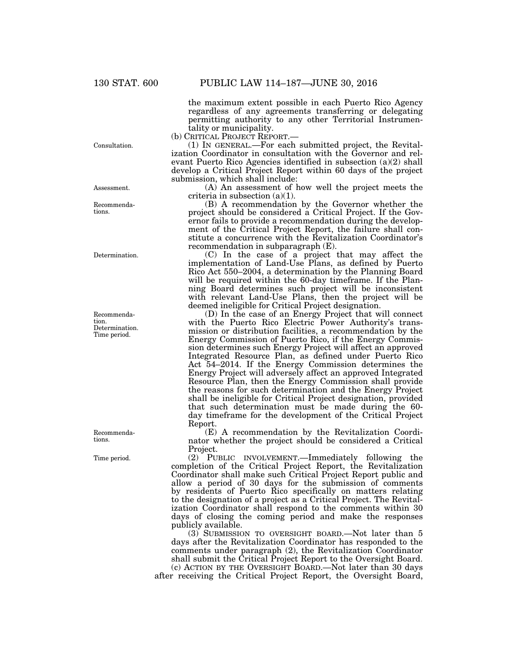the maximum extent possible in each Puerto Rico Agency regardless of any agreements transferring or delegating permitting authority to any other Territorial Instrumen-

tality or municipality.<br>(b) CRITICAL PROJECT REPORT.—

 $(1)$  In GENERAL.—For each submitted project, the Revitalization Coordinator in consultation with the Governor and relevant Puerto Rico Agencies identified in subsection (a)(2) shall develop a Critical Project Report within 60 days of the project submission, which shall include:

(A) An assessment of how well the project meets the criteria in subsection (a)(1).

(B) A recommendation by the Governor whether the project should be considered a Critical Project. If the Governor fails to provide a recommendation during the development of the Critical Project Report, the failure shall constitute a concurrence with the Revitalization Coordinator's recommendation in subparagraph (E).

(C) In the case of a project that may affect the implementation of Land-Use Plans, as defined by Puerto Rico Act 550–2004, a determination by the Planning Board will be required within the 60-day time frame. If the Planning Board determines such project will be inconsistent with relevant Land-Use Plans, then the project will be deemed ineligible for Critical Project designation.

(D) In the case of an Energy Project that will connect with the Puerto Rico Electric Power Authority's transmission or distribution facilities, a recommendation by the Energy Commission of Puerto Rico, if the Energy Commission determines such Energy Project will affect an approved Integrated Resource Plan, as defined under Puerto Rico Act 54–2014. If the Energy Commission determines the Energy Project will adversely affect an approved Integrated Resource Plan, then the Energy Commission shall provide the reasons for such determination and the Energy Project shall be ineligible for Critical Project designation, provided that such determination must be made during the 60 day timeframe for the development of the Critical Project Report.

(E) A recommendation by the Revitalization Coordinator whether the project should be considered a Critical Project.

(2) PUBLIC INVOLVEMENT.—Immediately following the completion of the Critical Project Report, the Revitalization Coordinator shall make such Critical Project Report public and allow a period of 30 days for the submission of comments by residents of Puerto Rico specifically on matters relating to the designation of a project as a Critical Project. The Revitalization Coordinator shall respond to the comments within 30 days of closing the coming period and make the responses publicly available.

(3) SUBMISSION TO OVERSIGHT BOARD.—Not later than 5 days after the Revitalization Coordinator has responded to the comments under paragraph (2), the Revitalization Coordinator shall submit the Critical Project Report to the Oversight Board. (c) ACTION BY THE OVERSIGHT BOARD.—Not later than 30 days

after receiving the Critical Project Report, the Oversight Board,

Consultation.

Assessment.

Recommendations.

Determination.

Recommendation. Determination. Time period.

Recommendations.

Time period.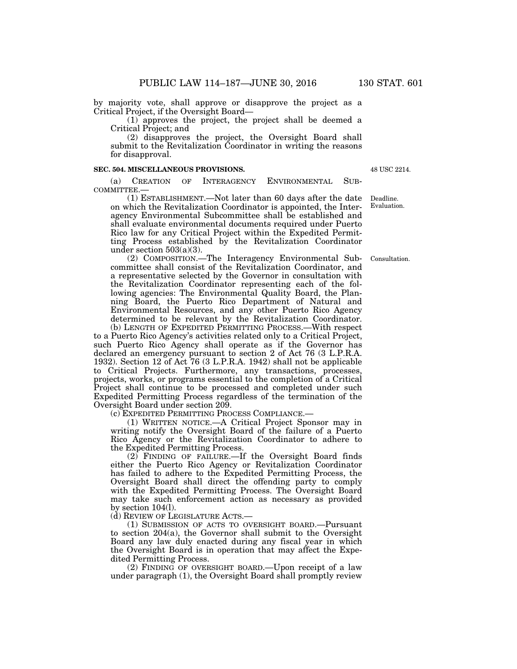by majority vote, shall approve or disapprove the project as a Critical Project, if the Oversight Board—

(1) approves the project, the project shall be deemed a Critical Project; and

(2) disapproves the project, the Oversight Board shall submit to the Revitalization Coordinator in writing the reasons for disapproval.

#### **SEC. 504. MISCELLANEOUS PROVISIONS.**

(a) CREATION OF INTERAGENCY ENVIRONMENTAL SUB-COMMITTEE.—

(1) ESTABLISHMENT.—Not later than 60 days after the date on which the Revitalization Coordinator is appointed, the Interagency Environmental Subcommittee shall be established and shall evaluate environmental documents required under Puerto Rico law for any Critical Project within the Expedited Permitting Process established by the Revitalization Coordinator under section  $503(a)(3)$ .

(2) COMPOSITION.—The Interagency Environmental Subcommittee shall consist of the Revitalization Coordinator, and a representative selected by the Governor in consultation with the Revitalization Coordinator representing each of the following agencies: The Environmental Quality Board, the Planning Board, the Puerto Rico Department of Natural and Environmental Resources, and any other Puerto Rico Agency determined to be relevant by the Revitalization Coordinator.

(b) LENGTH OF EXPEDITED PERMITTING PROCESS.—With respect to a Puerto Rico Agency's activities related only to a Critical Project, such Puerto Rico Agency shall operate as if the Governor has declared an emergency pursuant to section 2 of Act 76 (3 L.P.R.A. 1932). Section 12 of Act 76 (3 L.P.R.A. 1942) shall not be applicable to Critical Projects. Furthermore, any transactions, processes, projects, works, or programs essential to the completion of a Critical Project shall continue to be processed and completed under such Expedited Permitting Process regardless of the termination of the Oversight Board under section 209.

(c) EXPEDITED PERMITTING PROCESS COMPLIANCE.—

(1) WRITTEN NOTICE.—A Critical Project Sponsor may in writing notify the Oversight Board of the failure of a Puerto Rico Agency or the Revitalization Coordinator to adhere to the Expedited Permitting Process.

 $(2)$  FINDING OF FAILURE.—If the Oversight Board finds either the Puerto Rico Agency or Revitalization Coordinator has failed to adhere to the Expedited Permitting Process, the Oversight Board shall direct the offending party to comply with the Expedited Permitting Process. The Oversight Board may take such enforcement action as necessary as provided by section 104(l).

(d) REVIEW OF LEGISLATURE ACTS.—

(1) SUBMISSION OF ACTS TO OVERSIGHT BOARD.—Pursuant to section 204(a), the Governor shall submit to the Oversight Board any law duly enacted during any fiscal year in which the Oversight Board is in operation that may affect the Expedited Permitting Process.

(2) FINDING OF OVERSIGHT BOARD.—Upon receipt of a law under paragraph (1), the Oversight Board shall promptly review

48 USC 2214.

Deadline. Evaluation.

Consultation.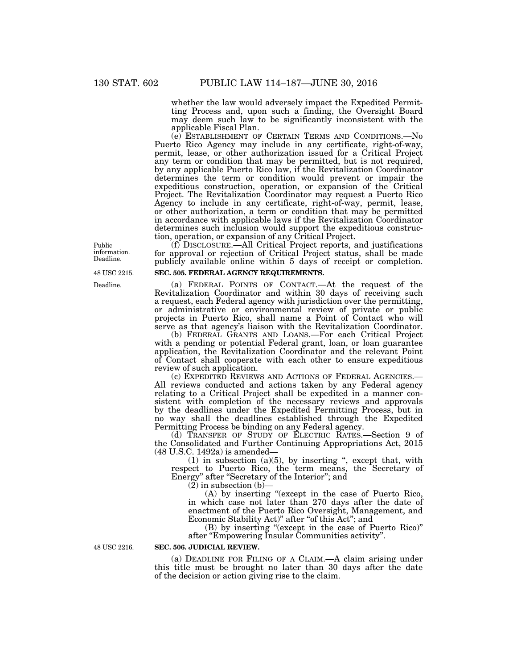whether the law would adversely impact the Expedited Permitting Process and, upon such a finding, the Oversight Board may deem such law to be significantly inconsistent with the applicable Fiscal Plan.

(e) ESTABLISHMENT OF CERTAIN TERMS AND CONDITIONS.—No Puerto Rico Agency may include in any certificate, right-of-way, permit, lease, or other authorization issued for a Critical Project any term or condition that may be permitted, but is not required, by any applicable Puerto Rico law, if the Revitalization Coordinator determines the term or condition would prevent or impair the expeditious construction, operation, or expansion of the Critical Project. The Revitalization Coordinator may request a Puerto Rico Agency to include in any certificate, right-of-way, permit, lease, or other authorization, a term or condition that may be permitted in accordance with applicable laws if the Revitalization Coordinator determines such inclusion would support the expeditious construction, operation, or expansion of any Critical Project.

(f) DISCLOSURE.—All Critical Project reports, and justifications for approval or rejection of Critical Project status, shall be made publicly available online within 5 days of receipt or completion.

### **SEC. 505. FEDERAL AGENCY REQUIREMENTS.**

(a) FEDERAL POINTS OF CONTACT.—At the request of the Revitalization Coordinator and within 30 days of receiving such a request, each Federal agency with jurisdiction over the permitting, or administrative or environmental review of private or public projects in Puerto Rico, shall name a Point of Contact who will serve as that agency's liaison with the Revitalization Coordinator.

(b) FEDERAL GRANTS AND LOANS.—For each Critical Project with a pending or potential Federal grant, loan, or loan guarantee application, the Revitalization Coordinator and the relevant Point of Contact shall cooperate with each other to ensure expeditious review of such application.<br>
(c) EXPEDITED REVIEWS AND ACTIONS OF FEDERAL AGENCIES.—

All reviews conducted and actions taken by any Federal agency relating to a Critical Project shall be expedited in a manner consistent with completion of the necessary reviews and approvals by the deadlines under the Expedited Permitting Process, but in no way shall the deadlines established through the Expedited Permitting Process be binding on any Federal agency.

(d) TRANSFER OF STUDY OF ELECTRIC RATES.—Section 9 of the Consolidated and Further Continuing Appropriations Act, 2015 (48 U.S.C. 1492a) is amended—

 $(1)$  in subsection  $(a)(5)$ , by inserting ", except that, with respect to Puerto Rico, the term means, the Secretary of Energy'' after ''Secretary of the Interior''; and

 $(2)$  in subsection  $(b)$ —

(A) by inserting ''(except in the case of Puerto Rico, in which case not later than 270 days after the date of enactment of the Puerto Rico Oversight, Management, and Economic Stability Act)" after "of this Act"; and

(B) by inserting ''(except in the case of Puerto Rico)'' after ''Empowering Insular Communities activity''.

48 USC 2216.

# **SEC. 506. JUDICIAL REVIEW.**

(a) DEADLINE FOR FILING OF A CLAIM.—A claim arising under this title must be brought no later than 30 days after the date of the decision or action giving rise to the claim.

Public information. Deadline.

48 USC 2215.

Deadline.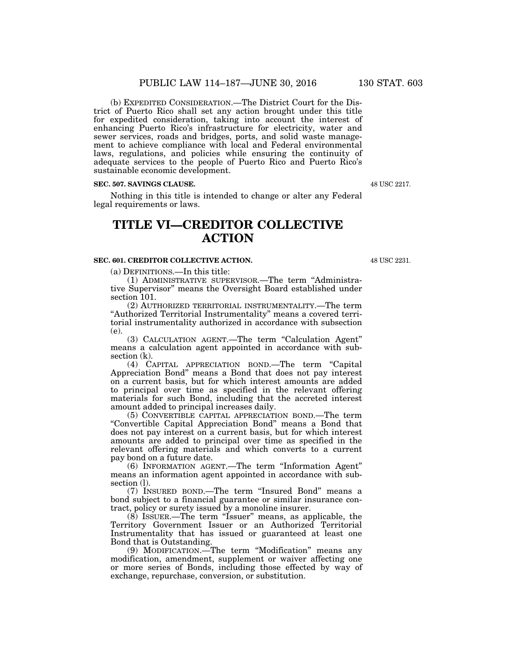(b) EXPEDITED CONSIDERATION.—The District Court for the District of Puerto Rico shall set any action brought under this title for expedited consideration, taking into account the interest of enhancing Puerto Rico's infrastructure for electricity, water and sewer services, roads and bridges, ports, and solid waste management to achieve compliance with local and Federal environmental laws, regulations, and policies while ensuring the continuity of adequate services to the people of Puerto Rico and Puerto Rico's sustainable economic development.

#### **SEC. 507. SAVINGS CLAUSE.**

Nothing in this title is intended to change or alter any Federal legal requirements or laws.

# **TITLE VI—CREDITOR COLLECTIVE ACTION**

## **SEC. 601. CREDITOR COLLECTIVE ACTION.**

(a) DEFINITIONS.—In this title:

(1) ADMINISTRATIVE SUPERVISOR.—The term ''Administrative Supervisor'' means the Oversight Board established under section 101.

(2) AUTHORIZED TERRITORIAL INSTRUMENTALITY.—The term "Authorized Territorial Instrumentality" means a covered territorial instrumentality authorized in accordance with subsection (e).

(3) CALCULATION AGENT.—The term ''Calculation Agent'' means a calculation agent appointed in accordance with subsection (k).

(4) CAPITAL APPRECIATION BOND.—The term ''Capital Appreciation Bond'' means a Bond that does not pay interest on a current basis, but for which interest amounts are added to principal over time as specified in the relevant offering materials for such Bond, including that the accreted interest amount added to principal increases daily.

(5) CONVERTIBLE CAPITAL APPRECIATION BOND.—The term ''Convertible Capital Appreciation Bond'' means a Bond that does not pay interest on a current basis, but for which interest amounts are added to principal over time as specified in the relevant offering materials and which converts to a current pay bond on a future date.

(6) INFORMATION AGENT.—The term ''Information Agent'' means an information agent appointed in accordance with subsection (l).

(7) INSURED BOND.—The term ''Insured Bond'' means a bond subject to a financial guarantee or similar insurance contract, policy or surety issued by a monoline insurer.

(8) ISSUER.—The term ''Issuer'' means, as applicable, the Territory Government Issuer or an Authorized Territorial Instrumentality that has issued or guaranteed at least one Bond that is Outstanding.

(9) MODIFICATION.—The term ''Modification'' means any modification, amendment, supplement or waiver affecting one or more series of Bonds, including those effected by way of exchange, repurchase, conversion, or substitution.

48 USC 2231.

48 USC 2217.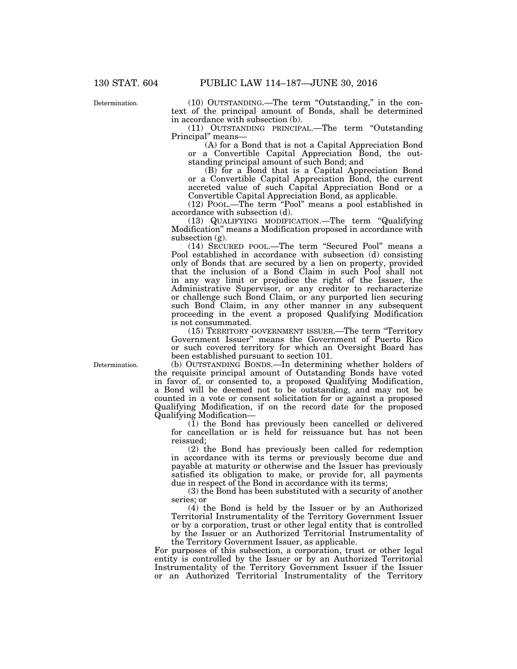Determination.

(10) OUTSTANDING.—The term ''Outstanding,'' in the context of the principal amount of Bonds, shall be determined in accordance with subsection (b).

(11) OUTSTANDING PRINCIPAL.—The term ''Outstanding Principal" means-

(A) for a Bond that is not a Capital Appreciation Bond or a Convertible Capital Appreciation Bond, the outstanding principal amount of such Bond; and

(B) for a Bond that is a Capital Appreciation Bond or a Convertible Capital Appreciation Bond, the current accreted value of such Capital Appreciation Bond or a Convertible Capital Appreciation Bond, as applicable.

(12) POOL.—The term ''Pool'' means a pool established in accordance with subsection (d).

(13) QUALIFYING MODIFICATION.—The term ''Qualifying Modification'' means a Modification proposed in accordance with subsection (g).

(14) SECURED POOL.—The term ''Secured Pool'' means a Pool established in accordance with subsection (d) consisting only of Bonds that are secured by a lien on property, provided that the inclusion of a Bond Claim in such Pool shall not in any way limit or prejudice the right of the Issuer, the Administrative Supervisor, or any creditor to recharacterize or challenge such Bond Claim, or any purported lien securing such Bond Claim, in any other manner in any subsequent proceeding in the event a proposed Qualifying Modification is not consummated.

(15) TERRITORY GOVERNMENT ISSUER.—The term ''Territory Government Issuer'' means the Government of Puerto Rico or such covered territory for which an Oversight Board has been established pursuant to section 101.

(b) OUTSTANDING BONDS.—In determining whether holders of the requisite principal amount of Outstanding Bonds have voted in favor of, or consented to, a proposed Qualifying Modification, a Bond will be deemed not to be outstanding, and may not be counted in a vote or consent solicitation for or against a proposed Qualifying Modification, if on the record date for the proposed Qualifying Modification—

 $(1)$  the Bond has previously been cancelled or delivered for cancellation or is held for reissuance but has not been reissued;

(2) the Bond has previously been called for redemption in accordance with its terms or previously become due and payable at maturity or otherwise and the Issuer has previously satisfied its obligation to make, or provide for, all payments due in respect of the Bond in accordance with its terms;

(3) the Bond has been substituted with a security of another series; or

(4) the Bond is held by the Issuer or by an Authorized Territorial Instrumentality of the Territory Government Issuer or by a corporation, trust or other legal entity that is controlled by the Issuer or an Authorized Territorial Instrumentality of the Territory Government Issuer, as applicable.

For purposes of this subsection, a corporation, trust or other legal entity is controlled by the Issuer or by an Authorized Territorial Instrumentality of the Territory Government Issuer if the Issuer or an Authorized Territorial Instrumentality of the Territory

Determination.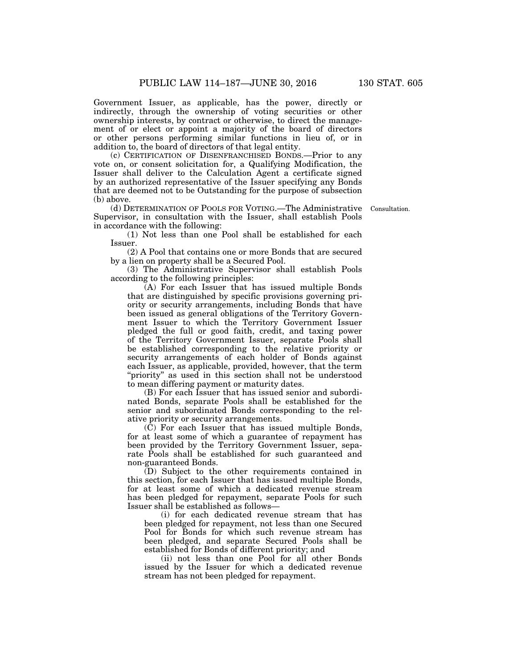Government Issuer, as applicable, has the power, directly or indirectly, through the ownership of voting securities or other ownership interests, by contract or otherwise, to direct the management of or elect or appoint a majority of the board of directors or other persons performing similar functions in lieu of, or in addition to, the board of directors of that legal entity.

(c) CERTIFICATION OF DISENFRANCHISED BONDS.—Prior to any vote on, or consent solicitation for, a Qualifying Modification, the Issuer shall deliver to the Calculation Agent a certificate signed by an authorized representative of the Issuer specifying any Bonds that are deemed not to be Outstanding for the purpose of subsection (b) above.

(d) DETERMINATION OF POOLS FOR VOTING.—The Administrative Supervisor, in consultation with the Issuer, shall establish Pools in accordance with the following:

Consultation.

(1) Not less than one Pool shall be established for each Issuer.

(2) A Pool that contains one or more Bonds that are secured by a lien on property shall be a Secured Pool.

(3) The Administrative Supervisor shall establish Pools according to the following principles:

(A) For each Issuer that has issued multiple Bonds that are distinguished by specific provisions governing priority or security arrangements, including Bonds that have been issued as general obligations of the Territory Government Issuer to which the Territory Government Issuer pledged the full or good faith, credit, and taxing power of the Territory Government Issuer, separate Pools shall be established corresponding to the relative priority or security arrangements of each holder of Bonds against each Issuer, as applicable, provided, however, that the term "priority" as used in this section shall not be understood to mean differing payment or maturity dates.

(B) For each Issuer that has issued senior and subordinated Bonds, separate Pools shall be established for the senior and subordinated Bonds corresponding to the relative priority or security arrangements.

(C) For each Issuer that has issued multiple Bonds, for at least some of which a guarantee of repayment has been provided by the Territory Government Issuer, separate Pools shall be established for such guaranteed and non-guaranteed Bonds.

(D) Subject to the other requirements contained in this section, for each Issuer that has issued multiple Bonds, for at least some of which a dedicated revenue stream has been pledged for repayment, separate Pools for such Issuer shall be established as follows—

(i) for each dedicated revenue stream that has been pledged for repayment, not less than one Secured Pool for Bonds for which such revenue stream has been pledged, and separate Secured Pools shall be established for Bonds of different priority; and

(ii) not less than one Pool for all other Bonds issued by the Issuer for which a dedicated revenue stream has not been pledged for repayment.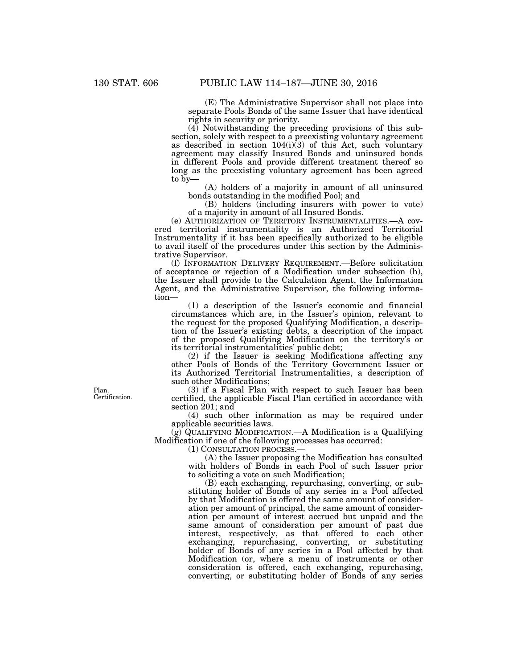(E) The Administrative Supervisor shall not place into separate Pools Bonds of the same Issuer that have identical rights in security or priority.

(4) Notwithstanding the preceding provisions of this subsection, solely with respect to a preexisting voluntary agreement as described in section  $104(i)\overline{3}$  of this Act, such voluntary agreement may classify Insured Bonds and uninsured bonds in different Pools and provide different treatment thereof so long as the preexisting voluntary agreement has been agreed to by—

(A) holders of a majority in amount of all uninsured bonds outstanding in the modified Pool; and

(B) holders (including insurers with power to vote) of a majority in amount of all Insured Bonds.

(e) AUTHORIZATION OF TERRITORY INSTRUMENTALITIES.—A covered territorial instrumentality is an Authorized Territorial Instrumentality if it has been specifically authorized to be eligible to avail itself of the procedures under this section by the Administrative Supervisor.

(f) INFORMATION DELIVERY REQUIREMENT.—Before solicitation of acceptance or rejection of a Modification under subsection (h), the Issuer shall provide to the Calculation Agent, the Information Agent, and the Administrative Supervisor, the following information—

(1) a description of the Issuer's economic and financial circumstances which are, in the Issuer's opinion, relevant to the request for the proposed Qualifying Modification, a description of the Issuer's existing debts, a description of the impact of the proposed Qualifying Modification on the territory's or its territorial instrumentalities' public debt;

(2) if the Issuer is seeking Modifications affecting any other Pools of Bonds of the Territory Government Issuer or its Authorized Territorial Instrumentalities, a description of such other Modifications;

(3) if a Fiscal Plan with respect to such Issuer has been certified, the applicable Fiscal Plan certified in accordance with section 201; and

(4) such other information as may be required under applicable securities laws.

(g) QUALIFYING MODIFICATION.—A Modification is a Qualifying Modification if one of the following processes has occurred:

(1) CONSULTATION PROCESS.—

(A) the Issuer proposing the Modification has consulted with holders of Bonds in each Pool of such Issuer prior to soliciting a vote on such Modification;

(B) each exchanging, repurchasing, converting, or substituting holder of Bonds of any series in a Pool affected by that Modification is offered the same amount of consideration per amount of principal, the same amount of consideration per amount of interest accrued but unpaid and the same amount of consideration per amount of past due interest, respectively, as that offered to each other exchanging, repurchasing, converting, or substituting holder of Bonds of any series in a Pool affected by that Modification (or, where a menu of instruments or other consideration is offered, each exchanging, repurchasing, converting, or substituting holder of Bonds of any series

Plan. Certification.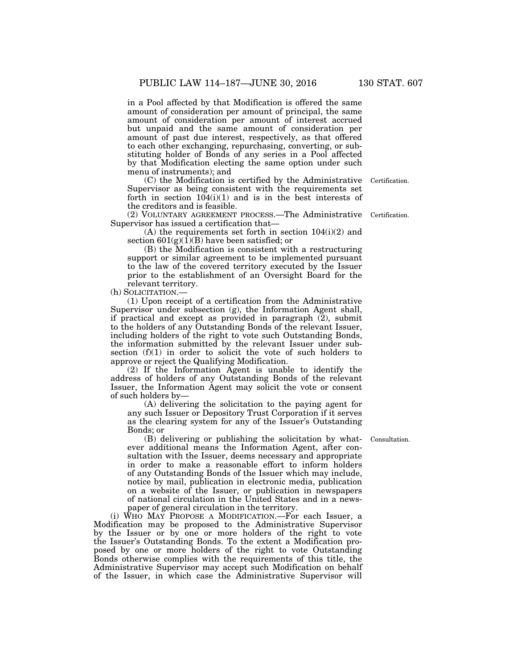in a Pool affected by that Modification is offered the same amount of consideration per amount of principal, the same amount of consideration per amount of interest accrued but unpaid and the same amount of consideration per amount of past due interest, respectively, as that offered to each other exchanging, repurchasing, converting, or substituting holder of Bonds of any series in a Pool affected by that Modification electing the same option under such menu of instruments); and

(C) the Modification is certified by the Administrative Supervisor as being consistent with the requirements set forth in section  $104(i)(1)$  and is in the best interests of the creditors and is feasible.

(2) VOLUNTARY AGREEMENT PROCESS.—The Administrative Certification. Supervisor has issued a certification that—

(A) the requirements set forth in section 104(i)(2) and section  $601(g)(\overline{1})(B)$  have been satisfied; or

(B) the Modification is consistent with a restructuring support or similar agreement to be implemented pursuant to the law of the covered territory executed by the Issuer prior to the establishment of an Oversight Board for the relevant territory.

(h) SOLICITATION.—

(1) Upon receipt of a certification from the Administrative Supervisor under subsection (g), the Information Agent shall, if practical and except as provided in paragraph (2), submit to the holders of any Outstanding Bonds of the relevant Issuer, including holders of the right to vote such Outstanding Bonds, the information submitted by the relevant Issuer under subsection  $(f)(1)$  in order to solicit the vote of such holders to approve or reject the Qualifying Modification.

(2) If the Information Agent is unable to identify the address of holders of any Outstanding Bonds of the relevant Issuer, the Information Agent may solicit the vote or consent of such holders by—

(A) delivering the solicitation to the paying agent for any such Issuer or Depository Trust Corporation if it serves as the clearing system for any of the Issuer's Outstanding Bonds; or

(B) delivering or publishing the solicitation by whatever additional means the Information Agent, after consultation with the Issuer, deems necessary and appropriate in order to make a reasonable effort to inform holders of any Outstanding Bonds of the Issuer which may include, notice by mail, publication in electronic media, publication on a website of the Issuer, or publication in newspapers of national circulation in the United States and in a newspaper of general circulation in the territory.

(i) WHO MAY PROPOSE A MODIFICATION.—For each Issuer, a Modification may be proposed to the Administrative Supervisor by the Issuer or by one or more holders of the right to vote the Issuer's Outstanding Bonds. To the extent a Modification proposed by one or more holders of the right to vote Outstanding Bonds otherwise complies with the requirements of this title, the Administrative Supervisor may accept such Modification on behalf of the Issuer, in which case the Administrative Supervisor will

Consultation.

Certification.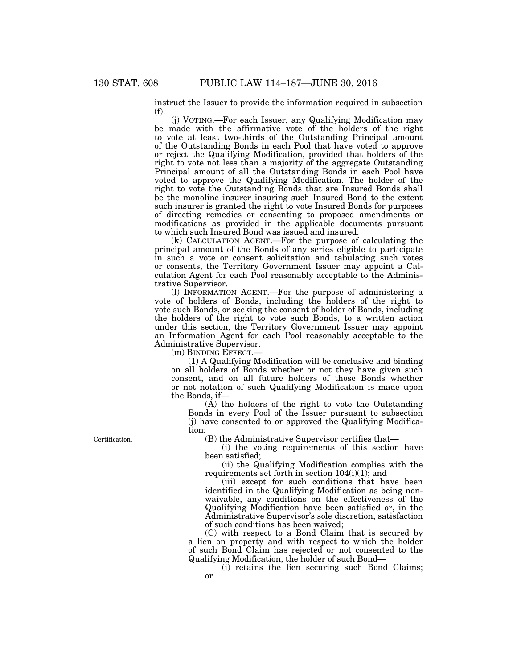instruct the Issuer to provide the information required in subsection (f).

(j) VOTING.—For each Issuer, any Qualifying Modification may be made with the affirmative vote of the holders of the right to vote at least two-thirds of the Outstanding Principal amount of the Outstanding Bonds in each Pool that have voted to approve or reject the Qualifying Modification, provided that holders of the right to vote not less than a majority of the aggregate Outstanding Principal amount of all the Outstanding Bonds in each Pool have voted to approve the Qualifying Modification. The holder of the right to vote the Outstanding Bonds that are Insured Bonds shall be the monoline insurer insuring such Insured Bond to the extent such insurer is granted the right to vote Insured Bonds for purposes of directing remedies or consenting to proposed amendments or modifications as provided in the applicable documents pursuant to which such Insured Bond was issued and insured.

(k) CALCULATION AGENT.—For the purpose of calculating the principal amount of the Bonds of any series eligible to participate in such a vote or consent solicitation and tabulating such votes or consents, the Territory Government Issuer may appoint a Calculation Agent for each Pool reasonably acceptable to the Administrative Supervisor.

(l) INFORMATION AGENT.—For the purpose of administering a vote of holders of Bonds, including the holders of the right to vote such Bonds, or seeking the consent of holder of Bonds, including the holders of the right to vote such Bonds, to a written action under this section, the Territory Government Issuer may appoint an Information Agent for each Pool reasonably acceptable to the Administrative Supervisor.

(m) BINDING EFFECT.—

(1) A Qualifying Modification will be conclusive and binding on all holders of Bonds whether or not they have given such consent, and on all future holders of those Bonds whether or not notation of such Qualifying Modification is made upon the Bonds, if—

(A) the holders of the right to vote the Outstanding Bonds in every Pool of the Issuer pursuant to subsection (j) have consented to or approved the Qualifying Modification;

(B) the Administrative Supervisor certifies that—

(i) the voting requirements of this section have been satisfied;

(ii) the Qualifying Modification complies with the requirements set forth in section  $104(i)(1)$ ; and

(iii) except for such conditions that have been identified in the Qualifying Modification as being nonwaivable, any conditions on the effectiveness of the Qualifying Modification have been satisfied or, in the Administrative Supervisor's sole discretion, satisfaction of such conditions has been waived;

(C) with respect to a Bond Claim that is secured by a lien on property and with respect to which the holder of such Bond Claim has rejected or not consented to the Qualifying Modification, the holder of such Bond—

(i) retains the lien securing such Bond Claims; or

Certification.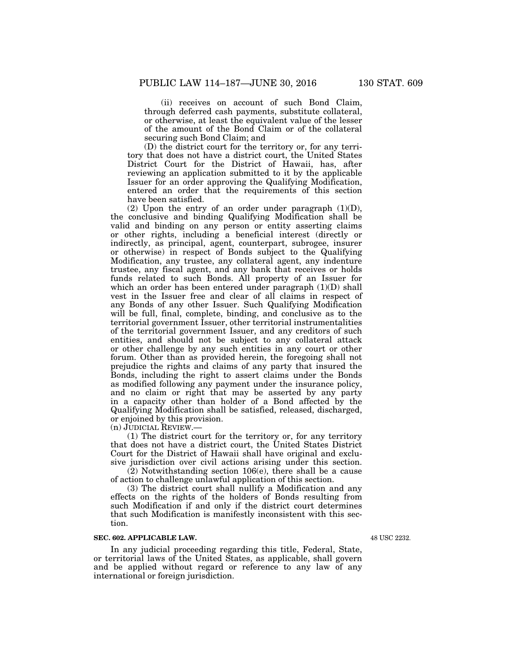(ii) receives on account of such Bond Claim, through deferred cash payments, substitute collateral, or otherwise, at least the equivalent value of the lesser of the amount of the Bond Claim or of the collateral securing such Bond Claim; and

(D) the district court for the territory or, for any territory that does not have a district court, the United States District Court for the District of Hawaii, has, after reviewing an application submitted to it by the applicable Issuer for an order approving the Qualifying Modification, entered an order that the requirements of this section have been satisfied.

(2) Upon the entry of an order under paragraph  $(1)(D)$ , the conclusive and binding Qualifying Modification shall be valid and binding on any person or entity asserting claims or other rights, including a beneficial interest (directly or indirectly, as principal, agent, counterpart, subrogee, insurer or otherwise) in respect of Bonds subject to the Qualifying Modification, any trustee, any collateral agent, any indenture trustee, any fiscal agent, and any bank that receives or holds funds related to such Bonds. All property of an Issuer for which an order has been entered under paragraph  $(1)(D)$  shall vest in the Issuer free and clear of all claims in respect of any Bonds of any other Issuer. Such Qualifying Modification will be full, final, complete, binding, and conclusive as to the territorial government Issuer, other territorial instrumentalities of the territorial government Issuer, and any creditors of such entities, and should not be subject to any collateral attack or other challenge by any such entities in any court or other forum. Other than as provided herein, the foregoing shall not prejudice the rights and claims of any party that insured the Bonds, including the right to assert claims under the Bonds as modified following any payment under the insurance policy, and no claim or right that may be asserted by any party in a capacity other than holder of a Bond affected by the Qualifying Modification shall be satisfied, released, discharged, or enjoined by this provision.

(n) JUDICIAL REVIEW.—

(1) The district court for the territory or, for any territory that does not have a district court, the United States District Court for the District of Hawaii shall have original and exclusive jurisdiction over civil actions arising under this section.

 $(2)$  Notwithstanding section 106 $(e)$ , there shall be a cause of action to challenge unlawful application of this section.

(3) The district court shall nullify a Modification and any effects on the rights of the holders of Bonds resulting from such Modification if and only if the district court determines that such Modification is manifestly inconsistent with this section.

### **SEC. 602. APPLICABLE LAW.**

In any judicial proceeding regarding this title, Federal, State, or territorial laws of the United States, as applicable, shall govern and be applied without regard or reference to any law of any international or foreign jurisdiction.

48 USC 2232.